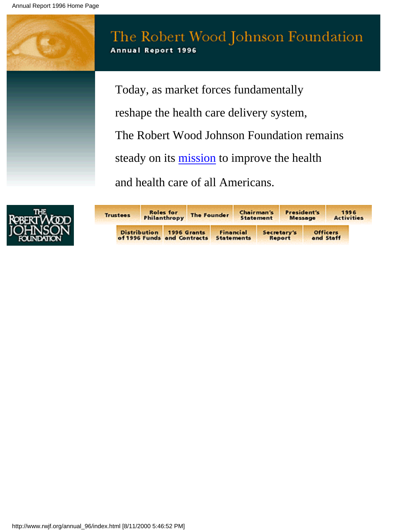



| <b>Trustees</b> |                                                    | <b>Roles</b> for<br>Philanthropy | The Founder |                                | <b>Chairman's</b><br><b>Statement</b> | President's<br>Message |                              | 1996<br><b>Activities</b> |
|-----------------|----------------------------------------------------|----------------------------------|-------------|--------------------------------|---------------------------------------|------------------------|------------------------------|---------------------------|
|                 | <b>Distribution</b><br>of 1996 Funds and Contracts |                                  | 1996 Grants | Financial<br><b>Statements</b> |                                       | Secretary's<br>Report  | <b>Officers</b><br>and Staff |                           |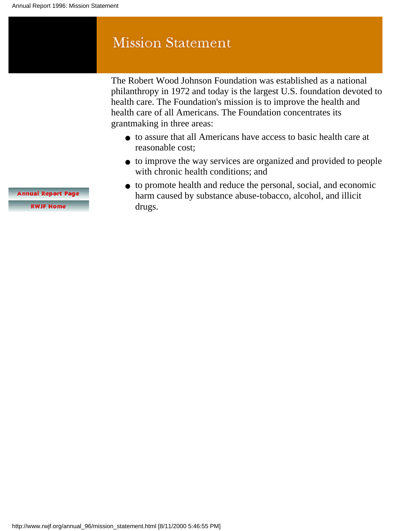# <span id="page-1-0"></span>**Mission Statement**

The Robert Wood Johnson Foundation was established as a national philanthropy in 1972 and today is the largest U.S. foundation devoted to health care. The Foundation's mission is to improve the health and health care of all Americans. The Foundation concentrates its grantmaking in three areas:

- to assure that all Americans have access to basic health care at reasonable cost;
- to improve the way services are organized and provided to people with chronic health conditions; and
- to promote health and reduce the personal, social, and economic harm caused by substance abuse-tobacco, alcohol, and illicit drugs.

**Annual Report Page** 

**RWJF Home**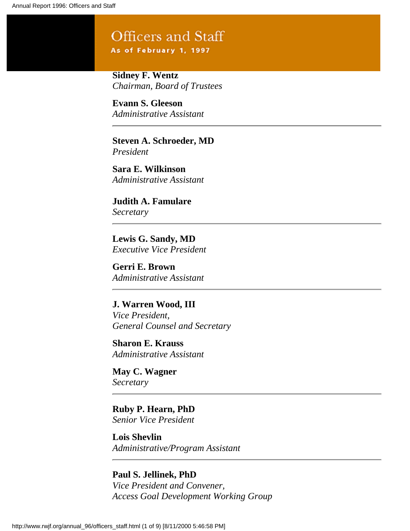# Officers and Staff

As of February 1, 1997

**Sidney F. Wentz** *Chairman, Board of Trustees*

**Evann S. Gleeson** *Administrative Assistant*

**Steven A. Schroeder, MD** *President*

**Sara E. Wilkinson** *Administrative Assistant*

**Judith A. Famulare** *Secretary*

**Lewis G. Sandy, MD** *Executive Vice President*

**Gerri E. Brown** *Administrative Assistant*

**J. Warren Wood, III** *Vice President, General Counsel and Secretary*

**Sharon E. Krauss** *Administrative Assistant*

**May C. Wagner** *Secretary*

**Ruby P. Hearn, PhD** *Senior Vice President*

**Lois Shevlin** *Administrative/Program Assistant*

**Paul S. Jellinek, PhD** *Vice President and Convener, Access Goal Development Working Group*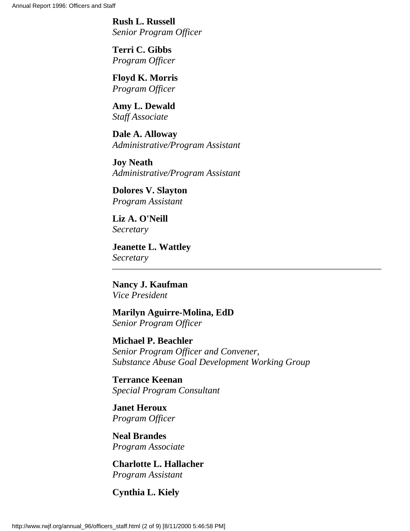**Rush L. Russell** *Senior Program Officer*

**Terri C. Gibbs** *Program Officer*

**Floyd K. Morris** *Program Officer*

**Amy L. Dewald** *Staff Associate*

**Dale A. Alloway** *Administrative/Program Assistant*

**Joy Neath** *Administrative/Program Assistant*

**Dolores V. Slayton** *Program Assistant*

**Liz A. O'Neill** *Secretary*

**Jeanette L. Wattley** *Secretary*

**Nancy J. Kaufman** *Vice President*

**Marilyn Aguirre-Molina, EdD** *Senior Program Officer*

**Michael P. Beachler** *Senior Program Officer and Convener, Substance Abuse Goal Development Working Group*

**Terrance Keenan** *Special Program Consultant*

**Janet Heroux** *Program Officer*

**Neal Brandes** *Program Associate*

**Charlotte L. Hallacher** *Program Assistant*

**Cynthia L. Kiely**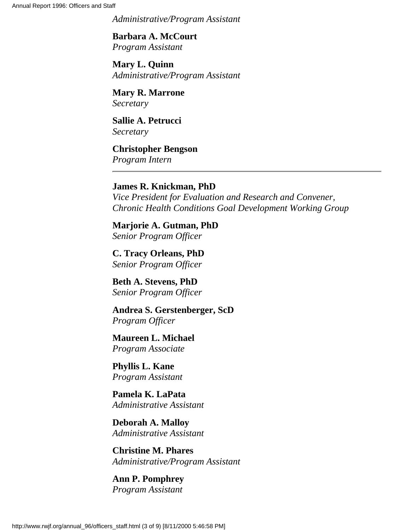*Administrative/Program Assistant*

**Barbara A. McCourt** *Program Assistant*

**Mary L. Quinn** *Administrative/Program Assistant*

**Mary R. Marrone** *Secretary*

**Sallie A. Petrucci** *Secretary*

**Christopher Bengson** *Program Intern*

## **James R. Knickman, PhD**

*Vice President for Evaluation and Research and Convener, Chronic Health Conditions Goal Development Working Group*

**Marjorie A. Gutman, PhD** *Senior Program Officer*

**C. Tracy Orleans, PhD** *Senior Program Officer*

**Beth A. Stevens, PhD** *Senior Program Officer*

**Andrea S. Gerstenberger, ScD** *Program Officer*

**Maureen L. Michael** *Program Associate*

**Phyllis L. Kane** *Program Assistant*

**Pamela K. LaPata** *Administrative Assistant*

**Deborah A. Malloy** *Administrative Assistant*

**Christine M. Phares** *Administrative/Program Assistant*

**Ann P. Pomphrey** *Program Assistant*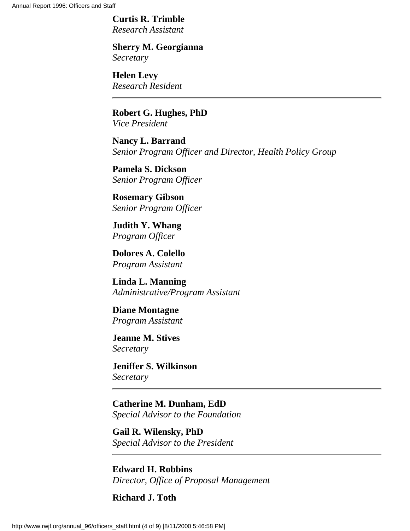Annual Report 1996: Officers and Staff

**Curtis R. Trimble** *Research Assistant*

**Sherry M. Georgianna** *Secretary*

**Helen Levy** *Research Resident*

**Robert G. Hughes, PhD** *Vice President*

**Nancy L. Barrand** *Senior Program Officer and Director, Health Policy Group*

**Pamela S. Dickson** *Senior Program Officer*

**Rosemary Gibson** *Senior Program Officer*

**Judith Y. Whang** *Program Officer*

**Dolores A. Colello** *Program Assistant*

**Linda L. Manning** *Administrative/Program Assistant*

**Diane Montagne** *Program Assistant*

**Jeanne M. Stives** *Secretary*

**Jeniffer S. Wilkinson** *Secretary*

**Catherine M. Dunham, EdD** *Special Advisor to the Foundation*

**Gail R. Wilensky, PhD** *Special Advisor to the President*

**Edward H. Robbins** *Director, Office of Proposal Management*

**Richard J. Toth**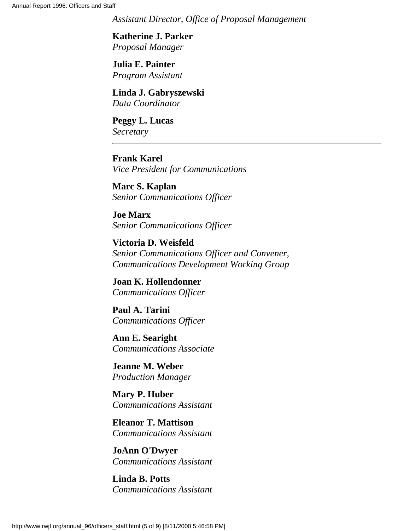*Assistant Director, Office of Proposal Management*

**Katherine J. Parker** *Proposal Manager*

**Julia E. Painter** *Program Assistant*

**Linda J. Gabryszewski** *Data Coordinator*

**Peggy L. Lucas** *Secretary*

**Frank Karel** *Vice President for Communications*

**Marc S. Kaplan** *Senior Communications Officer*

**Joe Marx** *Senior Communications Officer*

**Victoria D. Weisfeld** *Senior Communications Officer and Convener, Communications Development Working Group*

**Joan K. Hollendonner** *Communications Officer*

**Paul A. Tarini** *Communications Officer*

**Ann E. Searight** *Communications Associate*

**Jeanne M. Weber** *Production Manager*

**Mary P. Huber** *Communications Assistant*

**Eleanor T. Mattison** *Communications Assistant*

**JoAnn O'Dwyer** *Communications Assistant*

**Linda B. Potts** *Communications Assistant*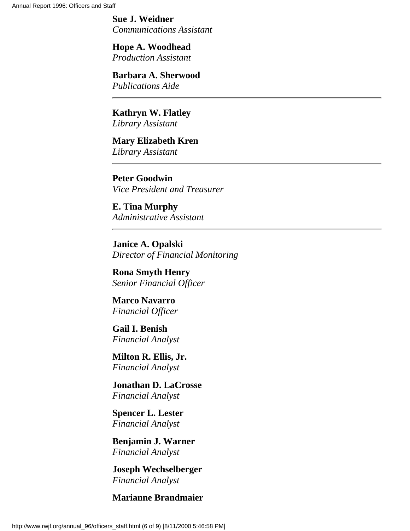**Sue J. Weidner** *Communications Assistant*

**Hope A. Woodhead** *Production Assistant*

**Barbara A. Sherwood** *Publications Aide*

**Kathryn W. Flatley** *Library Assistant*

**Mary Elizabeth Kren** *Library Assistant*

**Peter Goodwin** *Vice President and Treasurer*

**E. Tina Murphy** *Administrative Assistant*

**Janice A. Opalski** *Director of Financial Monitoring*

**Rona Smyth Henry** *Senior Financial Officer*

**Marco Navarro** *Financial Officer*

**Gail I. Benish** *Financial Analyst*

**Milton R. Ellis, Jr.** *Financial Analyst*

**Jonathan D. LaCrosse** *Financial Analyst*

**Spencer L. Lester** *Financial Analyst*

**Benjamin J. Warner** *Financial Analyst*

**Joseph Wechselberger** *Financial Analyst*

**Marianne Brandmaier**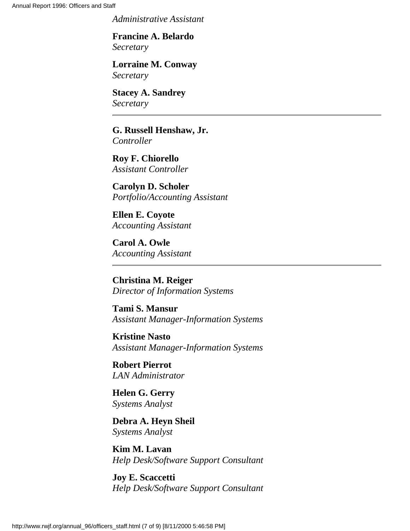*Administrative Assistant*

**Francine A. Belardo** *Secretary*

**Lorraine M. Conway** *Secretary*

**Stacey A. Sandrey** *Secretary*

**G. Russell Henshaw, Jr.** *Controller*

**Roy F. Chiorello** *Assistant Controller*

**Carolyn D. Scholer** *Portfolio/Accounting Assistant*

**Ellen E. Coyote** *Accounting Assistant*

**Carol A. Owle** *Accounting Assistant*

**Christina M. Reiger** *Director of Information Systems*

**Tami S. Mansur** *Assistant Manager-Information Systems*

**Kristine Nasto** *Assistant Manager-Information Systems*

**Robert Pierrot** *LAN Administrator*

**Helen G. Gerry** *Systems Analyst*

**Debra A. Heyn Sheil** *Systems Analyst*

**Kim M. Lavan** *Help Desk/Software Support Consultant*

**Joy E. Scaccetti** *Help Desk/Software Support Consultant*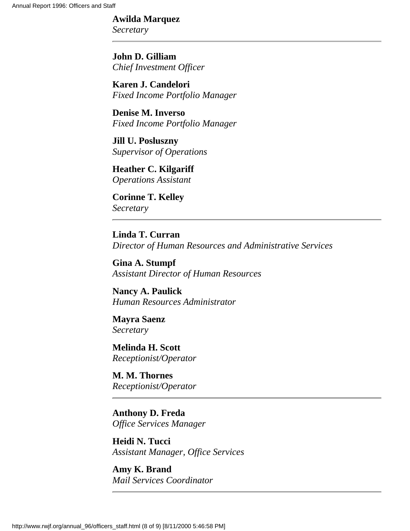## **Awilda Marquez**

*Secretary*

**John D. Gilliam** *Chief Investment Officer*

**Karen J. Candelori** *Fixed Income Portfolio Manager*

**Denise M. Inverso** *Fixed Income Portfolio Manager*

**Jill U. Posluszny** *Supervisor of Operations*

**Heather C. Kilgariff** *Operations Assistant*

**Corinne T. Kelley** *Secretary*

**Linda T. Curran** *Director of Human Resources and Administrative Services*

**Gina A. Stumpf** *Assistant Director of Human Resources*

**Nancy A. Paulick** *Human Resources Administrator*

**Mayra Saenz** *Secretary*

**Melinda H. Scott** *Receptionist/Operator*

**M. M. Thornes** *Receptionist/Operator*

**Anthony D. Freda** *Office Services Manager*

**Heidi N. Tucci** *Assistant Manager, Office Services*

**Amy K. Brand** *Mail Services Coordinator*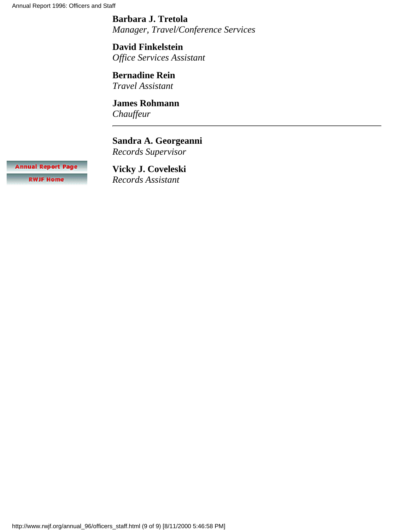Annual Report 1996: Officers and Staff

**Barbara J. Tretola** *Manager, Travel/Conference Services*

**David Finkelstein** *Office Services Assistant*

**Bernadine Rein** *Travel Assistant*

**James Rohmann** *Chauffeur*

**Sandra A. Georgeanni** *Records Supervisor*

**Annual Report Page RWJF Home** 

**Vicky J. Coveleski** *Records Assistant*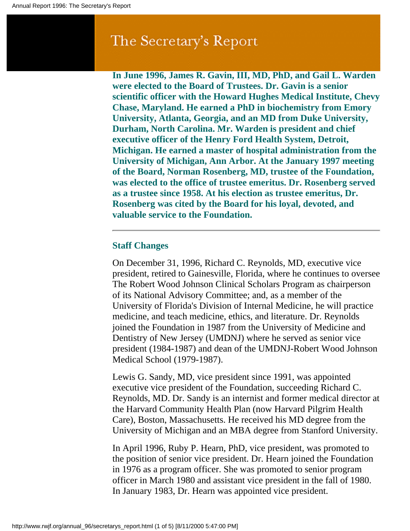# The Secretary's Report

**In June 1996, James R. Gavin, III, MD, PhD, and Gail L. Warden were elected to the Board of Trustees. Dr. Gavin is a senior scientific officer with the Howard Hughes Medical Institute, Chevy Chase, Maryland. He earned a PhD in biochemistry from Emory University, Atlanta, Georgia, and an MD from Duke University, Durham, North Carolina. Mr. Warden is president and chief executive officer of the Henry Ford Health System, Detroit, Michigan. He earned a master of hospital administration from the University of Michigan, Ann Arbor. At the January 1997 meeting of the Board, Norman Rosenberg, MD, trustee of the Foundation, was elected to the office of trustee emeritus. Dr. Rosenberg served as a trustee since 1958. At his election as trustee emeritus, Dr. Rosenberg was cited by the Board for his loyal, devoted, and valuable service to the Foundation.**

## **Staff Changes**

On December 31, 1996, Richard C. Reynolds, MD, executive vice president, retired to Gainesville, Florida, where he continues to oversee The Robert Wood Johnson Clinical Scholars Program as chairperson of its National Advisory Committee; and, as a member of the University of Florida's Division of Internal Medicine, he will practice medicine, and teach medicine, ethics, and literature. Dr. Reynolds joined the Foundation in 1987 from the University of Medicine and Dentistry of New Jersey (UMDNJ) where he served as senior vice president (1984-1987) and dean of the UMDNJ-Robert Wood Johnson Medical School (1979-1987).

Lewis G. Sandy, MD, vice president since 1991, was appointed executive vice president of the Foundation, succeeding Richard C. Reynolds, MD. Dr. Sandy is an internist and former medical director at the Harvard Community Health Plan (now Harvard Pilgrim Health Care), Boston, Massachusetts. He received his MD degree from the University of Michigan and an MBA degree from Stanford University.

In April 1996, Ruby P. Hearn, PhD, vice president, was promoted to the position of senior vice president. Dr. Hearn joined the Foundation in 1976 as a program officer. She was promoted to senior program officer in March 1980 and assistant vice president in the fall of 1980. In January 1983, Dr. Hearn was appointed vice president.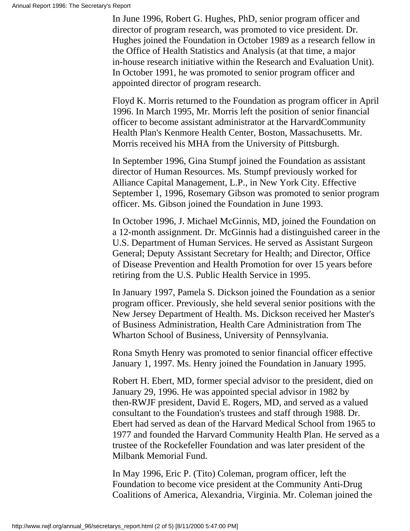In June 1996, Robert G. Hughes, PhD, senior program officer and director of program research, was promoted to vice president. Dr. Hughes joined the Foundation in October 1989 as a research fellow in the Office of Health Statistics and Analysis (at that time, a major in-house research initiative within the Research and Evaluation Unit). In October 1991, he was promoted to senior program officer and appointed director of program research.

Floyd K. Morris returned to the Foundation as program officer in April 1996. In March 1995, Mr. Morris left the position of senior financial officer to become assistant administrator at the HarvardCommunity Health Plan's Kenmore Health Center, Boston, Massachusetts. Mr. Morris received his MHA from the University of Pittsburgh.

In September 1996, Gina Stumpf joined the Foundation as assistant director of Human Resources. Ms. Stumpf previously worked for Alliance Capital Management, L.P., in New York City. Effective September 1, 1996, Rosemary Gibson was promoted to senior program officer. Ms. Gibson joined the Foundation in June 1993.

In October 1996, J. Michael McGinnis, MD, joined the Foundation on a 12-month assignment. Dr. McGinnis had a distinguished career in the U.S. Department of Human Services. He served as Assistant Surgeon General; Deputy Assistant Secretary for Health; and Director, Office of Disease Prevention and Health Promotion for over 15 years before retiring from the U.S. Public Health Service in 1995.

In January 1997, Pamela S. Dickson joined the Foundation as a senior program officer. Previously, she held several senior positions with the New Jersey Department of Health. Ms. Dickson received her Master's of Business Administration, Health Care Administration from The Wharton School of Business, University of Pennsylvania.

Rona Smyth Henry was promoted to senior financial officer effective January 1, 1997. Ms. Henry joined the Foundation in January 1995.

Robert H. Ebert, MD, former special advisor to the president, died on January 29, 1996. He was appointed special advisor in 1982 by then-RWJF president, David E. Rogers, MD, and served as a valued consultant to the Foundation's trustees and staff through 1988. Dr. Ebert had served as dean of the Harvard Medical School from 1965 to 1977 and founded the Harvard Community Health Plan. He served as a trustee of the Rockefeller Foundation and was later president of the Milbank Memorial Fund.

In May 1996, Eric P. (Tito) Coleman, program officer, left the Foundation to become vice president at the Community Anti-Drug Coalitions of America, Alexandria, Virginia. Mr. Coleman joined the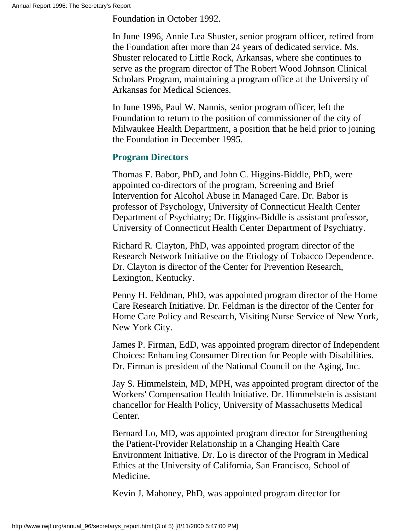Foundation in October 1992.

In June 1996, Annie Lea Shuster, senior program officer, retired from the Foundation after more than 24 years of dedicated service. Ms. Shuster relocated to Little Rock, Arkansas, where she continues to serve as the program director of The Robert Wood Johnson Clinical Scholars Program, maintaining a program office at the University of Arkansas for Medical Sciences.

In June 1996, Paul W. Nannis, senior program officer, left the Foundation to return to the position of commissioner of the city of Milwaukee Health Department, a position that he held prior to joining the Foundation in December 1995.

## **Program Directors**

Thomas F. Babor, PhD, and John C. Higgins-Biddle, PhD, were appointed co-directors of the program, Screening and Brief Intervention for Alcohol Abuse in Managed Care. Dr. Babor is professor of Psychology, University of Connecticut Health Center Department of Psychiatry; Dr. Higgins-Biddle is assistant professor, University of Connecticut Health Center Department of Psychiatry.

Richard R. Clayton, PhD, was appointed program director of the Research Network Initiative on the Etiology of Tobacco Dependence. Dr. Clayton is director of the Center for Prevention Research, Lexington, Kentucky.

Penny H. Feldman, PhD, was appointed program director of the Home Care Research Initiative. Dr. Feldman is the director of the Center for Home Care Policy and Research, Visiting Nurse Service of New York, New York City.

James P. Firman, EdD, was appointed program director of Independent Choices: Enhancing Consumer Direction for People with Disabilities. Dr. Firman is president of the National Council on the Aging, Inc.

Jay S. Himmelstein, MD, MPH, was appointed program director of the Workers' Compensation Health Initiative. Dr. Himmelstein is assistant chancellor for Health Policy, University of Massachusetts Medical Center.

Bernard Lo, MD, was appointed program director for Strengthening the Patient-Provider Relationship in a Changing Health Care Environment Initiative. Dr. Lo is director of the Program in Medical Ethics at the University of California, San Francisco, School of Medicine.

Kevin J. Mahoney, PhD, was appointed program director for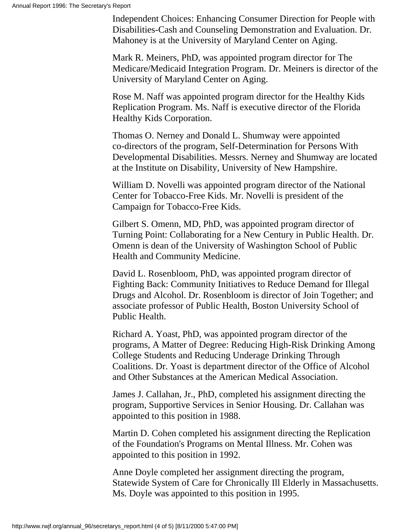Independent Choices: Enhancing Consumer Direction for People with Disabilities-Cash and Counseling Demonstration and Evaluation. Dr. Mahoney is at the University of Maryland Center on Aging.

Mark R. Meiners, PhD, was appointed program director for The Medicare/Medicaid Integration Program. Dr. Meiners is director of the University of Maryland Center on Aging.

Rose M. Naff was appointed program director for the Healthy Kids Replication Program. Ms. Naff is executive director of the Florida Healthy Kids Corporation.

Thomas O. Nerney and Donald L. Shumway were appointed co-directors of the program, Self-Determination for Persons With Developmental Disabilities. Messrs. Nerney and Shumway are located at the Institute on Disability, University of New Hampshire.

William D. Novelli was appointed program director of the National Center for Tobacco-Free Kids. Mr. Novelli is president of the Campaign for Tobacco-Free Kids.

Gilbert S. Omenn, MD, PhD, was appointed program director of Turning Point: Collaborating for a New Century in Public Health. Dr. Omenn is dean of the University of Washington School of Public Health and Community Medicine.

David L. Rosenbloom, PhD, was appointed program director of Fighting Back: Community Initiatives to Reduce Demand for Illegal Drugs and Alcohol. Dr. Rosenbloom is director of Join Together; and associate professor of Public Health, Boston University School of Public Health.

Richard A. Yoast, PhD, was appointed program director of the programs, A Matter of Degree: Reducing High-Risk Drinking Among College Students and Reducing Underage Drinking Through Coalitions. Dr. Yoast is department director of the Office of Alcohol and Other Substances at the American Medical Association.

James J. Callahan, Jr., PhD, completed his assignment directing the program, Supportive Services in Senior Housing. Dr. Callahan was appointed to this position in 1988.

Martin D. Cohen completed his assignment directing the Replication of the Foundation's Programs on Mental Illness. Mr. Cohen was appointed to this position in 1992.

Anne Doyle completed her assignment directing the program, Statewide System of Care for Chronically Ill Elderly in Massachusetts. Ms. Doyle was appointed to this position in 1995.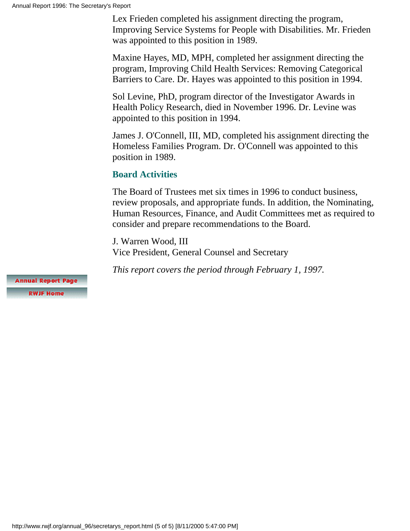Lex Frieden completed his assignment directing the program, Improving Service Systems for People with Disabilities. Mr. Frieden was appointed to this position in 1989.

Maxine Hayes, MD, MPH, completed her assignment directing the program, Improving Child Health Services: Removing Categorical Barriers to Care. Dr. Hayes was appointed to this position in 1994.

Sol Levine, PhD, program director of the Investigator Awards in Health Policy Research, died in November 1996. Dr. Levine was appointed to this position in 1994.

James J. O'Connell, III, MD, completed his assignment directing the Homeless Families Program. Dr. O'Connell was appointed to this position in 1989.

## **Board Activities**

The Board of Trustees met six times in 1996 to conduct business, review proposals, and appropriate funds. In addition, the Nominating, Human Resources, Finance, and Audit Committees met as required to consider and prepare recommendations to the Board.

J. Warren Wood, III Vice President, General Counsel and Secretary

*This report covers the period through February 1, 1997.*

**Annual Report Page** 

**RWJF Home**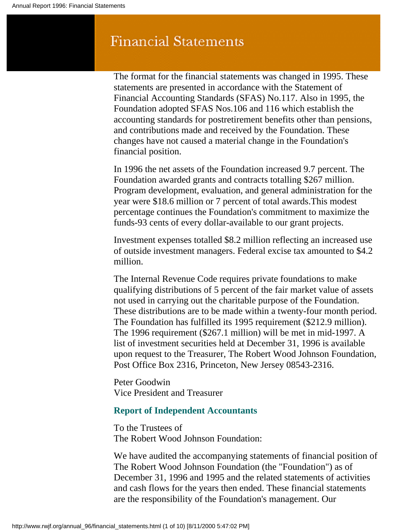# **Financial Statements**

The format for the financial statements was changed in 1995. These statements are presented in accordance with the Statement of Financial Accounting Standards (SFAS) No.117. Also in 1995, the Foundation adopted SFAS Nos.106 and 116 which establish the accounting standards for postretirement benefits other than pensions, and contributions made and received by the Foundation. These changes have not caused a material change in the Foundation's financial position.

In 1996 the net assets of the Foundation increased 9.7 percent. The Foundation awarded grants and contracts totalling \$267 million. Program development, evaluation, and general administration for the year were \$18.6 million or 7 percent of total awards.This modest percentage continues the Foundation's commitment to maximize the funds-93 cents of every dollar-available to our grant projects.

Investment expenses totalled \$8.2 million reflecting an increased use of outside investment managers. Federal excise tax amounted to \$4.2 million.

The Internal Revenue Code requires private foundations to make qualifying distributions of 5 percent of the fair market value of assets not used in carrying out the charitable purpose of the Foundation. These distributions are to be made within a twenty-four month period. The Foundation has fulfilled its 1995 requirement (\$212.9 million). The 1996 requirement (\$267.1 million) will be met in mid-1997. A list of investment securities held at December 31, 1996 is available upon request to the Treasurer, The Robert Wood Johnson Foundation, Post Office Box 2316, Princeton, New Jersey 08543-2316.

Peter Goodwin Vice President and Treasurer

## **Report of Independent Accountants**

To the Trustees of The Robert Wood Johnson Foundation:

We have audited the accompanying statements of financial position of The Robert Wood Johnson Foundation (the "Foundation") as of December 31, 1996 and 1995 and the related statements of activities and cash flows for the years then ended. These financial statements are the responsibility of the Foundation's management. Our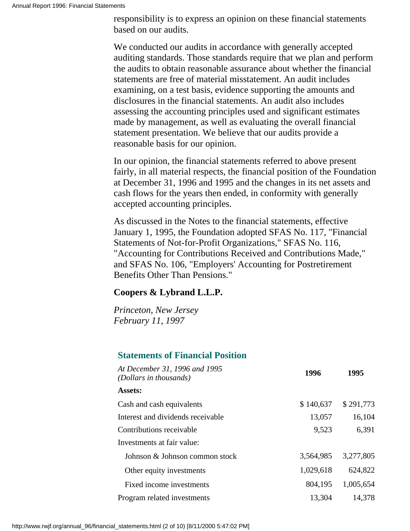responsibility is to express an opinion on these financial statements based on our audits.

We conducted our audits in accordance with generally accepted auditing standards. Those standards require that we plan and perform the audits to obtain reasonable assurance about whether the financial statements are free of material misstatement. An audit includes examining, on a test basis, evidence supporting the amounts and disclosures in the financial statements. An audit also includes assessing the accounting principles used and significant estimates made by management, as well as evaluating the overall financial statement presentation. We believe that our audits provide a reasonable basis for our opinion.

In our opinion, the financial statements referred to above present fairly, in all material respects, the financial position of the Foundation at December 31, 1996 and 1995 and the changes in its net assets and cash flows for the years then ended, in conformity with generally accepted accounting principles.

As discussed in the Notes to the financial statements, effective January 1, 1995, the Foundation adopted SFAS No. 117, "Financial Statements of Not-for-Profit Organizations," SFAS No. 116, "Accounting for Contributions Received and Contributions Made," and SFAS No. 106, "Employers' Accounting for Postretirement Benefits Other Than Pensions."

## **Coopers & Lybrand L.L.P.**

*Princeton, New Jersey February 11, 1997*

## **Statements of Financial Position**

| At December 31, 1996 and 1995<br>(Dollars in thousands) | 1996      | 1995      |
|---------------------------------------------------------|-----------|-----------|
| <b>Assets:</b>                                          |           |           |
| Cash and cash equivalents                               | \$140,637 | \$291,773 |
| Interest and dividends receivable                       | 13,057    | 16,104    |
| Contributions receivable                                | 9,523     | 6,391     |
| Investments at fair value:                              |           |           |
| Johnson & Johnson common stock                          | 3,564,985 | 3,277,805 |
| Other equity investments                                | 1,029,618 | 624,822   |
| Fixed income investments                                | 804,195   | 1,005,654 |
| Program related investments                             | 13,304    | 14.378    |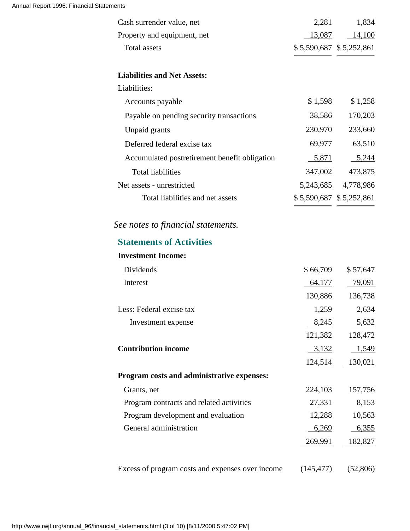| Cash surrender value, net                                             | 2,281                     | 1,834                     |
|-----------------------------------------------------------------------|---------------------------|---------------------------|
| Property and equipment, net                                           | 13,087                    | 14,100                    |
| <b>Total assets</b>                                                   |                           | \$5,590,687 \$5,252,861   |
| <b>Liabilities and Net Assets:</b>                                    |                           |                           |
| Liabilities:                                                          |                           |                           |
| Accounts payable                                                      | \$1,598                   | \$1,258                   |
| Payable on pending security transactions                              | 38,586                    | 170,203                   |
| Unpaid grants                                                         | 230,970                   | 233,660                   |
| Deferred federal excise tax                                           | 69,977                    | 63,510                    |
| Accumulated postretirement benefit obligation                         | 5,871                     | 5,244                     |
| <b>Total liabilities</b>                                              | 347,002                   | 473,875                   |
| Net assets - unrestricted                                             |                           | 5,243,685 4,778,986       |
| Total liabilities and net assets                                      |                           | $$5,590,687$ $$5,252,861$ |
| See notes to financial statements.<br><b>Statements of Activities</b> |                           |                           |
| <b>Investment Income:</b>                                             |                           |                           |
| Dividends                                                             |                           | \$57,647                  |
| Interest                                                              | \$66,709<br><u>64,177</u> | 79,091                    |
|                                                                       | 130,886                   | 136,738                   |
| Less: Federal excise tax                                              | 1,259                     | 2,634                     |
| Investment expense                                                    | 8,245                     | 5,632                     |
|                                                                       | 121,382                   | 128,472                   |
| <b>Contribution income</b>                                            | 3,132                     | 1,549                     |
|                                                                       | 124,514                   | 130,021                   |
| Program costs and administrative expenses:                            |                           |                           |
| Grants, net                                                           | 224,103                   | 157,756                   |
| Program contracts and related activities                              | 27,331                    | 8,153                     |
| Program development and evaluation                                    | 12,288                    | 10,563                    |
| General administration                                                | 6,269                     | 6,355                     |
|                                                                       | 269,991                   | <u>182,827</u>            |
|                                                                       |                           |                           |

Excess of program costs and expenses over income (145,477) (52,806)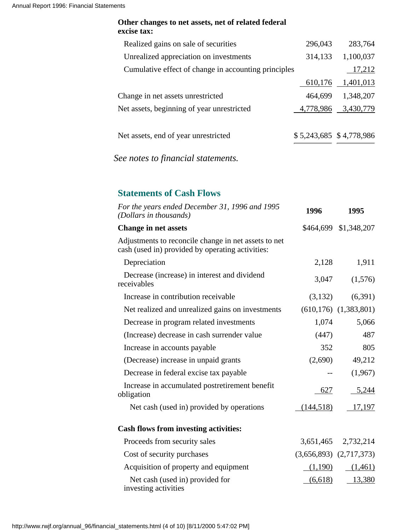### **Other changes to net assets, net of related federal excise tax:**

| Realized gains on sale of securities                 | 296,043   | 283,764                   |
|------------------------------------------------------|-----------|---------------------------|
| Unrealized appreciation on investments               | 314,133   | 1,100,037                 |
| Cumulative effect of change in accounting principles |           | 17,212                    |
|                                                      | 610,176   | 1,401,013                 |
| Change in net assets unrestricted                    | 464,699   | 1,348,207                 |
| Net assets, beginning of year unrestricted           | 4,778,986 | 3,430,779                 |
| Net assets, end of year unrestricted                 |           | $$5,243,685$ $$4,778,986$ |

*See notes to financial statements.*

## **Statements of Cash Flows**

| For the years ended December 31, 1996 and 1995<br>(Dollars in thousands)                                 | 1996       | 1995                         |
|----------------------------------------------------------------------------------------------------------|------------|------------------------------|
| <b>Change in net assets</b>                                                                              |            | \$464,699 \$1,348,207        |
| Adjustments to reconcile change in net assets to net<br>cash (used in) provided by operating activities: |            |                              |
| Depreciation                                                                                             | 2,128      | 1,911                        |
| Decrease (increase) in interest and dividend<br>receivables                                              | 3,047      | (1,576)                      |
| Increase in contribution receivable                                                                      | (3,132)    | (6,391)                      |
| Net realized and unrealized gains on investments                                                         |            | $(610, 176)$ $(1, 383, 801)$ |
| Decrease in program related investments                                                                  | 1,074      | 5,066                        |
| (Increase) decrease in cash surrender value                                                              | (447)      | 487                          |
| Increase in accounts payable                                                                             | 352        | 805                          |
| (Decrease) increase in unpaid grants                                                                     | (2,690)    | 49,212                       |
| Decrease in federal excise tax payable                                                                   | $- -$      | (1,967)                      |
| Increase in accumulated postretirement benefit<br>obligation                                             | 627        | 5,244                        |
| Net cash (used in) provided by operations                                                                | (144, 518) | 17,197                       |
| <b>Cash flows from investing activities:</b>                                                             |            |                              |
| Proceeds from security sales                                                                             |            | 3,651,465 2,732,214          |
| Cost of security purchases                                                                               |            | $(3,656,893)$ $(2,717,373)$  |
| Acquisition of property and equipment                                                                    | (1,190)    | (1,461)                      |
| Net cash (used in) provided for<br>investing activities                                                  | (6,618)    | 13,380                       |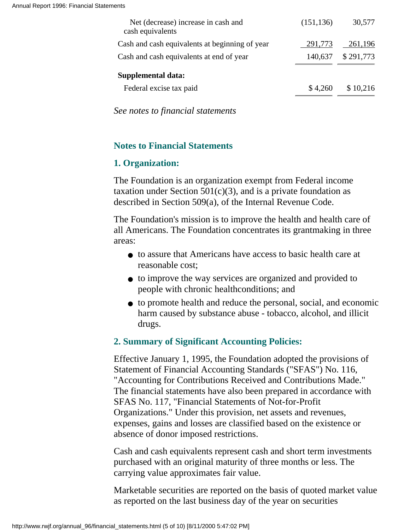| (151, 136) | 30,577    |
|------------|-----------|
| 291,773    | 261,196   |
| 140,637    | \$291,773 |
|            |           |
| \$4.260    | \$10,216  |
|            |           |

*See notes to financial statements*

## **Notes to Financial Statements**

## **1. Organization:**

The Foundation is an organization exempt from Federal income taxation under Section  $501(c)(3)$ , and is a private foundation as described in Section 509(a), of the Internal Revenue Code.

The Foundation's mission is to improve the health and health care of all Americans. The Foundation concentrates its grantmaking in three areas:

- to assure that Americans have access to basic health care at reasonable cost;
- to improve the way services are organized and provided to people with chronic healthconditions; and
- to promote health and reduce the personal, social, and economic harm caused by substance abuse - tobacco, alcohol, and illicit drugs.

## **2. Summary of Significant Accounting Policies:**

Effective January 1, 1995, the Foundation adopted the provisions of Statement of Financial Accounting Standards ("SFAS") No. 116, "Accounting for Contributions Received and Contributions Made." The financial statements have also been prepared in accordance with SFAS No. 117, "Financial Statements of Not-for-Profit Organizations." Under this provision, net assets and revenues, expenses, gains and losses are classified based on the existence or absence of donor imposed restrictions.

Cash and cash equivalents represent cash and short term investments purchased with an original maturity of three months or less. The carrying value approximates fair value.

Marketable securities are reported on the basis of quoted market value as reported on the last business day of the year on securities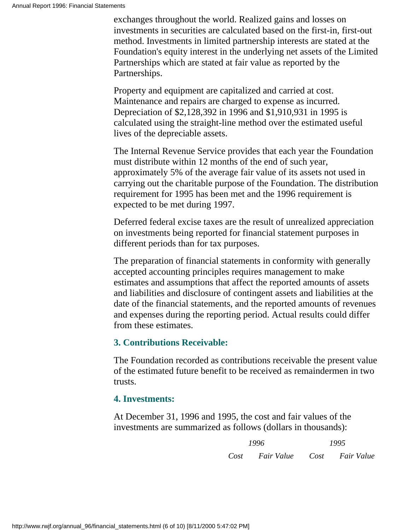exchanges throughout the world. Realized gains and losses on investments in securities are calculated based on the first-in, first-out method. Investments in limited partnership interests are stated at the Foundation's equity interest in the underlying net assets of the Limited Partnerships which are stated at fair value as reported by the Partnerships.

Property and equipment are capitalized and carried at cost. Maintenance and repairs are charged to expense as incurred. Depreciation of \$2,128,392 in 1996 and \$1,910,931 in 1995 is calculated using the straight-line method over the estimated useful lives of the depreciable assets.

The Internal Revenue Service provides that each year the Foundation must distribute within 12 months of the end of such year, approximately 5% of the average fair value of its assets not used in carrying out the charitable purpose of the Foundation. The distribution requirement for 1995 has been met and the 1996 requirement is expected to be met during 1997.

Deferred federal excise taxes are the result of unrealized appreciation on investments being reported for financial statement purposes in different periods than for tax purposes.

The preparation of financial statements in conformity with generally accepted accounting principles requires management to make estimates and assumptions that affect the reported amounts of assets and liabilities and disclosure of contingent assets and liabilities at the date of the financial statements, and the reported amounts of revenues and expenses during the reporting period. Actual results could differ from these estimates.

## **3. Contributions Receivable:**

The Foundation recorded as contributions receivable the present value of the estimated future benefit to be received as remaindermen in two trusts.

## **4. Investments:**

At December 31, 1996 and 1995, the cost and fair values of the investments are summarized as follows (dollars in thousands):

> *1996 1995 Cost Fair Value Cost Fair Value*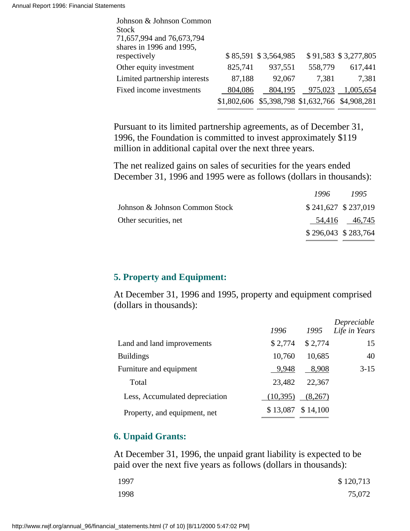| Johnson & Johnson Common      |         |                                                 |         |                      |
|-------------------------------|---------|-------------------------------------------------|---------|----------------------|
| <b>Stock</b>                  |         |                                                 |         |                      |
| 71,657,994 and 76,673,794     |         |                                                 |         |                      |
| shares in 1996 and 1995,      |         |                                                 |         |                      |
| respectively                  |         | \$85,591 \$3,564,985                            |         | \$91,583 \$3,277,805 |
| Other equity investment       | 825,741 | 937,551                                         | 558,779 | 617,441              |
| Limited partnership interests | 87,188  | 92,067                                          | 7.381   | 7,381                |
| Fixed income investments      | 804,086 | 804,195                                         | 975,023 | 1,005,654            |
|                               |         | \$1,802,606 \$5,398,798 \$1,632,766 \$4,908,281 |         |                      |

Pursuant to its limited partnership agreements, as of December 31, 1996, the Foundation is committed to invest approximately \$119 million in additional capital over the next three years.

The net realized gains on sales of securities for the years ended December 31, 1996 and 1995 were as follows (dollars in thousands):

|                                |                       | $1990 - 199.$ |
|--------------------------------|-----------------------|---------------|
| Johnson & Johnson Common Stock | $$241,627$ $$237,019$ |               |
| Other securities, net          |                       | 54,416 46,745 |
|                                | $$296,043$ $$283,764$ |               |

*1996 1995*

## **5. Property and Equipment:**

At December 31, 1996 and 1995, property and equipment comprised (dollars in thousands):

|                                | 1996      | 1995     | Depreciable<br>Life in Years |
|--------------------------------|-----------|----------|------------------------------|
| Land and land improvements     | \$2,774   | \$2,774  | 15                           |
| <b>Buildings</b>               | 10,760    | 10,685   | 40                           |
| Furniture and equipment        | 9,948     | 8,908    | $3 - 15$                     |
| Total                          | 23,482    | 22,367   |                              |
| Less, Accumulated depreciation | (10, 395) | (8,267)  |                              |
| Property, and equipment, net   | \$13,087  | \$14,100 |                              |

## **6. Unpaid Grants:**

At December 31, 1996, the unpaid grant liability is expected to be paid over the next five years as follows (dollars in thousands):

| 1997 | \$120,713 |
|------|-----------|
| 1998 | 75,072    |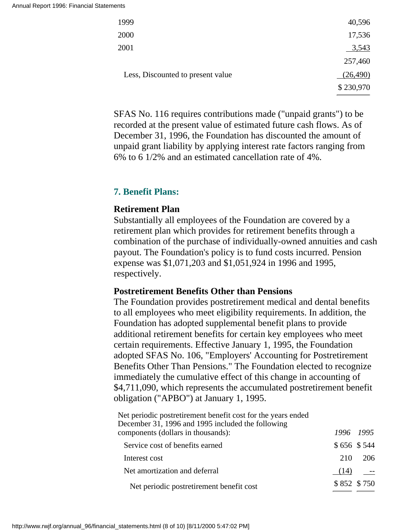| 1999                              | 40,596    |
|-----------------------------------|-----------|
| 2000                              | 17,536    |
| 2001                              | 3,543     |
|                                   | 257,460   |
| Less, Discounted to present value | (26, 490) |
|                                   | \$230,970 |
|                                   |           |

SFAS No. 116 requires contributions made ("unpaid grants") to be recorded at the present value of estimated future cash flows. As of December 31, 1996, the Foundation has discounted the amount of unpaid grant liability by applying interest rate factors ranging from 6% to 6 1/2% and an estimated cancellation rate of 4%.

## **7. Benefit Plans:**

### **Retirement Plan**

Substantially all employees of the Foundation are covered by a retirement plan which provides for retirement benefits through a combination of the purchase of individually-owned annuities and cash payout. The Foundation's policy is to fund costs incurred. Pension expense was \$1,071,203 and \$1,051,924 in 1996 and 1995, respectively.

### **Postretirement Benefits Other than Pensions**

The Foundation provides postretirement medical and dental benefits to all employees who meet eligibility requirements. In addition, the Foundation has adopted supplemental benefit plans to provide additional retirement benefits for certain key employees who meet certain requirements. Effective January 1, 1995, the Foundation adopted SFAS No. 106, "Employers' Accounting for Postretirement Benefits Other Than Pensions." The Foundation elected to recognize immediately the cumulative effect of this change in accounting of \$4,711,090, which represents the accumulated postretirement benefit obligation ("APBO") at January 1, 1995.

| Net periodic postretirement benefit cost for the years ended<br>December 31, 1996 and 1995 included the following |             |           |
|-------------------------------------------------------------------------------------------------------------------|-------------|-----------|
| components (dollars in thousands):                                                                                |             | 1996 1995 |
| Service cost of benefits earned                                                                                   | \$656 \$544 |           |
| Interest cost                                                                                                     | 210         | - 206     |
| Net amortization and deferral                                                                                     | (14)        |           |
| Net periodic postretirement benefit cost                                                                          | \$852 \$750 |           |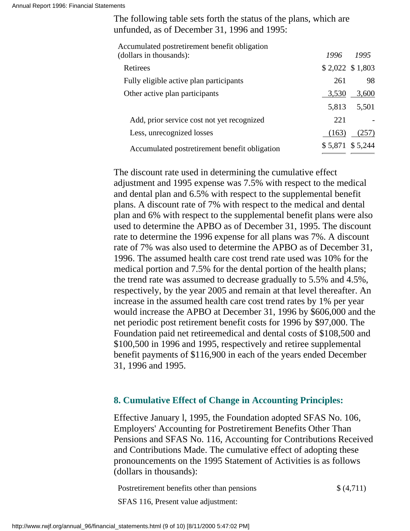Annual Report 1996: Financial Statements

The following table sets forth the status of the plans, which are unfunded, as of December 31, 1996 and 1995:

| Accumulated postretirement benefit obligation<br>(dollars in thousands): | 1996  | 1995             |
|--------------------------------------------------------------------------|-------|------------------|
| Retirees                                                                 |       | $$2,022$ \$1,803 |
| Fully eligible active plan participants                                  | 261   | 98               |
| Other active plan participants                                           | 3,530 | 3,600            |
|                                                                          |       | 5,813 5,501      |
| Add, prior service cost not yet recognized                               | 221   |                  |
| Less, unrecognized losses                                                | (163) | (257)            |
| Accumulated postretirement benefit obligation                            |       | \$5,871 \$5,244  |

The discount rate used in determining the cumulative effect adjustment and 1995 expense was 7.5% with respect to the medical and dental plan and 6.5% with respect to the supplemental benefit plans. A discount rate of 7% with respect to the medical and dental plan and 6% with respect to the supplemental benefit plans were also used to determine the APBO as of December 31, 1995. The discount rate to determine the 1996 expense for all plans was 7%. A discount rate of 7% was also used to determine the APBO as of December 31, 1996. The assumed health care cost trend rate used was 10% for the medical portion and 7.5% for the dental portion of the health plans; the trend rate was assumed to decrease gradually to 5.5% and 4.5%, respectively, by the year 2005 and remain at that level thereafter. An increase in the assumed health care cost trend rates by 1% per year would increase the APBO at December 31, 1996 by \$606,000 and the net periodic post retirement benefit costs for 1996 by \$97,000. The Foundation paid net retireemedical and dental costs of \$108,500 and \$100,500 in 1996 and 1995, respectively and retiree supplemental benefit payments of \$116,900 in each of the years ended December 31, 1996 and 1995.

## **8. Cumulative Effect of Change in Accounting Principles:**

Effective January l, 1995, the Foundation adopted SFAS No. 106, Employers' Accounting for Postretirement Benefits Other Than Pensions and SFAS No. 116, Accounting for Contributions Received and Contributions Made. The cumulative effect of adopting these pronouncements on the 1995 Statement of Activities is as follows (dollars in thousands):

Postretirement benefits other than pensions  $\{(4,711)\}$ SFAS 116, Present value adjustment: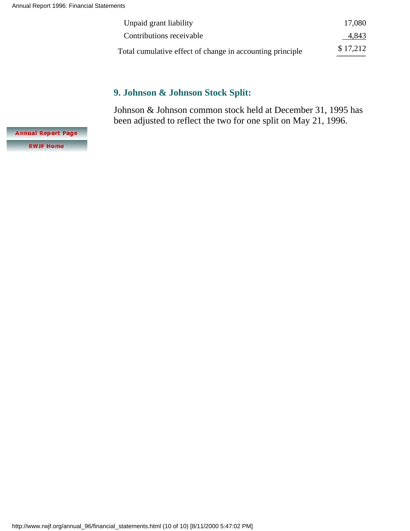| Unpaid grant liability                                    | 17,080   |
|-----------------------------------------------------------|----------|
| Contributions receivable                                  | 4,843    |
| Total cumulative effect of change in accounting principle | \$17,212 |

## **9. Johnson & Johnson Stock Split:**

Johnson & Johnson common stock held at December 31, 1995 has been adjusted to reflect the two for one split on May 21, 1996.

**Annual Report Page RWJF Home**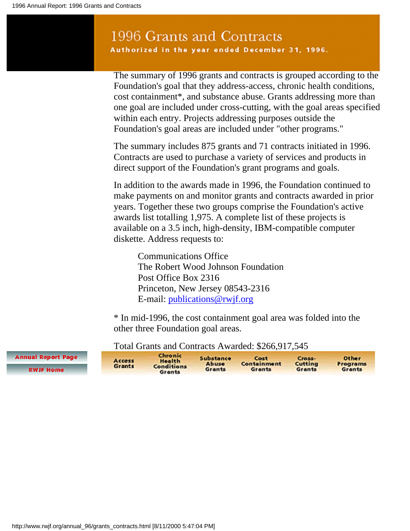## 1996 Grants and Contracts Authorized in the year ended December 31, 1996.

The summary of 1996 grants and contracts is grouped according to the Foundation's goal that they address-access, chronic health conditions, cost containment\*, and substance abuse. Grants addressing more than one goal are included under cross-cutting, with the goal areas specified within each entry. Projects addressing purposes outside the Foundation's goal areas are included under "other programs."

The summary includes 875 grants and 71 contracts initiated in 1996. Contracts are used to purchase a variety of services and products in direct support of the Foundation's grant programs and goals.

In addition to the awards made in 1996, the Foundation continued to make payments on and monitor grants and contracts awarded in prior years. Together these two groups comprise the Foundation's active awards list totalling 1,975. A complete list of these projects is available on a 3.5 inch, high-density, IBM-compatible computer diskette. Address requests to:

Communications Office The Robert Wood Johnson Foundation Post Office Box 2316 Princeton, New Jersey 08543-2316 E-mail: [publications@rwjf.org](mailto:publications@rwjf.org)

\* In mid-1996, the cost containment goal area was folded into the other three Foundation goal areas.

Chronic **Annual Report Page** Substance Cost Cross-Other Access **Health Abuse**<br>Grants Containment Cutting Programs **Grants Conditions RWJF Home Grants** Grants Grants Grants

### Total Grants and Contracts Awarded: \$266,917,545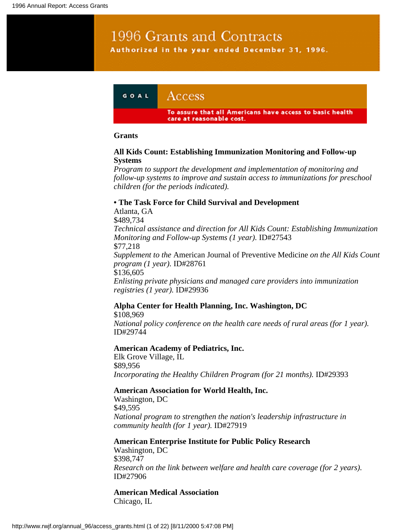# 1996 Grants and Contracts Authorized in the year ended December 31, 1996.



#### **Grants**

#### **All Kids Count: Establishing Immunization Monitoring and Follow-up Systems**

*Program to support the development and implementation of monitoring and follow-up systems to improve and sustain access to immunizations for preschool children (for the periods indicated).*

#### **• The Task Force for Child Survival and Development**

Atlanta, GA \$489,734 *Technical assistance and direction for All Kids Count: Establishing Immunization Monitoring and Follow-up Systems (1 year).* ID#27543 \$77,218 *Supplement to the* American Journal of Preventive Medicine *on the All Kids Count program (1 year).* ID#28761 \$136,605 *Enlisting private physicians and managed care providers into immunization registries (1 year).* ID#29936

#### **Alpha Center for Health Planning, Inc. Washington, DC**

\$108,969 *National policy conference on the health care needs of rural areas (for 1 year).* ID#29744

#### **American Academy of Pediatrics, Inc.**

Elk Grove Village, IL \$89,956 *Incorporating the Healthy Children Program (for 21 months).* **ID#29393** 

#### **American Association for World Health, Inc.**

Washington, DC \$49,595 *National program to strengthen the nation's leadership infrastructure in community health (for 1 year).* ID#27919

## **American Enterprise Institute for Public Policy Research**

Washington, DC \$398,747 *Research on the link between welfare and health care coverage (for 2 years).* ID#27906

#### **American Medical Association** Chicago, IL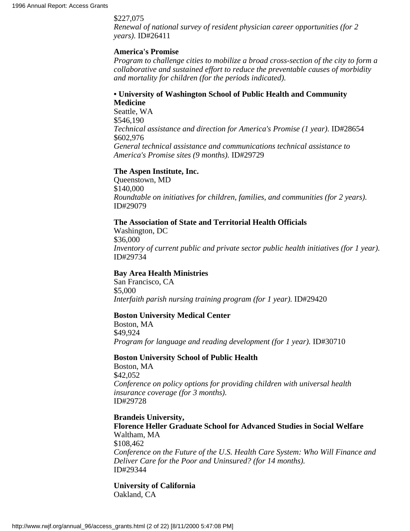#### \$227,075

*Renewal of national survey of resident physician career opportunities (for 2 years).* ID#26411

#### **America's Promise**

*Program to challenge cities to mobilize a broad cross-section of the city to form a collaborative and sustained effort to reduce the preventable causes of morbidity and mortality for children (for the periods indicated).*

#### **• University of Washington School of Public Health and Community Medicine**

Seattle, WA \$546,190 *Technical assistance and direction for America's Promise (1 year).* ID#28654 \$602,976 *General technical assistance and communications technical assistance to America's Promise sites (9 months).* ID#29729

#### **The Aspen Institute, Inc.**

Queenstown, MD \$140,000 *Roundtable on initiatives for children, families, and communities (for 2 years).* ID#29079

#### **The Association of State and Territorial Health Officials**

Washington, DC \$36,000 *Inventory of current public and private sector public health initiatives (for 1 year).* ID#29734

#### **Bay Area Health Ministries**

San Francisco, CA \$5,000 *Interfaith parish nursing training program (for 1 year).* ID#29420

#### **Boston University Medical Center**

Boston, MA \$49,924 *Program for language and reading development (for 1 year).* ID#30710

#### **Boston University School of Public Health**

Boston, MA \$42,052 *Conference on policy options for providing children with universal health insurance coverage (for 3 months).* ID#29728

**Brandeis University, Florence Heller Graduate School for Advanced Studies in Social Welfare** Waltham, MA \$108,462 *Conference on the Future of the U.S. Health Care System: Who Will Finance and Deliver Care for the Poor and Uninsured? (for 14 months).* ID#29344

**University of California** Oakland, CA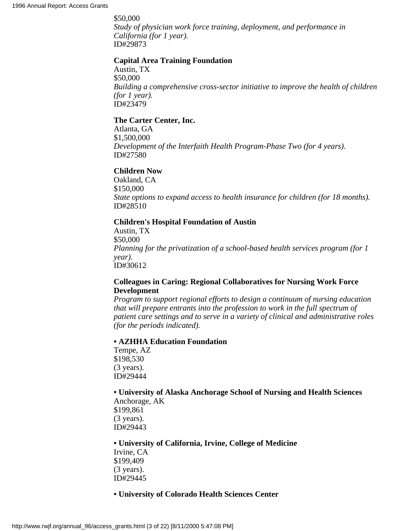\$50,000

*Study of physician work force training, deployment, and performance in California (for 1 year).* ID#29873

#### **Capital Area Training Foundation**

Austin, TX \$50,000 *Building a comprehensive cross-sector initiative to improve the health of children (for 1 year).* ID#23479

#### **The Carter Center, Inc.**

Atlanta, GA \$1,500,000 *Development of the Interfaith Health Program-Phase Two (for 4 years).* ID#27580

#### **Children Now**

Oakland, CA \$150,000 *State options to expand access to health insurance for children (for 18 months).* ID#28510

#### **Children's Hospital Foundation of Austin**

Austin, TX \$50,000 *Planning for the privatization of a school-based health services program (for 1 year).* ID#30612

#### **Colleagues in Caring: Regional Collaboratives for Nursing Work Force Development**

*Program to support regional efforts to design a continuum of nursing education that will prepare entrants into the profession to work in the full spectrum of patient care settings and to serve in a variety of clinical and administrative roles (for the periods indicated).*

#### **• AZHHA Education Foundation**

Tempe, AZ \$198,530 (3 years). ID#29444

#### **• University of Alaska Anchorage School of Nursing and Health Sciences** Anchorage, AK

\$199,861 (3 years). ID#29443

#### **• University of California, Irvine, College of Medicine**

Irvine, CA \$199,409 (3 years). ID#29445

#### **• University of Colorado Health Sciences Center**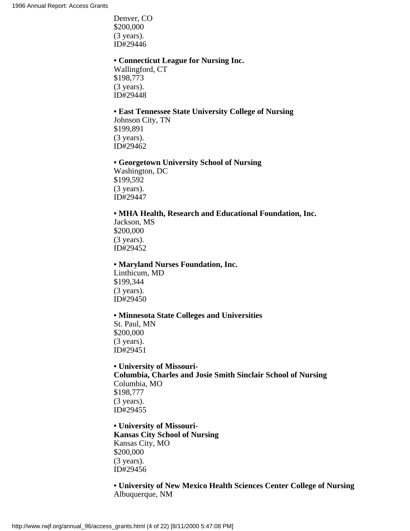Denver, CO \$200,000 (3 years). ID#29446

#### **• Connecticut League for Nursing Inc.**

Wallingford, CT \$198,773 (3 years). ID#29448

#### **• East Tennessee State University College of Nursing**

Johnson City, TN \$199,891 (3 years). ID#29462

#### **• Georgetown University School of Nursing**

Washington, DC \$199,592 (3 years). ID#29447

#### **• MHA Health, Research and Educational Foundation, Inc.**

Jackson, MS \$200,000 (3 years). ID#29452

#### **• Maryland Nurses Foundation, Inc.**

Linthicum, MD \$199,344 (3 years). ID#29450

#### **• Minnesota State Colleges and Universities**

St. Paul, MN \$200,000 (3 years). ID#29451

**• University of Missouri-Columbia, Charles and Josie Smith Sinclair School of Nursing** Columbia, MO \$198,777 (3 years). ID#29455

**• University of Missouri-Kansas City School of Nursing** Kansas City, MO \$200,000 (3 years). ID#29456

#### **• University of New Mexico Health Sciences Center College of Nursing** Albuquerque, NM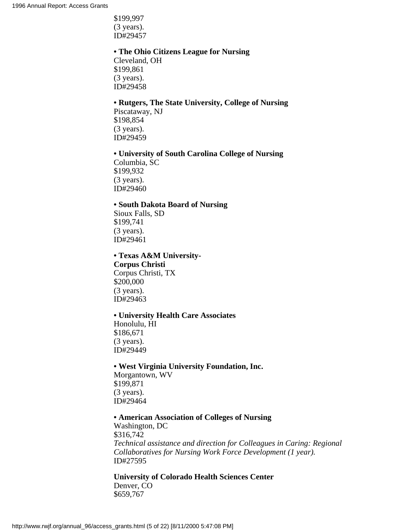\$199,997 (3 years). ID#29457

#### **• The Ohio Citizens League for Nursing**

Cleveland, OH \$199,861 (3 years). ID#29458

#### **• Rutgers, The State University, College of Nursing**

Piscataway, NJ \$198,854 (3 years). ID#29459

#### **• University of South Carolina College of Nursing**

Columbia, SC \$199,932 (3 years). ID#29460

#### **• South Dakota Board of Nursing**

Sioux Falls, SD \$199,741 (3 years). ID#29461

#### **• Texas A&M University-**

**Corpus Christi** Corpus Christi, TX \$200,000 (3 years). ID#29463

#### **• University Health Care Associates**

Honolulu, HI \$186,671 (3 years). ID#29449

#### **• West Virginia University Foundation, Inc.**

Morgantown, WV \$199,871 (3 years). ID#29464

#### **• American Association of Colleges of Nursing**

Washington, DC \$316,742 *Technical assistance and direction for Colleagues in Caring: Regional Collaboratives for Nursing Work Force Development (1 year).* ID#27595

**University of Colorado Health Sciences Center** Denver, CO \$659,767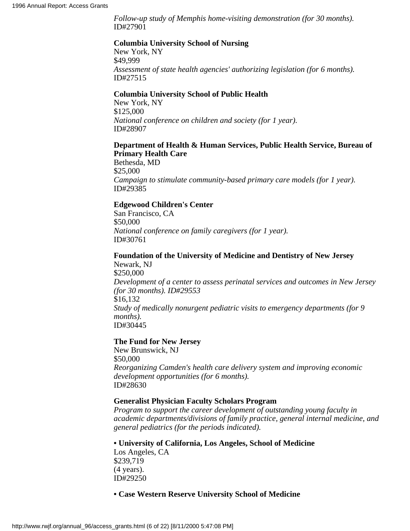*Follow-up study of Memphis home-visiting demonstration (for 30 months).* ID#27901

#### **Columbia University School of Nursing**

New York, NY \$49,999 *Assessment of state health agencies' authorizing legislation (for 6 months).* ID#27515

#### **Columbia University School of Public Health**

New York, NY \$125,000 *National conference on children and society (for 1 year).* ID#28907

#### **Department of Health & Human Services, Public Health Service, Bureau of Primary Health Care**

Bethesda, MD \$25,000 *Campaign to stimulate community-based primary care models (for 1 year).* ID#29385

#### **Edgewood Children's Center**

San Francisco, CA \$50,000 *National conference on family caregivers (for 1 year).* ID#30761

#### **Foundation of the University of Medicine and Dentistry of New Jersey** Newark, NJ

\$250,000 *Development of a center to assess perinatal services and outcomes in New Jersey (for 30 months). ID#29553* \$16,132 *Study of medically nonurgent pediatric visits to emergency departments (for 9 months).* ID#30445

#### **The Fund for New Jersey**

New Brunswick, NJ \$50,000 *Reorganizing Camden's health care delivery system and improving economic development opportunities (for 6 months).* ID#28630

#### **Generalist Physician Faculty Scholars Program**

*Program to support the career development of outstanding young faculty in academic departments/divisions of family practice, general internal medicine, and general pediatrics (for the periods indicated).*

#### **• University of California, Los Angeles, School of Medicine**

Los Angeles, CA \$239,719 (4 years). ID#29250

#### **• Case Western Reserve University School of Medicine**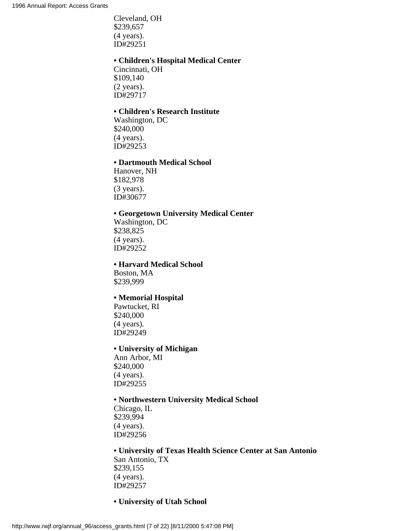Cleveland, OH \$239,657 (4 years). ID#29251

#### **• Children's Hospital Medical Center**

Cincinnati, OH \$109,140 (2 years). ID#29717

#### **• Children's Research Institute**

Washington, DC \$240,000 (4 years). ID#29253

#### **• Dartmouth Medical School**

Hanover, NH \$182,978 (3 years). ID#30677

#### **• Georgetown University Medical Center**

Washington, DC \$238,825 (4 years). ID#29252

#### **• Harvard Medical School**

Boston, MA \$239,999

#### **• Memorial Hospital**

Pawtucket, RI \$240,000 (4 years). ID#29249

#### **• University of Michigan**

Ann Arbor, MI \$240,000 (4 years). ID#29255

#### **• Northwestern University Medical School**

Chicago, IL \$239,994 (4 years). ID#29256

#### **• University of Texas Health Science Center at San Antonio** San Antonio, TX \$239,155 (4 years). ID#29257

#### **• University of Utah School**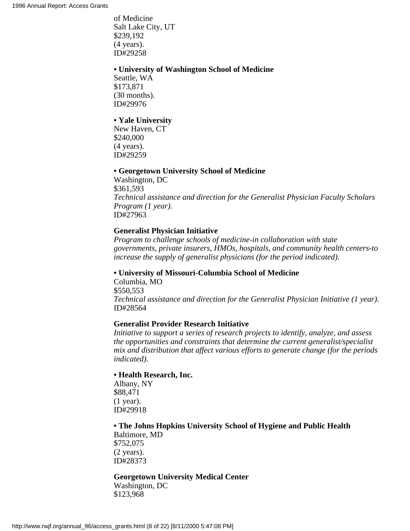of Medicine Salt Lake City, UT \$239,192 (4 years). ID#29258

#### **• University of Washington School of Medicine**

Seattle, WA \$173,871 (30 months). ID#29976

#### **• Yale University**

New Haven, CT \$240,000 (4 years). ID#29259

#### **• Georgetown University School of Medicine**

Washington, DC \$361,593 *Technical assistance and direction for the Generalist Physician Faculty Scholars Program (1 year).* ID#27963

#### **Generalist Physician Initiative**

*Program to challenge schools of medicine-in collaboration with state governments, private insurers, HMOs, hospitals, and community health centers-to increase the supply of generalist physicians (for the period indicated).*

#### **• University of Missouri-Columbia School of Medicine**

Columbia, MO \$550,553 *Technical assistance and direction for the Generalist Physician Initiative (1 year).* ID#28564

#### **Generalist Provider Research Initiative**

*Initiative to support a series of research projects to identify, analyze, and assess the opportunities and constraints that determine the current generalist/specialist mix and distribution that affect various efforts to generate change (for the periods indicated).*

#### **• Health Research, Inc.**

Albany, NY \$88,471 (1 year). ID#29918

#### **• The Johns Hopkins University School of Hygiene and Public Health**

Baltimore, MD \$752,075 (2 years). ID#28373

#### **Georgetown University Medical Center** Washington, DC

\$123,968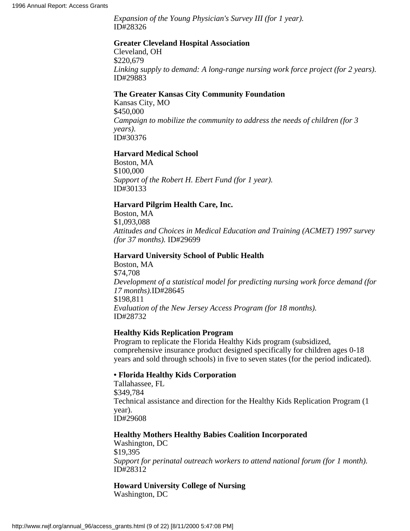*Expansion of the Young Physician's Survey III (for 1 year).* ID#28326

#### **Greater Cleveland Hospital Association**

Cleveland, OH \$220,679 *Linking supply to demand: A long-range nursing work force project (for 2 years).* ID#29883

#### **The Greater Kansas City Community Foundation**

Kansas City, MO \$450,000 *Campaign to mobilize the community to address the needs of children (for 3 years).* ID#30376

#### **Harvard Medical School**

Boston, MA \$100,000 *Support of the Robert H. Ebert Fund (for 1 year).* ID#30133

#### **Harvard Pilgrim Health Care, Inc.**

Boston, MA \$1,093,088 *Attitudes and Choices in Medical Education and Training (ACMET) 1997 survey (for 37 months).* ID#29699

#### **Harvard University School of Public Health**

Boston, MA \$74,708 *Development of a statistical model for predicting nursing work force demand (for 17 months).*ID#28645 \$198,811 *Evaluation of the New Jersey Access Program (for 18 months).* ID#28732

#### **Healthy Kids Replication Program**

Program to replicate the Florida Healthy Kids program (subsidized, comprehensive insurance product designed specifically for children ages 0-18 years and sold through schools) in five to seven states (for the period indicated).

#### **• Florida Healthy Kids Corporation**

Tallahassee, FL \$349,784 Technical assistance and direction for the Healthy Kids Replication Program (1 year). ID#29608

## **Healthy Mothers Healthy Babies Coalition Incorporated**

Washington, DC \$19,395 *Support for perinatal outreach workers to attend national forum (for 1 month).* ID#28312

#### **Howard University College of Nursing** Washington, DC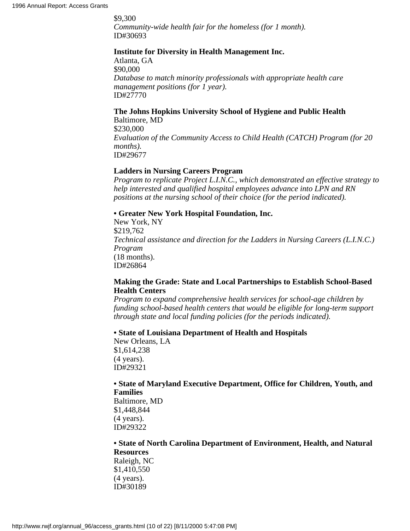\$9,300 *Community-wide health fair for the homeless (for 1 month).* ID#30693

#### **Institute for Diversity in Health Management Inc.**

Atlanta, GA \$90,000 *Database to match minority professionals with appropriate health care management positions (for 1 year).* ID#27770

#### **The Johns Hopkins University School of Hygiene and Public Health** Baltimore, MD

\$230,000 *Evaluation of the Community Access to Child Health (CATCH) Program (for 20 months).* ID#29677

## **Ladders in Nursing Careers Program**

*Program to replicate Project L.I.N.C., which demonstrated an effective strategy to help interested and qualified hospital employees advance into LPN and RN positions at the nursing school of their choice (for the period indicated).*

## **• Greater New York Hospital Foundation, Inc.**

New York, NY \$219,762 *Technical assistance and direction for the Ladders in Nursing Careers (L.I.N.C.) Program* (18 months). ID#26864

## **Making the Grade: State and Local Partnerships to Establish School-Based Health Centers**

*Program to expand comprehensive health services for school-age children by funding school-based health centers that would be eligible for long-term support through state and local funding policies (for the periods indicated).*

## **• State of Louisiana Department of Health and Hospitals**

New Orleans, LA \$1,614,238 (4 years). ID#29321

# **• State of Maryland Executive Department, Office for Children, Youth, and Families**

Baltimore, MD \$1,448,844 (4 years). ID#29322

# **• State of North Carolina Department of Environment, Health, and Natural Resources**

Raleigh, NC \$1,410,550 (4 years). ID#30189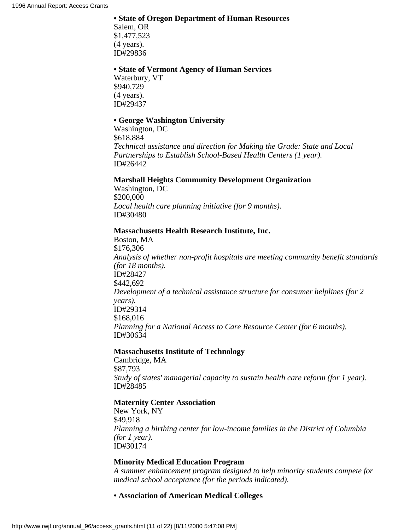## **• State of Oregon Department of Human Resources**

Salem, OR \$1,477,523 (4 years). ID#29836

#### **• State of Vermont Agency of Human Services**

Waterbury, VT \$940,729 (4 years). ID#29437

## **• George Washington University**

Washington, DC \$618,884 *Technical assistance and direction for Making the Grade: State and Local Partnerships to Establish School-Based Health Centers (1 year).* ID#26442

## **Marshall Heights Community Development Organization**

Washington, DC \$200,000 *Local health care planning initiative (for 9 months).* ID#30480

## **Massachusetts Health Research Institute, Inc.**

Boston, MA \$176,306 *Analysis of whether non-profit hospitals are meeting community benefit standards (for 18 months).* ID#28427 \$442,692 *Development of a technical assistance structure for consumer helplines (for 2 years).* ID#29314 \$168,016 *Planning for a National Access to Care Resource Center (for 6 months).* ID#30634

## **Massachusetts Institute of Technology**

Cambridge, MA \$87,793 *Study of states' managerial capacity to sustain health care reform (for 1 year).* ID#28485

## **Maternity Center Association**

New York, NY \$49,918 *Planning a birthing center for low-income families in the District of Columbia (for 1 year).* ID#30174

# **Minority Medical Education Program**

*A summer enhancement program designed to help minority students compete for medical school acceptance (for the periods indicated).*

## **• Association of American Medical Colleges**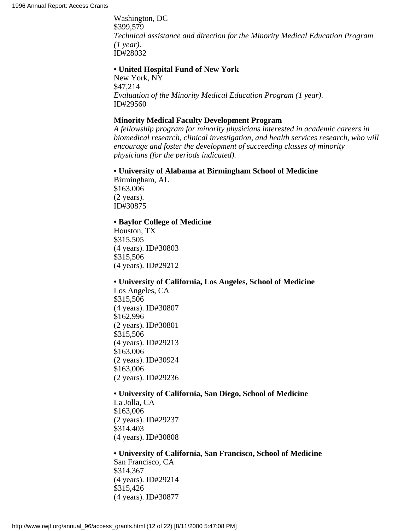Washington, DC \$399,579 *Technical assistance and direction for the Minority Medical Education Program (1 year).* ID#28032

#### **• United Hospital Fund of New York**

New York, NY \$47,214 *Evaluation of the Minority Medical Education Program (1 year).* ID#29560

#### **Minority Medical Faculty Development Program**

*A fellowship program for minority physicians interested in academic careers in biomedical research, clinical investigation, and health services research, who will encourage and foster the development of succeeding classes of minority physicians (for the periods indicated).*

#### **• University of Alabama at Birmingham School of Medicine**

Birmingham, AL \$163,006 (2 years). ID#30875

#### **• Baylor College of Medicine**

Houston, TX \$315,505 (4 years). ID#30803 \$315,506 (4 years). ID#29212

#### **• University of California, Los Angeles, School of Medicine**

Los Angeles, CA \$315,506 (4 years). ID#30807 \$162,996 (2 years). ID#30801 \$315,506 (4 years). ID#29213 \$163,006 (2 years). ID#30924 \$163,006 (2 years). ID#29236

#### **• University of California, San Diego, School of Medicine**

La Jolla, CA \$163,006 (2 years). ID#29237 \$314,403 (4 years). ID#30808

#### **• University of California, San Francisco, School of Medicine** San Francisco, CA

\$314,367 (4 years). ID#29214 \$315,426 (4 years). ID#30877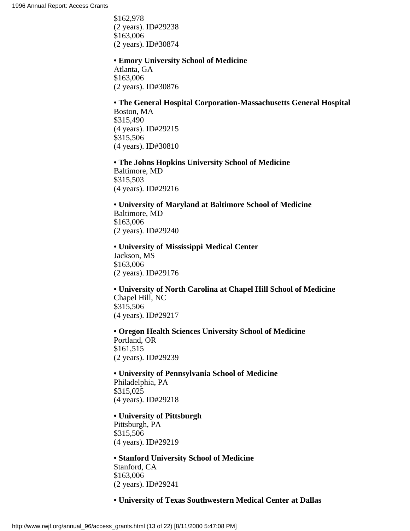\$162,978 (2 years). ID#29238 \$163,006 (2 years). ID#30874

**• Emory University School of Medicine** Atlanta, GA \$163,006 (2 years). ID#30876

#### **• The General Hospital Corporation-Massachusetts General Hospital** Boston, MA

\$315,490 (4 years). ID#29215 \$315,506 (4 years). ID#30810

**• The Johns Hopkins University School of Medicine** Baltimore, MD \$315,503 (4 years). ID#29216

**• University of Maryland at Baltimore School of Medicine** Baltimore, MD \$163,006 (2 years). ID#29240

**• University of Mississippi Medical Center** Jackson, MS \$163,006 (2 years). ID#29176

**• University of North Carolina at Chapel Hill School of Medicine** Chapel Hill, NC \$315,506 (4 years). ID#29217

**• Oregon Health Sciences University School of Medicine** Portland, OR

\$161,515 (2 years). ID#29239

**• University of Pennsylvania School of Medicine** Philadelphia, PA \$315,025 (4 years). ID#29218

**• University of Pittsburgh** Pittsburgh, PA \$315,506

(4 years). ID#29219

**• Stanford University School of Medicine** Stanford, CA \$163,006 (2 years). ID#29241

# **• University of Texas Southwestern Medical Center at Dallas**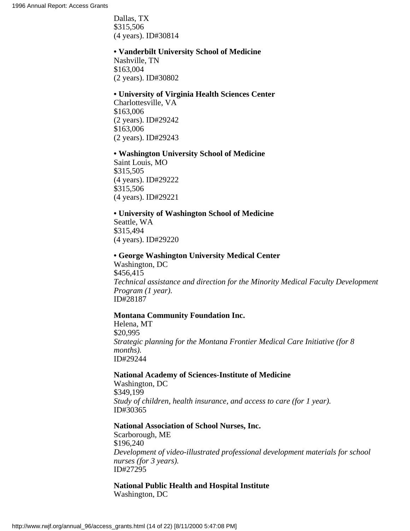Dallas, TX \$315,506 (4 years). ID#30814

#### **• Vanderbilt University School of Medicine**

Nashville, TN \$163,004 (2 years). ID#30802

#### **• University of Virginia Health Sciences Center**

Charlottesville, VA \$163,006 (2 years). ID#29242 \$163,006 (2 years). ID#29243

#### **• Washington University School of Medicine**

Saint Louis, MO \$315,505 (4 years). ID#29222 \$315,506 (4 years). ID#29221

# **• University of Washington School of Medicine**

Seattle, WA \$315,494 (4 years). ID#29220

#### **• George Washington University Medical Center**

Washington, DC \$456,415 *Technical assistance and direction for the Minority Medical Faculty Development Program (1 year).* ID#28187

#### **Montana Community Foundation Inc.**

Helena, MT \$20,995 *Strategic planning for the Montana Frontier Medical Care Initiative (for 8 months).* ID#29244

#### **National Academy of Sciences-Institute of Medicine**

Washington, DC \$349,199 *Study of children, health insurance, and access to care (for 1 year).* ID#30365

# **National Association of School Nurses, Inc.**

Scarborough, ME \$196,240 *Development of video-illustrated professional development materials for school nurses (for 3 years).* ID#27295

#### **National Public Health and Hospital Institute** Washington, DC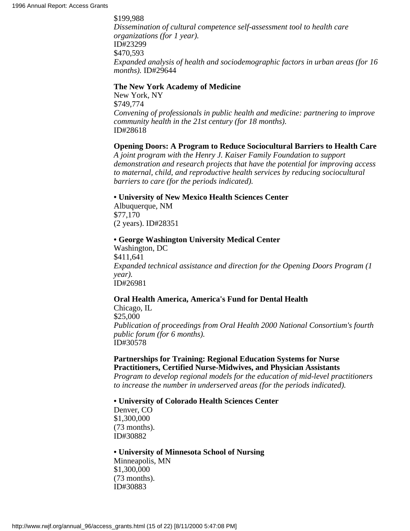\$199,988 *Dissemination of cultural competence self-assessment tool to health care organizations (for 1 year).* ID#23299 \$470,593 *Expanded analysis of health and sociodemographic factors in urban areas (for 16 months).* ID#29644

#### **The New York Academy of Medicine**

New York, NY \$749,774 *Convening of professionals in public health and medicine: partnering to improve community health in the 21st century (for 18 months).* ID#28618

#### **Opening Doors: A Program to Reduce Sociocultural Barriers to Health Care**

*A joint program with the Henry J. Kaiser Family Foundation to support demonstration and research projects that have the potential for improving access to maternal, child, and reproductive health services by reducing sociocultural barriers to care (for the periods indicated).*

#### **• University of New Mexico Health Sciences Center**

Albuquerque, NM \$77,170 (2 years). ID#28351

#### **• George Washington University Medical Center**

Washington, DC \$411,641 *Expanded technical assistance and direction for the Opening Doors Program (1 year).* ID#26981

## **Oral Health America, America's Fund for Dental Health**

Chicago, IL \$25,000 *Publication of proceedings from Oral Health 2000 National Consortium's fourth public forum (for 6 months).* ID#30578

# **Partnerships for Training: Regional Education Systems for Nurse Practitioners, Certified Nurse-Midwives, and Physician Assistants**

*Program to develop regional models for the education of mid-level practitioners to increase the number in underserved areas (for the periods indicated).*

**• University of Colorado Health Sciences Center**

Denver, CO \$1,300,000 (73 months). ID#30882

**• University of Minnesota School of Nursing** Minneapolis, MN \$1,300,000 (73 months). ID#30883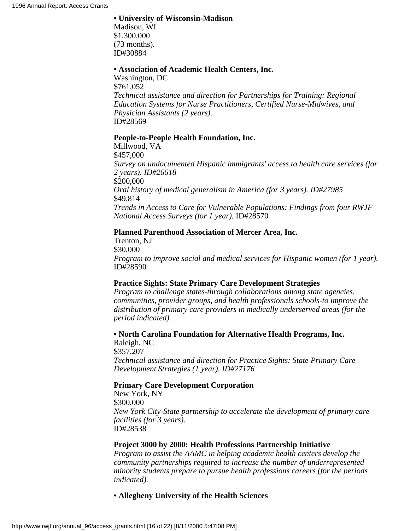#### **• University of Wisconsin-Madison**

Madison, WI \$1,300,000 (73 months). ID#30884

#### **• Association of Academic Health Centers, Inc.**

Washington, DC \$761,052 *Technical assistance and direction for Partnerships for Training: Regional Education Systems for Nurse Practitioners, Certified Nurse-Midwives, and Physician Assistants (2 years).* ID#28569

#### **People-to-People Health Foundation, Inc.**

Millwood, VA \$457,000 *Survey on undocumented Hispanic immigrants' access to health care services (for 2 years). ID#26618* \$200,000 *Oral history of medical generalism in America (for 3 years). ID#27985* \$49,814 *Trends in Access to Care for Vulnerable Populations: Findings from four RWJF National Access Surveys (for 1 year).* ID#28570

## **Planned Parenthood Association of Mercer Area, Inc.**

Trenton, NJ \$30,000 *Program to improve social and medical services for Hispanic women (for 1 year).* ID#28590

## **Practice Sights: State Primary Care Development Strategies**

*Program to challenge states-through collaborations among state agencies, communities, provider groups, and health professionals schools-to improve the distribution of primary care providers in medically underserved areas (for the period indicated).*

**• North Carolina Foundation for Alternative Health Programs, Inc.** Raleigh, NC

\$357,207 *Technical assistance and direction for Practice Sights: State Primary Care Development Strategies (1 year). ID#27176*

## **Primary Care Development Corporation**

New York, NY \$300,000 *New York City-State partnership to accelerate the development of primary care facilities (for 3 years).* ID#28538

#### **Project 3000 by 2000: Health Professions Partnership Initiative**

*Program to assist the AAMC in helping academic health centers develop the community partnerships required to increase the number of underrepresented minority students prepare to pursue health professions careers (for the periods indicated).*

**• Allegheny University of the Health Sciences**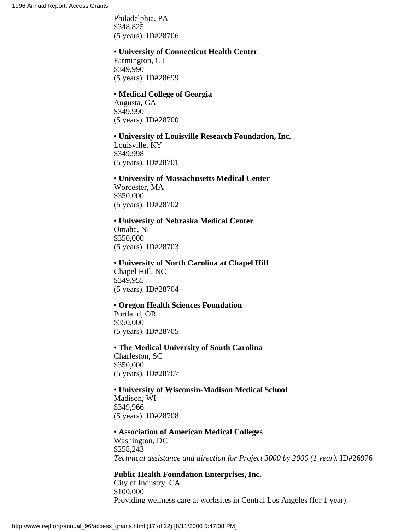Philadelphia, PA \$348,825 (5 years). ID#28706

#### **• University of Connecticut Health Center**

Farmington, CT \$349,990 (5 years). ID#28699

#### **• Medical College of Georgia**

Augusta, GA \$349,990 (5 years). ID#28700

# **• University of Louisville Research Foundation, Inc.**

Louisville, KY \$349,998 (5 years). ID#28701

# **• University of Massachusetts Medical Center** Worcester, MA \$350,000 (5 years). ID#28702

# **• University of Nebraska Medical Center** Omaha, NE \$350,000 (5 years). ID#28703

**• University of North Carolina at Chapel Hill** Chapel Hill, NC \$349,955 (5 years). ID#28704

# **• Oregon Health Sciences Foundation**

Portland, OR \$350,000 (5 years). ID#28705

# **• The Medical University of South Carolina** Charleston, SC \$350,000

(5 years). ID#28707

#### **• University of Wisconsin-Madison Medical School** Madison, WI \$349,966

(5 years). ID#28708

# **• Association of American Medical Colleges** Washington, DC \$258,243 *Technical assistance and direction for Project 3000 by 2000 (1 year).* ID#26976

## **Public Health Foundation Enterprises, Inc.**

City of Industry, CA \$100,000 Providing wellness care at worksites in Central Los Angeles (for 1 year).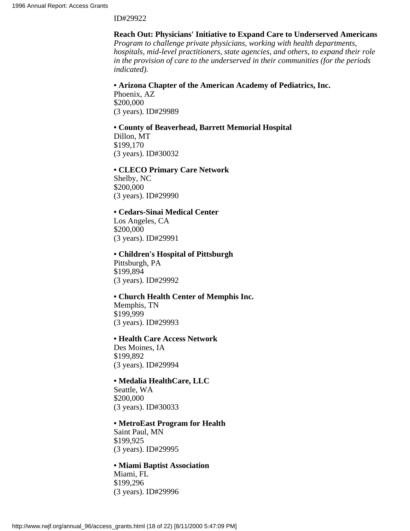#### ID#29922

## **Reach Out: Physicians' Initiative to Expand Care to Underserved Americans**

*Program to challenge private physicians, working with health departments, hospitals, mid-level practitioners, state agencies, and others, to expand their role in the provision of care to the underserved in their communities (for the periods indicated).*

#### **• Arizona Chapter of the American Academy of Pediatrics, Inc.**

Phoenix, AZ \$200,000 (3 years). ID#29989

#### **• County of Beaverhead, Barrett Memorial Hospital**

Dillon, MT \$199,170 (3 years). ID#30032

#### **• CLECO Primary Care Network**

Shelby, NC \$200,000 (3 years). ID#29990

# **• Cedars-Sinai Medical Center**

Los Angeles, CA \$200,000 (3 years). ID#29991

#### **• Children's Hospital of Pittsburgh**

Pittsburgh, PA \$199,894 (3 years). ID#29992

#### **• Church Health Center of Memphis Inc.**

Memphis, TN \$199,999 (3 years). ID#29993

#### **• Health Care Access Network**

Des Moines, IA \$199,892 (3 years). ID#29994

#### **• Medalia HealthCare, LLC**

Seattle, WA \$200,000 (3 years). ID#30033

#### **• MetroEast Program for Health**

Saint Paul, MN \$199,925 (3 years). ID#29995

## **• Miami Baptist Association**

Miami, FL \$199,296 (3 years). ID#29996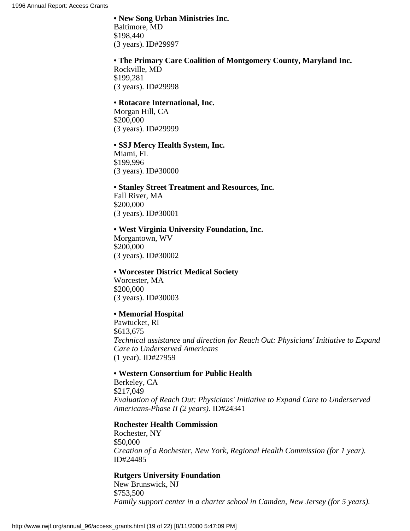**• New Song Urban Ministries Inc.** Baltimore, MD \$198,440 (3 years). ID#29997

# **• The Primary Care Coalition of Montgomery County, Maryland Inc.**

Rockville, MD \$199,281 (3 years). ID#29998

#### **• Rotacare International, Inc.**

Morgan Hill, CA \$200,000 (3 years). ID#29999

#### **• SSJ Mercy Health System, Inc.**

Miami, FL \$199,996 (3 years). ID#30000

## **• Stanley Street Treatment and Resources, Inc.**

Fall River, MA \$200,000 (3 years). ID#30001

#### **• West Virginia University Foundation, Inc.**

Morgantown, WV \$200,000 (3 years). ID#30002

#### **• Worcester District Medical Society**

Worcester, MA \$200,000 (3 years). ID#30003

## **• Memorial Hospital**

Pawtucket, RI \$613,675 *Technical assistance and direction for Reach Out: Physicians' Initiative to Expand Care to Underserved Americans* (1 year). ID#27959

#### **• Western Consortium for Public Health**

Berkeley, CA \$217,049 *Evaluation of Reach Out: Physicians' Initiative to Expand Care to Underserved Americans-Phase II (2 years).* ID#24341

## **Rochester Health Commission**

Rochester, NY \$50,000 *Creation of a Rochester, New York, Regional Health Commission (for 1 year).* ID#24485

## **Rutgers University Foundation**

New Brunswick, NJ \$753,500 *Family support center in a charter school in Camden, New Jersey (for 5 years).*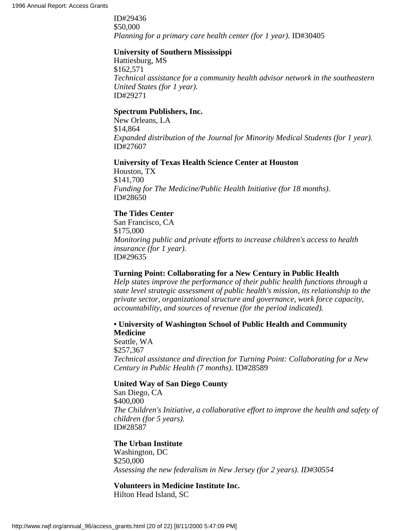ID#29436 \$50,000 *Planning for a primary care health center (for 1 year).* ID#30405

#### **University of Southern Mississippi**

Hattiesburg, MS \$162,571 *Technical assistance for a community health advisor network in the southeastern United States (for 1 year).* ID#29271

#### **Spectrum Publishers, Inc.**

New Orleans, LA \$14,864 *Expanded distribution of the Journal for Minority Medical Students (for 1 year).* ID#27607

## **University of Texas Health Science Center at Houston**

Houston, TX \$141,700 *Funding for The Medicine/Public Health Initiative (for 18 months).* ID#28650

# **The Tides Center**

San Francisco, CA \$175,000 *Monitoring public and private efforts to increase children's access to health insurance (for 1 year).* ID#29635

## **Turning Point: Collaborating for a New Century in Public Health**

*Help states improve the performance of their public health functions through a state level strategic assessment of public health's mission, its relationship to the private sector, organizational structure and governance, work force capacity, accountability, and sources of revenue (for the period indicated).*

# **• University of Washington School of Public Health and Community Medicine**

Seattle, WA \$257,367 *Technical assistance and direction for Turning Point: Collaborating for a New Century in Public Health (7 months).* ID#28589

#### **United Way of San Diego County**

San Diego, CA \$400,000 *The Children's Initiative, a collaborative effort to improve the health and safety of children (for 5 years).* ID#28587

#### **The Urban Institute**

Washington, DC \$250,000 *Assessing the new federalism in New Jersey (for 2 years). ID#30554*

# **Volunteers in Medicine Institute Inc.**

Hilton Head Island, SC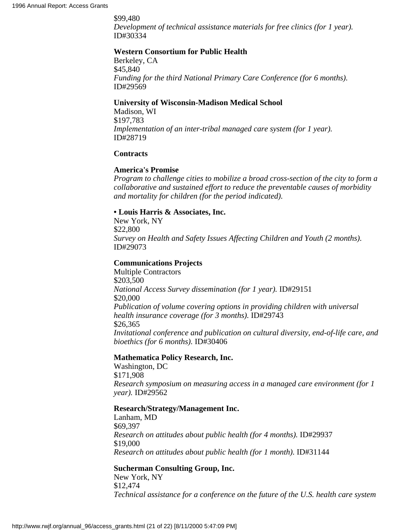\$99,480 *Development of technical assistance materials for free clinics (for 1 year).* ID#30334

## **Western Consortium for Public Health**

Berkeley, CA \$45,840 *Funding for the third National Primary Care Conference (for 6 months).* ID#29569

#### **University of Wisconsin-Madison Medical School**

Madison, WI \$197,783 *Implementation of an inter-tribal managed care system (for 1 year).* ID#28719

#### **Contracts**

#### **America's Promise**

*Program to challenge cities to mobilize a broad cross-section of the city to form a collaborative and sustained effort to reduce the preventable causes of morbidity and mortality for children (for the period indicated).*

#### **• Louis Harris & Associates, Inc.**

New York, NY \$22,800 *Survey on Health and Safety Issues Affecting Children and Youth (2 months).* ID#29073

#### **Communications Projects**

Multiple Contractors \$203,500 *National Access Survey dissemination (for 1 year).* ID#29151 \$20,000 *Publication of volume covering options in providing children with universal health insurance coverage (for 3 months).* ID#29743 \$26,365 *Invitational conference and publication on cultural diversity, end-of-life care, and bioethics (for 6 months).* ID#30406

#### **Mathematica Policy Research, Inc.**

Washington, DC \$171,908 *Research symposium on measuring access in a managed care environment (for 1 year).* ID#29562

## **Research/Strategy/Management Inc.**

Lanham, MD \$69,397 *Research on attitudes about public health (for 4 months).* ID#29937 \$19,000 *Research on attitudes about public health (for 1 month).* ID#31144

## **Sucherman Consulting Group, Inc.**

New York, NY \$12,474 *Technical assistance for a conference on the future of the U.S. health care system*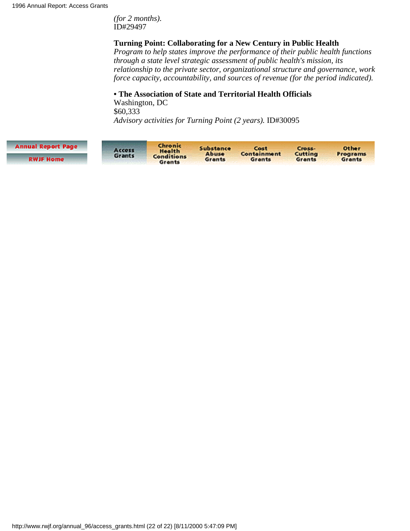*(for 2 months).* ID#29497

## **Turning Point: Collaborating for a New Century in Public Health**

*Program to help states improve the performance of their public health functions through a state level strategic assessment of public health's mission, its relationship to the private sector, organizational structure and governance, work force capacity, accountability, and sources of revenue (for the period indicated).*

# **• The Association of State and Territorial Health Officials**

Washington, DC \$60,333 *Advisory activities for Turning Point (2 years).* ID#30095

| <b>Annual Report Page</b> | Access<br>Grants | Chronic<br><b>Health</b><br><b>Conditions</b><br>Grants | Substance<br>Abuse<br>Grants | Cost<br>Containment<br>Grants | Cross-<br>Cutting<br>Grants | <b>Other</b><br><b>Programs</b><br>Grants |
|---------------------------|------------------|---------------------------------------------------------|------------------------------|-------------------------------|-----------------------------|-------------------------------------------|
| <b>RWJF Home</b>          |                  |                                                         |                              |                               |                             |                                           |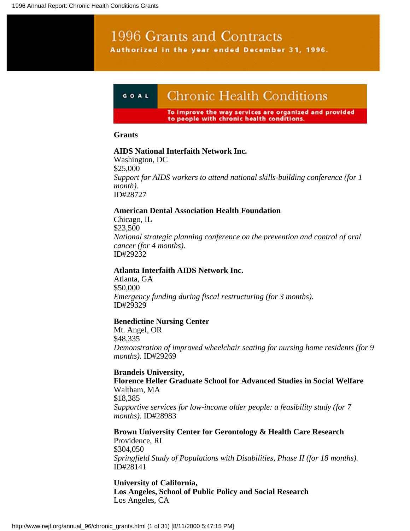# 1996 Grants and Contracts Authorized in the year ended December 31, 1996.

#### **Chronic Health Conditions** GOAL

To improve the way services are organized and provided to people with chronic health conditions.

#### **Grants**

## **AIDS National Interfaith Network Inc.**

Washington, DC \$25,000 *Support for AIDS workers to attend national skills-building conference (for 1 month).* ID#28727

## **American Dental Association Health Foundation**

Chicago, IL \$23,500 *National strategic planning conference on the prevention and control of oral cancer (for 4 months).* ID#29232

## **Atlanta Interfaith AIDS Network Inc.**

Atlanta, GA \$50,000 *Emergency funding during fiscal restructuring (for 3 months).* ID#29329

## **Benedictine Nursing Center**

Mt. Angel, OR \$48,335 *Demonstration of improved wheelchair seating for nursing home residents (for 9 months).* ID#29269

# **Brandeis University, Florence Heller Graduate School for Advanced Studies in Social Welfare** Waltham, MA \$18,385

*Supportive services for low-income older people: a feasibility study (for 7 months).* ID#28983

**Brown University Center for Gerontology & Health Care Research** Providence, RI \$304,050 *Springfield Study of Populations with Disabilities, Phase II (for 18 months).* ID#28141

**University of California, Los Angeles, School of Public Policy and Social Research** Los Angeles, CA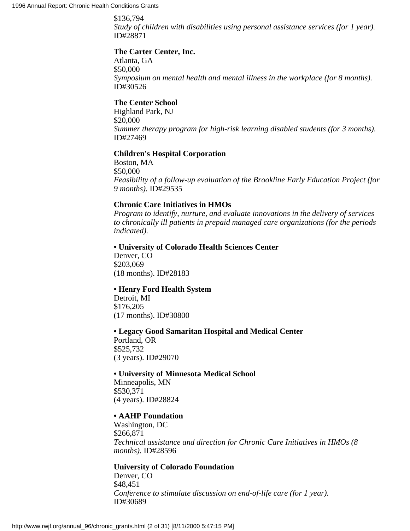\$136,794 *Study of children with disabilities using personal assistance services (for 1 year).* ID#28871

## **The Carter Center, Inc.**

Atlanta, GA \$50,000 *Symposium on mental health and mental illness in the workplace (for 8 months).* ID#30526

## **The Center School**

Highland Park, NJ \$20,000 *Summer therapy program for high-risk learning disabled students (for 3 months).* ID#27469

## **Children's Hospital Corporation**

Boston, MA \$50,000 *Feasibility of a follow-up evaluation of the Brookline Early Education Project (for 9 months).* ID#29535

# **Chronic Care Initiatives in HMOs**

*Program to identify, nurture, and evaluate innovations in the delivery of services to chronically ill patients in prepaid managed care organizations (for the periods indicated).*

## **• University of Colorado Health Sciences Center**

Denver, CO \$203,069 (18 months). ID#28183

## **• Henry Ford Health System**

Detroit, MI \$176,205 (17 months). ID#30800

## **• Legacy Good Samaritan Hospital and Medical Center**

Portland, OR \$525,732 (3 years). ID#29070

## **• University of Minnesota Medical School**

Minneapolis, MN \$530,371 (4 years). ID#28824

## **• AAHP Foundation**

Washington, DC \$266,871 *Technical assistance and direction for Chronic Care Initiatives in HMOs (8 months).* ID#28596

# **University of Colorado Foundation**

Denver, CO \$48,451 *Conference to stimulate discussion on end-of-life care (for 1 year).* ID#30689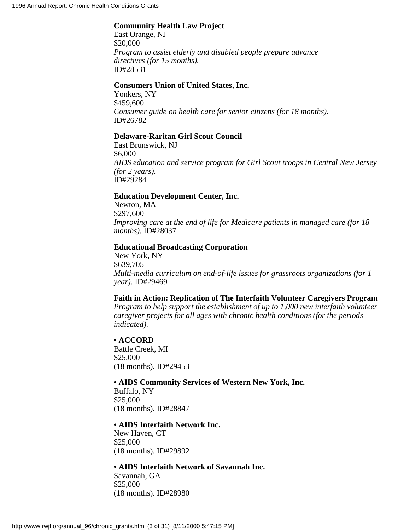# **Community Health Law Project**

East Orange, NJ \$20,000 *Program to assist elderly and disabled people prepare advance directives (for 15 months).* ID#28531

#### **Consumers Union of United States, Inc.**

Yonkers, NY \$459,600 *Consumer guide on health care for senior citizens (for 18 months).* ID#26782

#### **Delaware-Raritan Girl Scout Council**

East Brunswick, NJ \$6,000 *AIDS education and service program for Girl Scout troops in Central New Jersey (for 2 years).* ID#29284

#### **Education Development Center, Inc.**

Newton, MA \$297,600 *Improving care at the end of life for Medicare patients in managed care (for 18 months).* ID#28037

#### **Educational Broadcasting Corporation**

New York, NY \$639,705 *Multi-media curriculum on end-of-life issues for grassroots organizations (for 1 year).* ID#29469

## **Faith in Action: Replication of The Interfaith Volunteer Caregivers Program**

*Program to help support the establishment of up to 1,000 new interfaith volunteer caregiver projects for all ages with chronic health conditions (for the periods indicated).*

## **• ACCORD**

Battle Creek, MI \$25,000 (18 months). ID#29453

#### **• AIDS Community Services of Western New York, Inc.**

Buffalo, NY \$25,000 (18 months). ID#28847

## **• AIDS Interfaith Network Inc.**

New Haven, CT \$25,000 (18 months). ID#29892

#### **• AIDS Interfaith Network of Savannah Inc.**

Savannah, GA \$25,000 (18 months). ID#28980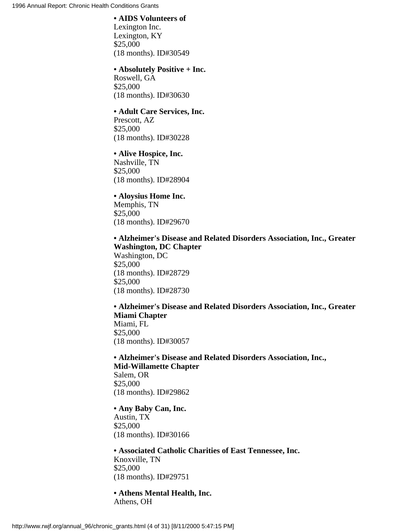#### **• AIDS Volunteers of**

Lexington Inc. Lexington, KY \$25,000 (18 months). ID#30549

## **• Absolutely Positive + Inc.**

Roswell, GA \$25,000 (18 months). ID#30630

#### **• Adult Care Services, Inc.**

Prescott, AZ \$25,000 (18 months). ID#30228

## **• Alive Hospice, Inc.**

Nashville, TN \$25,000 (18 months). ID#28904

## **• Aloysius Home Inc.**

Memphis, TN \$25,000 (18 months). ID#29670

# **• Alzheimer's Disease and Related Disorders Association, Inc., Greater Washington, DC Chapter**

Washington, DC \$25,000 (18 months). ID#28729 \$25,000 (18 months). ID#28730

**• Alzheimer's Disease and Related Disorders Association, Inc., Greater Miami Chapter** Miami, FL \$25,000 (18 months). ID#30057

**• Alzheimer's Disease and Related Disorders Association, Inc., Mid-Willamette Chapter** Salem, OR \$25,000 (18 months). ID#29862

## **• Any Baby Can, Inc.** Austin, TX \$25,000 (18 months). ID#30166

**• Associated Catholic Charities of East Tennessee, Inc.** Knoxville, TN \$25,000 (18 months). ID#29751

**• Athens Mental Health, Inc.** Athens, OH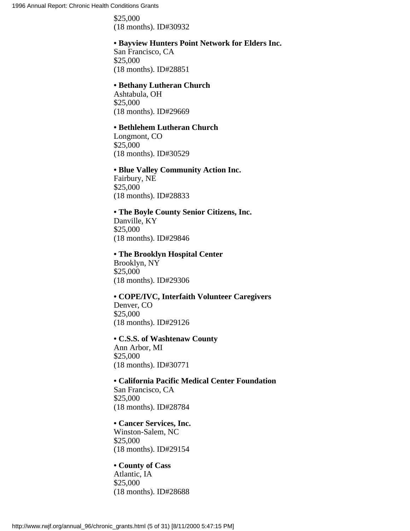\$25,000 (18 months). ID#30932

#### **• Bayview Hunters Point Network for Elders Inc.**

San Francisco, CA \$25,000 (18 months). ID#28851

#### **• Bethany Lutheran Church**

Ashtabula, OH \$25,000 (18 months). ID#29669

#### **• Bethlehem Lutheran Church**

Longmont, CO \$25,000 (18 months). ID#30529

#### **• Blue Valley Community Action Inc.**

Fairbury, NE \$25,000 (18 months). ID#28833

# **• The Boyle County Senior Citizens, Inc.**

Danville, KY \$25,000 (18 months). ID#29846

## **• The Brooklyn Hospital Center**

Brooklyn, NY \$25,000 (18 months). ID#29306

#### **• COPE/IVC, Interfaith Volunteer Caregivers** Denver, CO

\$25,000 (18 months). ID#29126

#### **• C.S.S. of Washtenaw County**

Ann Arbor, MI \$25,000 (18 months). ID#30771

# **• California Pacific Medical Center Foundation**

San Francisco, CA \$25,000 (18 months). ID#28784

## **• Cancer Services, Inc.**

Winston-Salem, NC \$25,000 (18 months). ID#29154

## **• County of Cass**

Atlantic, IA \$25,000 (18 months). ID#28688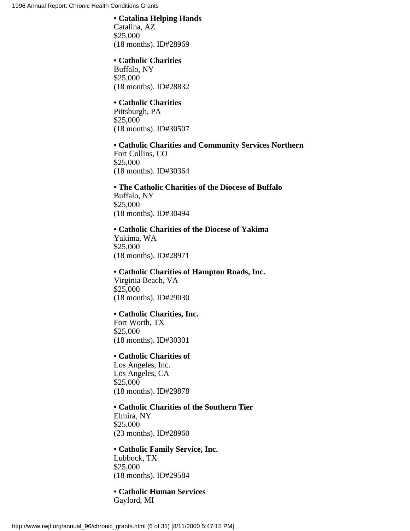## **• Catalina Helping Hands**

Catalina, AZ \$25,000 (18 months). ID#28969

#### **• Catholic Charities**

Buffalo, NY \$25,000 (18 months). ID#28832

## **• Catholic Charities**

Pittsburgh, PA \$25,000 (18 months). ID#30507

# **• Catholic Charities and Community Services Northern**

Fort Collins, CO \$25,000 (18 months). ID#30364

**• The Catholic Charities of the Diocese of Buffalo** Buffalo, NY \$25,000 (18 months). ID#30494

**• Catholic Charities of the Diocese of Yakima** Yakima, WA \$25,000 (18 months). ID#28971

**• Catholic Charities of Hampton Roads, Inc.** Virginia Beach, VA \$25,000 (18 months). ID#29030

## **• Catholic Charities, Inc.**

Fort Worth, TX \$25,000 (18 months). ID#30301

# **• Catholic Charities of**

Los Angeles, Inc. Los Angeles, CA \$25,000 (18 months). ID#29878

**• Catholic Charities of the Southern Tier** Elmira, NY \$25,000 (23 months). ID#28960

## **• Catholic Family Service, Inc.** Lubbock, TX \$25,000 (18 months). ID#29584

**• Catholic Human Services** Gaylord, MI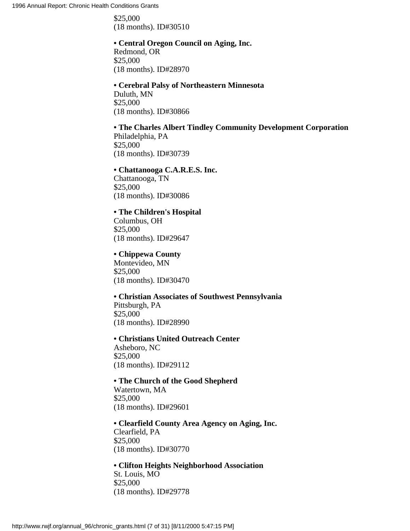\$25,000 (18 months). ID#30510

# **• Central Oregon Council on Aging, Inc.**

Redmond, OR \$25,000 (18 months). ID#28970

#### **• Cerebral Palsy of Northeastern Minnesota**

Duluth, MN \$25,000 (18 months). ID#30866

# **• The Charles Albert Tindley Community Development Corporation**

Philadelphia, PA \$25,000 (18 months). ID#30739

## **• Chattanooga C.A.R.E.S. Inc.**

Chattanooga, TN \$25,000 (18 months). ID#30086

# **• The Children's Hospital**

Columbus, OH \$25,000 (18 months). ID#29647

# **• Chippewa County**

Montevideo, MN \$25,000 (18 months). ID#30470

#### **• Christian Associates of Southwest Pennsylvania** Pittsburgh, PA \$25,000

(18 months). ID#28990

#### **• Christians United Outreach Center**

Asheboro, NC \$25,000 (18 months). ID#29112

# **• The Church of the Good Shepherd**

Watertown, MA \$25,000 (18 months). ID#29601

## **• Clearfield County Area Agency on Aging, Inc.** Clearfield, PA \$25,000 (18 months). ID#30770

## **• Clifton Heights Neighborhood Association**

St. Louis, MO \$25,000 (18 months). ID#29778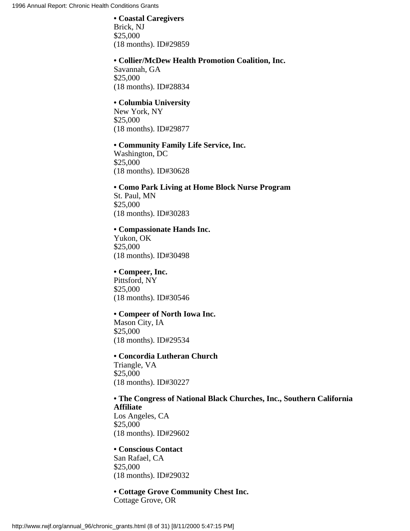#### **• Coastal Caregivers**

Brick, NJ \$25,000 (18 months). ID#29859

#### **• Collier/McDew Health Promotion Coalition, Inc.**

Savannah, GA \$25,000 (18 months). ID#28834

## **• Columbia University**

New York, NY \$25,000 (18 months). ID#29877

## **• Community Family Life Service, Inc.**

Washington, DC \$25,000 (18 months). ID#30628

# **• Como Park Living at Home Block Nurse Program**

St. Paul, MN \$25,000 (18 months). ID#30283

#### **• Compassionate Hands Inc.**

Yukon, OK \$25,000 (18 months). ID#30498

## **• Compeer, Inc.**

Pittsford, NY \$25,000 (18 months). ID#30546

#### **• Compeer of North Iowa Inc.**

Mason City, IA \$25,000 (18 months). ID#29534

# **• Concordia Lutheran Church**

Triangle, VA \$25,000 (18 months). ID#30227

# **• The Congress of National Black Churches, Inc., Southern California Affiliate** Los Angeles, CA

\$25,000 (18 months). ID#29602

## **• Conscious Contact** San Rafael, CA \$25,000 (18 months). ID#29032

**• Cottage Grove Community Chest Inc.** Cottage Grove, OR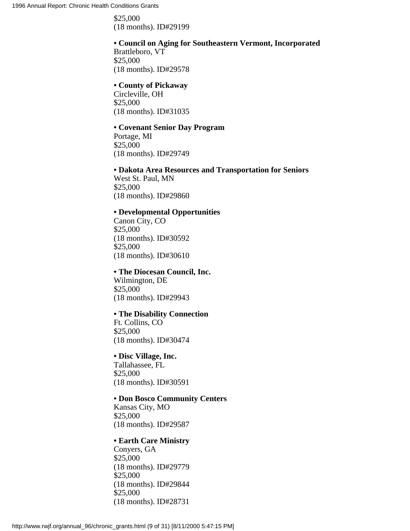\$25,000 (18 months). ID#29199

# **• Council on Aging for Southeastern Vermont, Incorporated**

Brattleboro, VT \$25,000 (18 months). ID#29578

# **• County of Pickaway**

Circleville, OH \$25,000 (18 months). ID#31035

# **• Covenant Senior Day Program**

Portage, MI \$25,000 (18 months). ID#29749

## **• Dakota Area Resources and Transportation for Seniors**

West St. Paul, MN \$25,000 (18 months). ID#29860

## **• Developmental Opportunities**

Canon City, CO \$25,000 (18 months). ID#30592 \$25,000 (18 months). ID#30610

## **• The Diocesan Council, Inc.**

Wilmington, DE \$25,000 (18 months). ID#29943

## **• The Disability Connection**

Ft. Collins, CO \$25,000 (18 months). ID#30474

## **• Disc Village, Inc.**

Tallahassee, FL \$25,000 (18 months). ID#30591

## **• Don Bosco Community Centers**

Kansas City, MO \$25,000 (18 months). ID#29587

## **• Earth Care Ministry**

Conyers, GA \$25,000 (18 months). ID#29779 \$25,000 (18 months). ID#29844 \$25,000 (18 months). ID#28731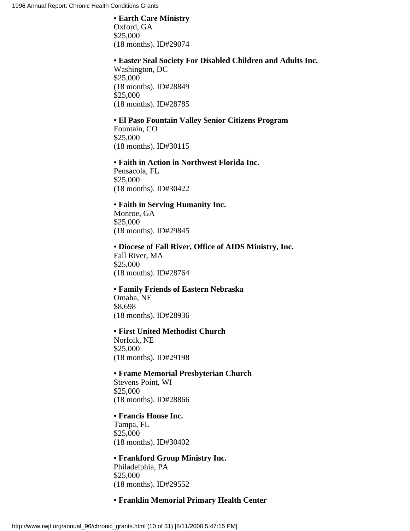#### **• Earth Care Ministry**

Oxford, GA \$25,000 (18 months). ID#29074

#### **• Easter Seal Society For Disabled Children and Adults Inc.**

Washington, DC \$25,000 (18 months). ID#28849 \$25,000 (18 months). ID#28785

## **• El Paso Fountain Valley Senior Citizens Program**

Fountain, CO \$25,000 (18 months). ID#30115

#### **• Faith in Action in Northwest Florida Inc.**

Pensacola, FL \$25,000 (18 months). ID#30422

## **• Faith in Serving Humanity Inc.**

Monroe, GA \$25,000 (18 months). ID#29845

## **• Diocese of Fall River, Office of AIDS Ministry, Inc.** Fall River, MA \$25,000 (18 months). ID#28764

# **• Family Friends of Eastern Nebraska**

Omaha, NE \$8,698 (18 months). ID#28936

## **• First United Methodist Church**

Norfolk, NE \$25,000 (18 months). ID#29198

## **• Frame Memorial Presbyterian Church**

Stevens Point, WI \$25,000 (18 months). ID#28866

#### **• Francis House Inc.**

Tampa, FL \$25,000 (18 months). ID#30402

# **• Frankford Group Ministry Inc.**

Philadelphia, PA \$25,000 (18 months). ID#29552

## **• Franklin Memorial Primary Health Center**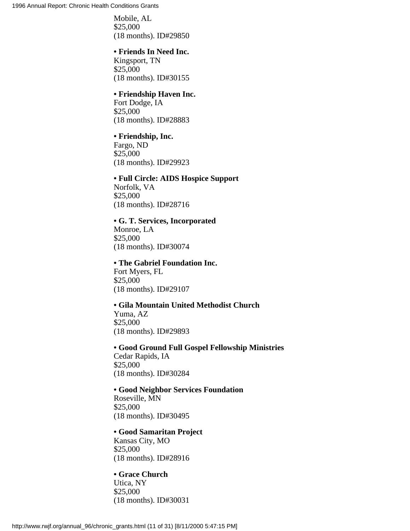Mobile, AL \$25,000 (18 months). ID#29850

#### **• Friends In Need Inc.**

Kingsport, TN \$25,000 (18 months). ID#30155

#### **• Friendship Haven Inc.**

Fort Dodge, IA \$25,000 (18 months). ID#28883

## **• Friendship, Inc.**

Fargo, ND \$25,000 (18 months). ID#29923

## **• Full Circle: AIDS Hospice Support**

Norfolk, VA \$25,000 (18 months). ID#28716

## **• G. T. Services, Incorporated**

Monroe, LA \$25,000 (18 months). ID#30074

## **• The Gabriel Foundation Inc.**

Fort Myers, FL \$25,000 (18 months). ID#29107

# **• Gila Mountain United Methodist Church**

Yuma, AZ \$25,000 (18 months). ID#29893

## **• Good Ground Full Gospel Fellowship Ministries**

Cedar Rapids, IA \$25,000 (18 months). ID#30284

#### **• Good Neighbor Services Foundation**

Roseville, MN \$25,000 (18 months). ID#30495

## **• Good Samaritan Project**

Kansas City, MO \$25,000 (18 months). ID#28916

## **• Grace Church**

Utica, NY \$25,000 (18 months). ID#30031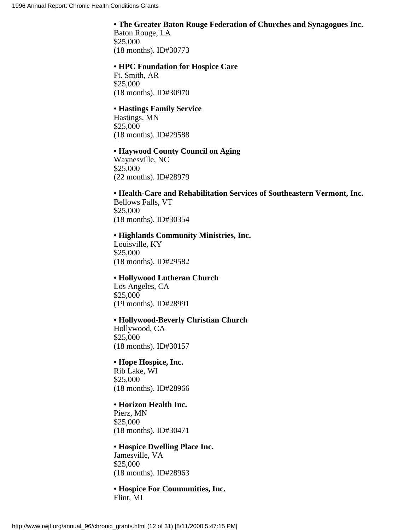# **• The Greater Baton Rouge Federation of Churches and Synagogues Inc.** Baton Rouge, LA \$25,000

(18 months). ID#30773

## **• HPC Foundation for Hospice Care**

Ft. Smith, AR \$25,000 (18 months). ID#30970

# **• Hastings Family Service**

Hastings, MN \$25,000 (18 months). ID#29588

## **• Haywood County Council on Aging**

Waynesville, NC \$25,000 (22 months). ID#28979

# **• Health-Care and Rehabilitation Services of Southeastern Vermont, Inc.** Bellows Falls, VT \$25,000

(18 months). ID#30354

# **• Highlands Community Ministries, Inc.**

Louisville, KY \$25,000 (18 months). ID#29582

# **• Hollywood Lutheran Church**

Los Angeles, CA \$25,000 (19 months). ID#28991

# **• Hollywood-Beverly Christian Church**

Hollywood, CA \$25,000 (18 months). ID#30157

# **• Hope Hospice, Inc.**

Rib Lake, WI \$25,000 (18 months). ID#28966

# **• Horizon Health Inc.**

Pierz, MN \$25,000 (18 months). ID#30471

#### **• Hospice Dwelling Place Inc.** Jamesville, VA

\$25,000 (18 months). ID#28963

## **• Hospice For Communities, Inc.** Flint, MI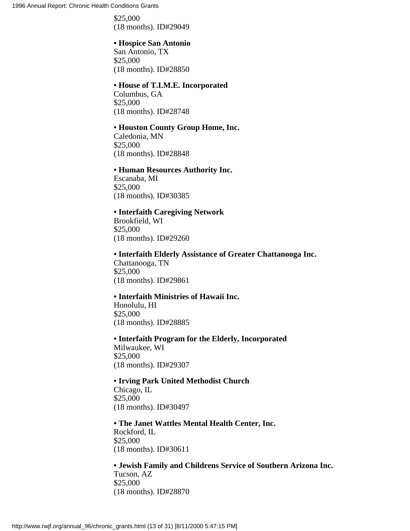\$25,000 (18 months). ID#29049

# **• Hospice San Antonio**

San Antonio, TX \$25,000 (18 months). ID#28850

#### **• House of T.I.M.E. Incorporated**

Columbus, GA \$25,000 (18 months). ID#28748

## **• Houston County Group Home, Inc.**

Caledonia, MN \$25,000 (18 months). ID#28848

#### **• Human Resources Authority Inc.**

Escanaba, MI \$25,000 (18 months). ID#30385

#### **• Interfaith Caregiving Network**

Brookfield, WI \$25,000 (18 months). ID#29260

# **• Interfaith Elderly Assistance of Greater Chattanooga Inc.**

Chattanooga, TN \$25,000 (18 months). ID#29861

#### **• Interfaith Ministries of Hawaii Inc.**

Honolulu, HI \$25,000 (18 months). ID#28885

**• Interfaith Program for the Elderly, Incorporated** Milwaukee, WI \$25,000 (18 months). ID#29307

## **• Irving Park United Methodist Church** Chicago, IL \$25,000 (18 months). ID#30497

## **• The Janet Wattles Mental Health Center, Inc.** Rockford, IL \$25,000 (18 months). ID#30611

# **• Jewish Family and Childrens Service of Southern Arizona Inc.**

Tucson, AZ \$25,000 (18 months). ID#28870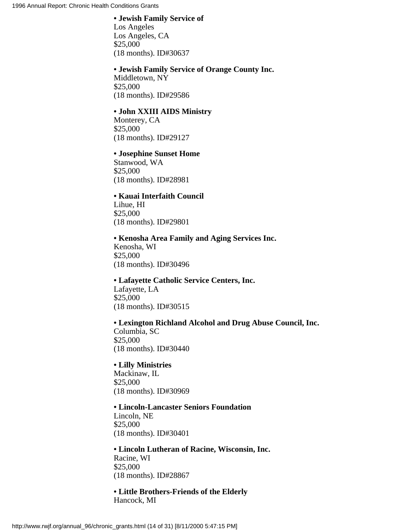#### **• Jewish Family Service of**

Los Angeles Los Angeles, CA \$25,000 (18 months). ID#30637

# **• Jewish Family Service of Orange County Inc.**

Middletown, NY \$25,000 (18 months). ID#29586

## **• John XXIII AIDS Ministry**

Monterey, CA \$25,000 (18 months). ID#29127

# **• Josephine Sunset Home**

Stanwood, WA \$25,000 (18 months). ID#28981

## **• Kauai Interfaith Council**

Lihue, HI \$25,000 (18 months). ID#29801

## **• Kenosha Area Family and Aging Services Inc.**

Kenosha, WI \$25,000 (18 months). ID#30496

# **• Lafayette Catholic Service Centers, Inc.** Lafayette, LA \$25,000 (18 months). ID#30515

## **• Lexington Richland Alcohol and Drug Abuse Council, Inc.**

Columbia, SC \$25,000 (18 months). ID#30440

## **• Lilly Ministries**

Mackinaw, IL \$25,000 (18 months). ID#30969

#### **• Lincoln-Lancaster Seniors Foundation**

Lincoln, NE \$25,000 (18 months). ID#30401

# **• Lincoln Lutheran of Racine, Wisconsin, Inc.** Racine, WI \$25,000 (18 months). ID#28867

**• Little Brothers-Friends of the Elderly** Hancock, MI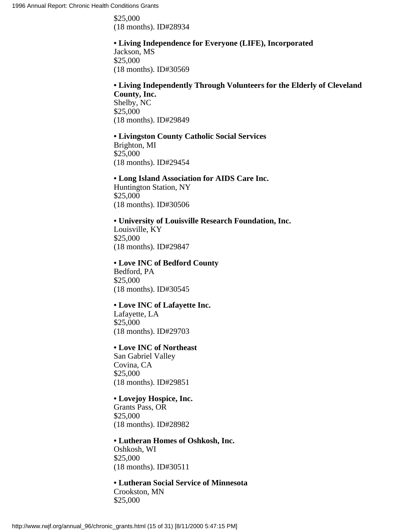\$25,000 (18 months). ID#28934

# **• Living Independence for Everyone (LIFE), Incorporated**

Jackson, MS \$25,000 (18 months). ID#30569

## **• Living Independently Through Volunteers for the Elderly of Cleveland County, Inc.**

Shelby, NC \$25,000 (18 months). ID#29849

# **• Livingston County Catholic Social Services**

Brighton, MI \$25,000 (18 months). ID#29454

## **• Long Island Association for AIDS Care Inc.**

Huntington Station, NY \$25,000 (18 months). ID#30506

# **• University of Louisville Research Foundation, Inc.**

Louisville, KY \$25,000 (18 months). ID#29847

# **• Love INC of Bedford County**

Bedford, PA \$25,000 (18 months). ID#30545

## **• Love INC of Lafayette Inc.**

Lafayette, LA \$25,000 (18 months). ID#29703

## **• Love INC of Northeast**

San Gabriel Valley Covina, CA \$25,000 (18 months). ID#29851

# **• Lovejoy Hospice, Inc.**

Grants Pass, OR \$25,000 (18 months). ID#28982

# **• Lutheran Homes of Oshkosh, Inc.**

Oshkosh, WI \$25,000 (18 months). ID#30511

**• Lutheran Social Service of Minnesota** Crookston, MN \$25,000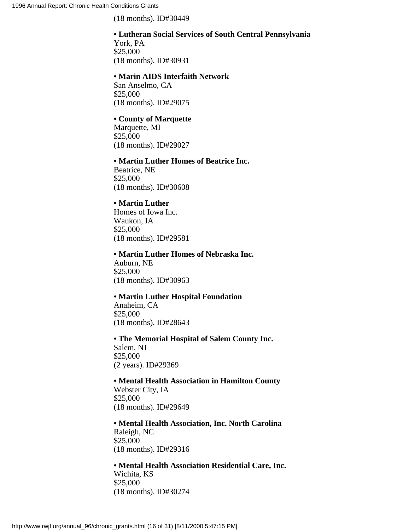(18 months). ID#30449

# **• Lutheran Social Services of South Central Pennsylvania** York, PA

\$25,000 (18 months). ID#30931

## **• Marin AIDS Interfaith Network**

San Anselmo, CA \$25,000 (18 months). ID#29075

## **• County of Marquette**

Marquette, MI \$25,000 (18 months). ID#29027

#### **• Martin Luther Homes of Beatrice Inc.**

Beatrice, NE \$25,000 (18 months). ID#30608

# **• Martin Luther**

Homes of Iowa Inc. Waukon, IA \$25,000 (18 months). ID#29581

## **• Martin Luther Homes of Nebraska Inc.**

Auburn, NE \$25,000 (18 months). ID#30963

## **• Martin Luther Hospital Foundation**

Anaheim, CA \$25,000 (18 months). ID#28643

**• The Memorial Hospital of Salem County Inc.** Salem, NJ \$25,000 (2 years). ID#29369

**• Mental Health Association in Hamilton County** Webster City, IA \$25,000 (18 months). ID#29649

**• Mental Health Association, Inc. North Carolina** Raleigh, NC \$25,000 (18 months). ID#29316

# **• Mental Health Association Residential Care, Inc.**

Wichita, KS \$25,000 (18 months). ID#30274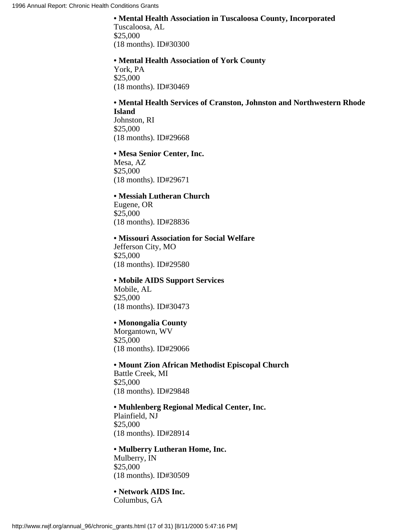## **• Mental Health Association in Tuscaloosa County, Incorporated**

Tuscaloosa, AL \$25,000 (18 months). ID#30300

#### **• Mental Health Association of York County**

York, PA \$25,000 (18 months). ID#30469

#### **• Mental Health Services of Cranston, Johnston and Northwestern Rhode Island** Johnston, RI

\$25,000 (18 months). ID#29668

## **• Mesa Senior Center, Inc.**

Mesa, AZ \$25,000 (18 months). ID#29671

#### **• Messiah Lutheran Church**

Eugene, OR \$25,000 (18 months). ID#28836

#### **• Missouri Association for Social Welfare**

Jefferson City, MO \$25,000 (18 months). ID#29580

# **• Mobile AIDS Support Services** Mobile, AL \$25,000

(18 months). ID#30473

# **• Monongalia County**

Morgantown, WV \$25,000 (18 months). ID#29066

**• Mount Zion African Methodist Episcopal Church** Battle Creek, MI \$25,000 (18 months). ID#29848

## **• Muhlenberg Regional Medical Center, Inc.**

Plainfield, NJ \$25,000 (18 months). ID#28914

## **• Mulberry Lutheran Home, Inc.**

Mulberry, IN \$25,000 (18 months). ID#30509

**• Network AIDS Inc.** Columbus, GA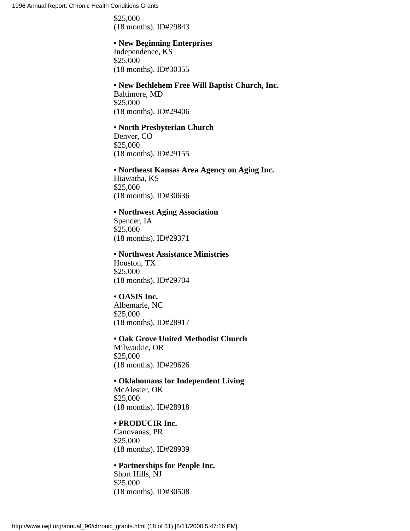\$25,000 (18 months). ID#29843

# **• New Beginning Enterprises**

Independence, KS \$25,000 (18 months). ID#30355

# **• New Bethlehem Free Will Baptist Church, Inc.**

Baltimore, MD \$25,000 (18 months). ID#29406

## **• North Presbyterian Church**

Denver, CO \$25,000 (18 months). ID#29155

# **• Northeast Kansas Area Agency on Aging Inc.**

Hiawatha, KS \$25,000 (18 months). ID#30636

## **• Northwest Aging Association**

Spencer, IA \$25,000 (18 months). ID#29371

## **• Northwest Assistance Ministries**

Houston, TX \$25,000 (18 months). ID#29704

# **• OASIS Inc.**

Albemarle, NC \$25,000 (18 months). ID#28917

## **• Oak Grove United Methodist Church**

Milwaukie, OR \$25,000 (18 months). ID#29626

# **• Oklahomans for Independent Living**

McAlester, OK \$25,000 (18 months). ID#28918

## **• PRODUCIR Inc.**

Canovanas, PR \$25,000 (18 months). ID#28939

# **• Partnerships for People Inc.**

Short Hills, NJ \$25,000 (18 months). ID#30508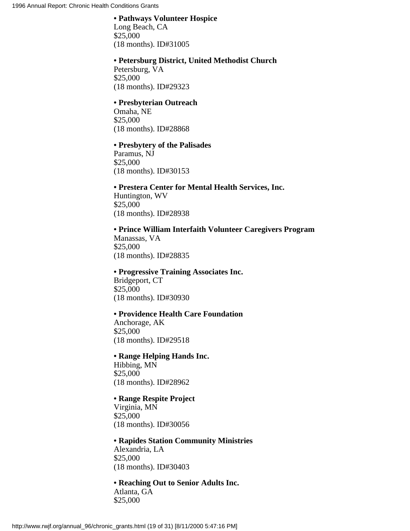## **• Pathways Volunteer Hospice**

Long Beach, CA \$25,000 (18 months). ID#31005

#### **• Petersburg District, United Methodist Church**

Petersburg, VA \$25,000 (18 months). ID#29323

#### **• Presbyterian Outreach**

Omaha, NE \$25,000 (18 months). ID#28868

#### **• Presbytery of the Palisades**

Paramus, NJ \$25,000 (18 months). ID#30153

## **• Prestera Center for Mental Health Services, Inc.**

Huntington, WV \$25,000 (18 months). ID#28938

# **• Prince William Interfaith Volunteer Caregivers Program**

Manassas, VA \$25,000 (18 months). ID#28835

#### **• Progressive Training Associates Inc.**

Bridgeport, CT \$25,000 (18 months). ID#30930

# **• Providence Health Care Foundation**

Anchorage, AK \$25,000 (18 months). ID#29518

# **• Range Helping Hands Inc.**

Hibbing, MN \$25,000 (18 months). ID#28962

# **• Range Respite Project**

Virginia, MN \$25,000 (18 months). ID#30056

## **• Rapides Station Community Ministries** Alexandria, LA \$25,000 (18 months). ID#30403

#### **• Reaching Out to Senior Adults Inc.** Atlanta, GA \$25,000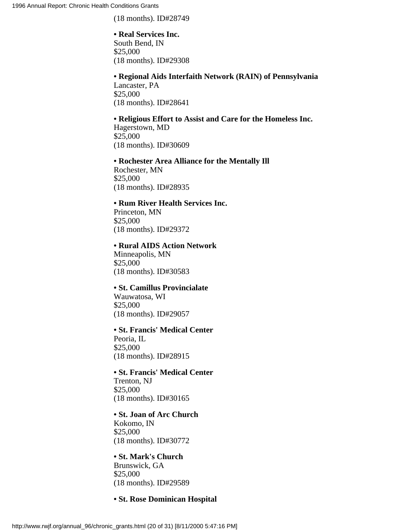(18 months). ID#28749

## **• Real Services Inc.**

South Bend, IN \$25,000 (18 months). ID#29308

# **• Regional Aids Interfaith Network (RAIN) of Pennsylvania**

Lancaster, PA \$25,000 (18 months). ID#28641

## **• Religious Effort to Assist and Care for the Homeless Inc.**

Hagerstown, MD \$25,000 (18 months). ID#30609

**• Rochester Area Alliance for the Mentally Ill** Rochester, MN \$25,000 (18 months). ID#28935

## **• Rum River Health Services Inc.**

Princeton, MN \$25,000 (18 months). ID#29372

## **• Rural AIDS Action Network**

Minneapolis, MN \$25,000 (18 months). ID#30583

# **• St. Camillus Provincialate**

Wauwatosa, WI \$25,000 (18 months). ID#29057

## **• St. Francis' Medical Center**

Peoria, IL \$25,000 (18 months). ID#28915

# **• St. Francis' Medical Center** Trenton, NJ \$25,000 (18 months). ID#30165

## **• St. Joan of Arc Church** Kokomo, IN \$25,000 (18 months). ID#30772

**• St. Mark's Church** Brunswick, GA \$25,000 (18 months). ID#29589

## **• St. Rose Dominican Hospital**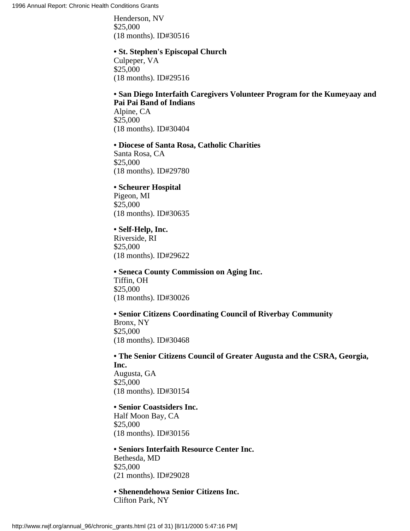Henderson, NV \$25,000 (18 months). ID#30516

#### **• St. Stephen's Episcopal Church**

Culpeper, VA \$25,000 (18 months). ID#29516

## **• San Diego Interfaith Caregivers Volunteer Program for the Kumeyaay and Pai Pai Band of Indians**

Alpine, CA \$25,000 (18 months). ID#30404

#### **• Diocese of Santa Rosa, Catholic Charities**

Santa Rosa, CA \$25,000 (18 months). ID#29780

## **• Scheurer Hospital**

Pigeon, MI \$25,000 (18 months). ID#30635

## **• Self-Help, Inc.**

Riverside, RI \$25,000 (18 months). ID#29622

# **• Seneca County Commission on Aging Inc.** Tiffin, OH \$25,000 (18 months). ID#30026

# **• Senior Citizens Coordinating Council of Riverbay Community**

Bronx, NY \$25,000 (18 months). ID#30468

**• The Senior Citizens Council of Greater Augusta and the CSRA, Georgia, Inc.** Augusta, GA \$25,000 (18 months). ID#30154

# **• Senior Coastsiders Inc.**

Half Moon Bay, CA \$25,000 (18 months). ID#30156

# **• Seniors Interfaith Resource Center Inc.** Bethesda, MD

\$25,000 (21 months). ID#29028

**• Shenendehowa Senior Citizens Inc.** Clifton Park, NY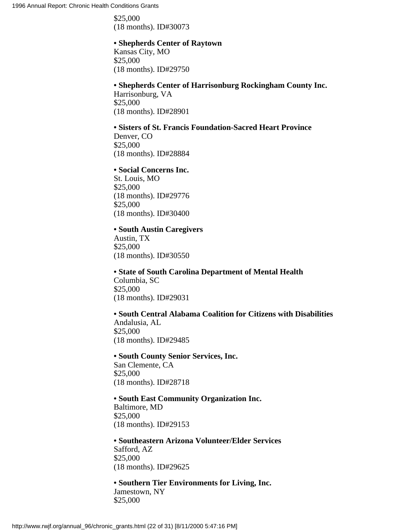\$25,000 (18 months). ID#30073

# **• Shepherds Center of Raytown**

Kansas City, MO \$25,000 (18 months). ID#29750

## **• Shepherds Center of Harrisonburg Rockingham County Inc.**

Harrisonburg, VA \$25,000 (18 months). ID#28901

# **• Sisters of St. Francis Foundation-Sacred Heart Province**

Denver, CO \$25,000 (18 months). ID#28884

## **• Social Concerns Inc.**

St. Louis, MO \$25,000 (18 months). ID#29776 \$25,000 (18 months). ID#30400

## **• South Austin Caregivers**

Austin, TX \$25,000 (18 months). ID#30550

## **• State of South Carolina Department of Mental Health**

Columbia, SC \$25,000 (18 months). ID#29031

# **• South Central Alabama Coalition for Citizens with Disabilities**

Andalusia, AL \$25,000 (18 months). ID#29485

## **• South County Senior Services, Inc.**

San Clemente, CA \$25,000 (18 months). ID#28718

# **• South East Community Organization Inc.**

Baltimore, MD \$25,000 (18 months). ID#29153

**• Southeastern Arizona Volunteer/Elder Services** Safford, AZ \$25,000 (18 months). ID#29625

**• Southern Tier Environments for Living, Inc.** Jamestown, NY \$25,000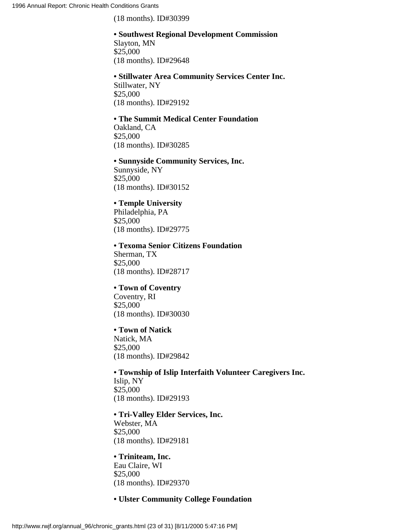(18 months). ID#30399

#### **• Southwest Regional Development Commission** Slayton, MN

\$25,000 (18 months). ID#29648

#### **• Stillwater Area Community Services Center Inc.** Stillwater, NY \$25,000

(18 months). ID#29192

# **• The Summit Medical Center Foundation**

Oakland, CA \$25,000 (18 months). ID#30285

# **• Sunnyside Community Services, Inc.**

Sunnyside, NY \$25,000 (18 months). ID#30152

# **• Temple University**

Philadelphia, PA \$25,000 (18 months). ID#29775

## **• Texoma Senior Citizens Foundation**

Sherman, TX \$25,000 (18 months). ID#28717

# **• Town of Coventry**

Coventry, RI \$25,000 (18 months). ID#30030

# **• Town of Natick**

Natick, MA \$25,000 (18 months). ID#29842

# **• Township of Islip Interfaith Volunteer Caregivers Inc.** Islip, NY \$25,000

(18 months). ID#29193

# **• Tri-Valley Elder Services, Inc.**

Webster, MA \$25,000 (18 months). ID#29181

# **• Triniteam, Inc.**

Eau Claire, WI \$25,000 (18 months). ID#29370

# **• Ulster Community College Foundation**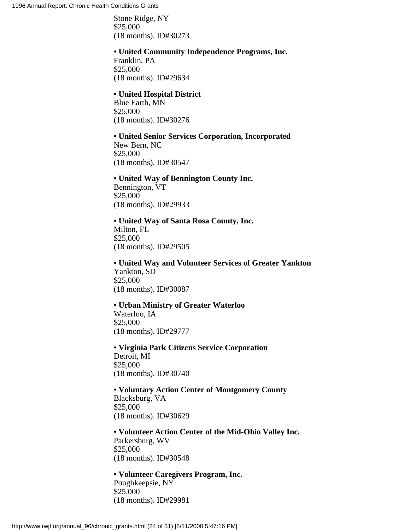Stone Ridge, NY \$25,000 (18 months). ID#30273

#### **• United Community Independence Programs, Inc.**

Franklin, PA \$25,000 (18 months). ID#29634

#### **• United Hospital District**

Blue Earth, MN \$25,000 (18 months). ID#30276

## **• United Senior Services Corporation, Incorporated**

New Bern, NC \$25,000 (18 months). ID#30547

## **• United Way of Bennington County Inc.**

Bennington, VT \$25,000 (18 months). ID#29933

## **• United Way of Santa Rosa County, Inc.**

Milton, FL \$25,000 (18 months). ID#29505

**• United Way and Volunteer Services of Greater Yankton** Yankton, SD \$25,000 (18 months). ID#30087

## **• Urban Ministry of Greater Waterloo**

Waterloo, IA \$25,000 (18 months). ID#29777

**• Virginia Park Citizens Service Corporation** Detroit, MI \$25,000 (18 months). ID#30740

## **• Voluntary Action Center of Montgomery County**

Blacksburg, VA \$25,000 (18 months). ID#30629

**• Volunteer Action Center of the Mid-Ohio Valley Inc.** Parkersburg, WV \$25,000 (18 months). ID#30548

**• Volunteer Caregivers Program, Inc.** Poughkeepsie, NY \$25,000 (18 months). ID#29981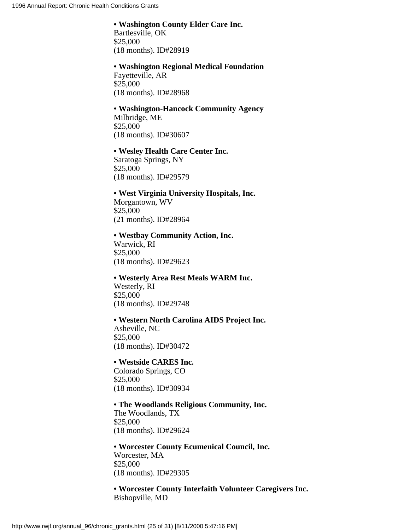# **• Washington County Elder Care Inc.**

Bartlesville, OK \$25,000 (18 months). ID#28919

## **• Washington Regional Medical Foundation** Fayetteville, AR

\$25,000 (18 months). ID#28968

## **• Washington-Hancock Community Agency** Milbridge, ME \$25,000 (18 months). ID#30607

## **• Wesley Health Care Center Inc.**

Saratoga Springs, NY \$25,000 (18 months). ID#29579

## **• West Virginia University Hospitals, Inc.** Morgantown, WV \$25,000 (21 months). ID#28964

## **• Westbay Community Action, Inc.**

Warwick, RI \$25,000 (18 months). ID#29623

## **• Westerly Area Rest Meals WARM Inc.** Westerly, RI \$25,000 (18 months). ID#29748

## **• Western North Carolina AIDS Project Inc.** Asheville, NC \$25,000 (18 months). ID#30472

## **• Westside CARES Inc.**

Colorado Springs, CO \$25,000 (18 months). ID#30934

## **• The Woodlands Religious Community, Inc.**

The Woodlands, TX \$25,000 (18 months). ID#29624

**• Worcester County Ecumenical Council, Inc.** Worcester, MA \$25,000 (18 months). ID#29305

**• Worcester County Interfaith Volunteer Caregivers Inc.** Bishopville, MD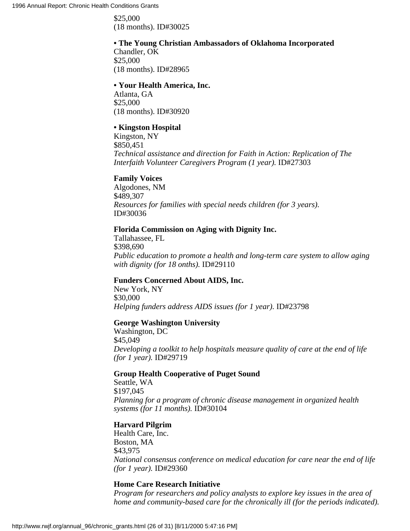\$25,000 (18 months). ID#30025

## **• The Young Christian Ambassadors of Oklahoma Incorporated**

Chandler, OK \$25,000 (18 months). ID#28965

## **• Your Health America, Inc.**

Atlanta, GA \$25,000 (18 months). ID#30920

## **• Kingston Hospital**

Kingston, NY \$850,451 *Technical assistance and direction for Faith in Action: Replication of The Interfaith Volunteer Caregivers Program (1 year).* ID#27303

## **Family Voices**

Algodones, NM \$489,307 *Resources for families with special needs children (for 3 years).* ID#30036

## **Florida Commission on Aging with Dignity Inc.**

Tallahassee, FL \$398,690 *Public education to promote a health and long-term care system to allow aging with dignity (for 18 onths).* ID#29110

## **Funders Concerned About AIDS, Inc.**

New York, NY \$30,000 *Helping funders address AIDS issues (for 1 year).* ID#23798

## **George Washington University**

Washington, DC \$45,049 *Developing a toolkit to help hospitals measure quality of care at the end of life (for 1 year).* ID#29719

## **Group Health Cooperative of Puget Sound**

Seattle, WA \$197,045 *Planning for a program of chronic disease management in organized health systems (for 11 months).* ID#30104

## **Harvard Pilgrim**

Health Care, Inc. Boston, MA \$43,975 *National consensus conference on medical education for care near the end of life (for 1 year).* ID#29360

## **Home Care Research Initiative**

*Program for researchers and policy analysts to explore key issues in the area of home and community-based care for the chronically ill (for the periods indicated).*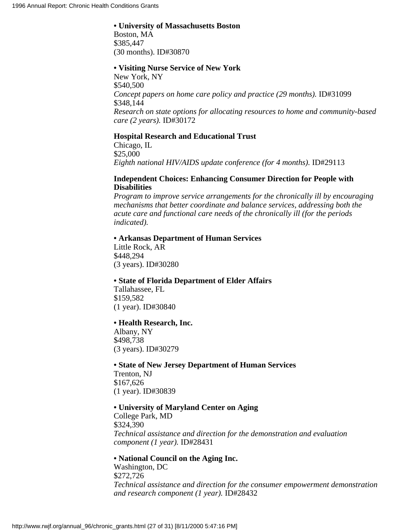#### **• University of Massachusetts Boston**

Boston, MA \$385,447 (30 months). ID#30870

#### **• Visiting Nurse Service of New York**

New York, NY \$540,500 *Concept papers on home care policy and practice (29 months).* ID#31099 \$348,144 *Research on state options for allocating resources to home and community-based care (2 years).* ID#30172

## **Hospital Research and Educational Trust**

Chicago, IL \$25,000 *Eighth national HIV/AIDS update conference (for 4 months).* ID#29113

## **Independent Choices: Enhancing Consumer Direction for People with Disabilities**

*Program to improve service arrangements for the chronically ill by encouraging mechanisms that better coordinate and balance services, addressing both the acute care and functional care needs of the chronically ill (for the periods indicated).*

## **• Arkansas Department of Human Services**

Little Rock, AR \$448,294 (3 years). ID#30280

## **• State of Florida Department of Elder Affairs**

Tallahassee, FL \$159,582 (1 year). ID#30840

## **• Health Research, Inc.**

Albany, NY \$498,738 (3 years). ID#30279

## **• State of New Jersey Department of Human Services** Trenton, NJ

\$167,626 (1 year). ID#30839

## **• University of Maryland Center on Aging**

College Park, MD \$324,390 *Technical assistance and direction for the demonstration and evaluation component (1 year).* ID#28431

## **• National Council on the Aging Inc.**

Washington, DC \$272,726 *Technical assistance and direction for the consumer empowerment demonstration and research component (1 year).* ID#28432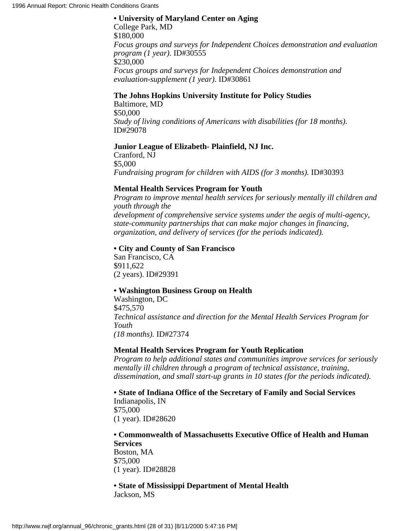**• University of Maryland Center on Aging** College Park, MD \$180,000 *Focus groups and surveys for Independent Choices demonstration and evaluation program (1 year).* ID#30555 \$230,000 *Focus groups and surveys for Independent Choices demonstration and evaluation-supplement (1 year).* ID#30861

## **The Johns Hopkins University Institute for Policy Studies**

Baltimore, MD \$50,000 *Study of living conditions of Americans with disabilities (for 18 months).* ID#29078

## **Junior League of Elizabeth- Plainfield, NJ Inc.**

Cranford, NJ \$5,000 *Fundraising program for children with AIDS (for 3 months).* ID#30393

## **Mental Health Services Program for Youth**

*Program to improve mental health services for seriously mentally ill children and youth through the development of comprehensive service systems under the aegis of multi-agency, state-community partnerships that can make major changes in financing, organization, and delivery of services (for the periods indicated).*

## **• City and County of San Francisco**

San Francisco, CA \$911,622 (2 years). ID#29391

## **• Washington Business Group on Health**

Washington, DC \$475,570 *Technical assistance and direction for the Mental Health Services Program for Youth (18 months).* ID#27374

## **Mental Health Services Program for Youth Replication**

*Program to help additional states and communities improve services for seriously mentally ill children through a program of technical assistance, training, dissemination, and small start-up grants in 10 states (for the periods indicated).*

**• State of Indiana Office of the Secretary of Family and Social Services** Indianapolis, IN \$75,000 (1 year). ID#28620

**• Commonwealth of Massachusetts Executive Office of Health and Human Services** Boston, MA

\$75,000 (1 year). ID#28828

## **• State of Mississippi Department of Mental Health** Jackson, MS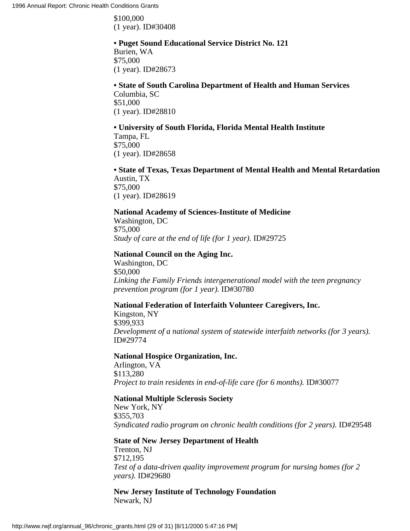\$100,000 (1 year). ID#30408

## **• Puget Sound Educational Service District No. 121**

Burien, WA \$75,000 (1 year). ID#28673

## **• State of South Carolina Department of Health and Human Services**

Columbia, SC \$51,000 (1 year). ID#28810

## **• University of South Florida, Florida Mental Health Institute**

Tampa, FL \$75,000 (1 year). ID#28658

## **• State of Texas, Texas Department of Mental Health and Mental Retardation** Austin, TX \$75,000

(1 year). ID#28619

## **National Academy of Sciences-Institute of Medicine**

Washington, DC \$75,000 *Study of care at the end of life (for 1 year).* ID#29725

## **National Council on the Aging Inc.**

Washington, DC \$50,000 *Linking the Family Friends intergenerational model with the teen pregnancy prevention program (for 1 year).* ID#30780

## **National Federation of Interfaith Volunteer Caregivers, Inc.**

Kingston, NY \$399,933 *Development of a national system of statewide interfaith networks (for 3 years).* ID#29774

## **National Hospice Organization, Inc.**

Arlington, VA \$113,280 *Project to train residents in end-of-life care (for 6 months).* ID#30077

## **National Multiple Sclerosis Society**

New York, NY \$355,703 *Syndicated radio program on chronic health conditions (for 2 years).* ID#29548

## **State of New Jersey Department of Health**

Trenton, NJ \$712,195 *Test of a data-driven quality improvement program for nursing homes (for 2 years).* ID#29680

**New Jersey Institute of Technology Foundation** Newark, NJ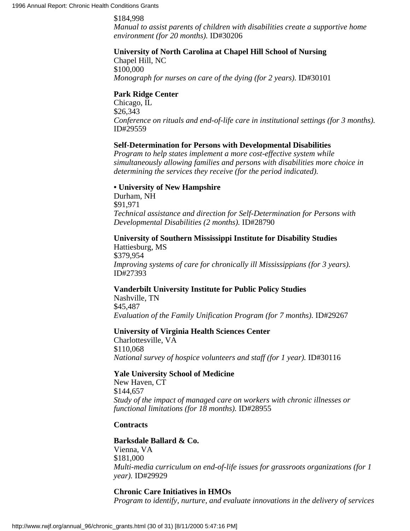#### \$184,998

*Manual to assist parents of children with disabilities create a supportive home environment (for 20 months).* ID#30206

## **University of North Carolina at Chapel Hill School of Nursing**

Chapel Hill, NC \$100,000 *Monograph for nurses on care of the dying (for 2 years).* ID#30101

#### **Park Ridge Center**

Chicago, IL \$26,343 *Conference on rituals and end-of-life care in institutional settings (for 3 months).* ID#29559

#### **Self-Determination for Persons with Developmental Disabilities**

*Program to help states implement a more cost-effective system while simultaneously allowing families and persons with disabilities more choice in determining the services they receive (for the period indicated).*

## **• University of New Hampshire**

Durham, NH \$91,971 *Technical assistance and direction for Self-Determination for Persons with Developmental Disabilities (2 months).* ID#28790

**University of Southern Mississippi Institute for Disability Studies** Hattiesburg, MS \$379,954 *Improving systems of care for chronically ill Mississippians (for 3 years).* ID#27393

## **Vanderbilt University Institute for Public Policy Studies**

Nashville, TN \$45,487 *Evaluation of the Family Unification Program (for 7 months).* ID#29267

## **University of Virginia Health Sciences Center**

Charlottesville, VA \$110,068 *National survey of hospice volunteers and staff (for 1 year).* ID#30116

## **Yale University School of Medicine**

New Haven, CT \$144,657 *Study of the impact of managed care on workers with chronic illnesses or functional limitations (for 18 months).* ID#28955

#### **Contracts**

## **Barksdale Ballard & Co.** Vienna, VA \$181,000

*Multi-media curriculum on end-of-life issues for grassroots organizations (for 1 year).* ID#29929

## **Chronic Care Initiatives in HMOs**

*Program to identify, nurture, and evaluate innovations in the delivery of services*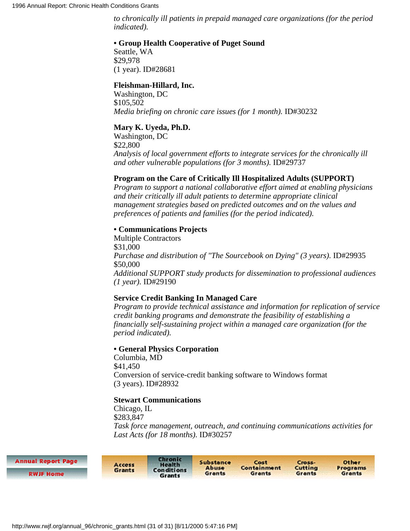*to chronically ill patients in prepaid managed care organizations (for the period indicated).*

## **• Group Health Cooperative of Puget Sound**

Seattle, WA \$29,978 (1 year). ID#28681

## **Fleishman-Hillard, Inc.**

Washington, DC \$105,502 *Media briefing on chronic care issues (for 1 month).* **ID#30232** 

## **Mary K. Uyeda, Ph.D.**

Washington, DC \$22,800 *Analysis of local government efforts to integrate services for the chronically ill and other vulnerable populations (for 3 months).* ID#29737

## **Program on the Care of Critically Ill Hospitalized Adults (SUPPORT)**

*Program to support a national collaborative effort aimed at enabling physicians and their critically ill adult patients to determine appropriate clinical management strategies based on predicted outcomes and on the values and preferences of patients and families (for the period indicated).*

## **• Communications Projects**

Multiple Contractors \$31,000 *Purchase and distribution of "The Sourcebook on Dying" (3 years).* ID#29935 \$50,000 *Additional SUPPORT study products for dissemination to professional audiences (1 year).* ID#29190

## **Service Credit Banking In Managed Care**

*Program to provide technical assistance and information for replication of service credit banking programs and demonstrate the feasibility of establishing a financially self-sustaining project within a managed care organization (for the period indicated).*

## **• General Physics Corporation**

Columbia, MD \$41,450 Conversion of service-credit banking software to Windows format (3 years). ID#28932

## **Stewart Communications**

Chicago, IL \$283,847 *Task force management, outreach, and continuing communications activities for Last Acts (for 18 months).* ID#30257

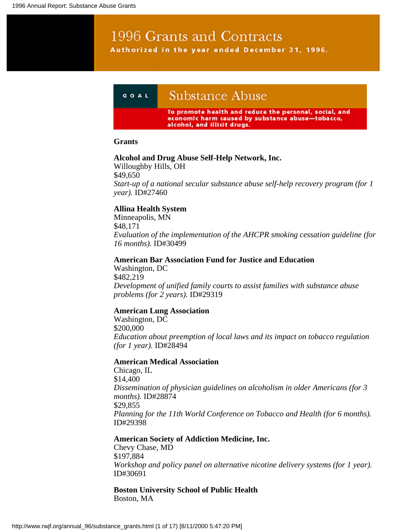# 1996 Grants and Contracts Authorized in the year ended December 31, 1996.

# **Substance Abuse** GOAL

To promote health and reduce the personal, social, and economic harm caused by substance abuse-tobacco, alcohol, and illicit drugs.

## **Grants**

## **Alcohol and Drug Abuse Self-Help Network, Inc.**

Willoughby Hills, OH \$49,650 *Start-up of a national secular substance abuse self-help recovery program (for 1 year).* ID#27460

## **Allina Health System**

Minneapolis, MN \$48,171 *Evaluation of the implementation of the AHCPR smoking cessation guideline (for 16 months).* ID#30499

**American Bar Association Fund for Justice and Education**

Washington, DC \$482,219 *Development of unified family courts to assist families with substance abuse problems (for 2 years).* ID#29319

## **American Lung Association**

Washington, DC \$200,000 *Education about preemption of local laws and its impact on tobacco regulation (for 1 year).* ID#28494

## **American Medical Association**

Chicago, IL \$14,400 *Dissemination of physician guidelines on alcoholism in older Americans (for 3 months).* ID#28874 \$29,855 *Planning for the 11th World Conference on Tobacco and Health (for 6 months).* ID#29398

## **American Society of Addiction Medicine, Inc.**

Chevy Chase, MD \$197,884 *Workshop and policy panel on alternative nicotine delivery systems (for 1 year).* ID#30691

**Boston University School of Public Health** Boston, MA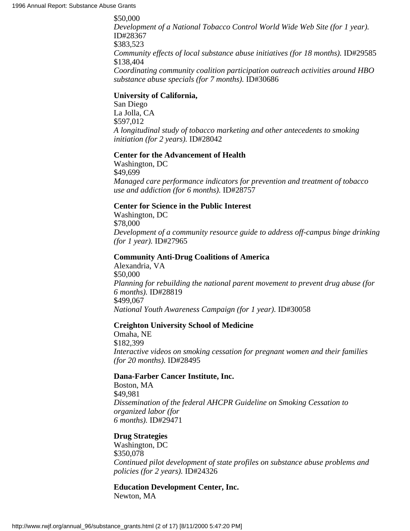\$50,000 *Development of a National Tobacco Control World Wide Web Site (for 1 year).* ID#28367 \$383,523 *Community effects of local substance abuse initiatives (for 18 months).* ID#29585 \$138,404 *Coordinating community coalition participation outreach activities around HBO substance abuse specials (for 7 months).* ID#30686

## **University of California,**

San Diego La Jolla, CA \$597,012 *A longitudinal study of tobacco marketing and other antecedents to smoking initiation (for 2 years).* ID#28042

## **Center for the Advancement of Health**

Washington, DC \$49,699 *Managed care performance indicators for prevention and treatment of tobacco use and addiction (for 6 months).* ID#28757

## **Center for Science in the Public Interest**

Washington, DC \$78,000 *Development of a community resource guide to address off-campus binge drinking (for 1 year).* ID#27965

#### **Community Anti-Drug Coalitions of America**

Alexandria, VA \$50,000 *Planning for rebuilding the national parent movement to prevent drug abuse (for 6 months).* ID#28819 \$499,067 *National Youth Awareness Campaign (for 1 year).* ID#30058

## **Creighton University School of Medicine**

Omaha, NE \$182,399 *Interactive videos on smoking cessation for pregnant women and their families (for 20 months).* ID#28495

## **Dana-Farber Cancer Institute, Inc.**

Boston, MA \$49,981 *Dissemination of the federal AHCPR Guideline on Smoking Cessation to organized labor (for 6 months).* ID#29471

## **Drug Strategies**

Washington, DC \$350,078 *Continued pilot development of state profiles on substance abuse problems and policies (for 2 years).* ID#24326

**Education Development Center, Inc.** Newton, MA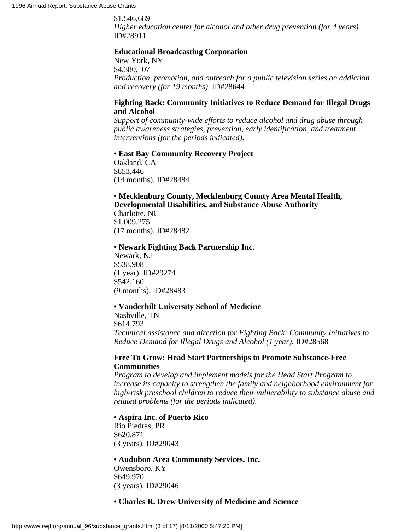\$1,546,689 *Higher education center for alcohol and other drug prevention (for 4 years).* ID#28911

#### **Educational Broadcasting Corporation**

New York, NY \$4,380,107 *Production, promotion, and outreach for a public television series on addiction and recovery (for 19 months).* ID#28644

## **Fighting Back: Community Initiatives to Reduce Demand for Illegal Drugs and Alcohol**

*Support of community-wide efforts to reduce alcohol and drug abuse through public awareness strategies, prevention, early identification, and treatment interventions (for the periods indicated).*

#### **• East Bay Community Recovery Project**

Oakland, CA \$853,446 (14 months). ID#28484

## **• Mecklenburg County, Mecklenburg County Area Mental Health, Developmental Disabilities, and Substance Abuse Authority**

Charlotte, NC \$1,009,275 (17 months). ID#28482

#### **• Newark Fighting Back Partnership Inc.**

Newark, NJ \$538,908 (1 year). ID#29274 \$542,160 (9 months). ID#28483

#### **• Vanderbilt University School of Medicine**

Nashville, TN \$614,793 *Technical assistance and direction for Fighting Back: Community Initiatives to Reduce Demand for Illegal Drugs and Alcohol (1 year).* ID#28568

## **Free To Grow: Head Start Partnerships to Promote Substance-Free Communities**

*Program to develop and implement models for the Head Start Program to increase its capacity to strengthen the family and neighborhood environment for high-risk preschool children to reduce their vulnerability to substance abuse and related problems (for the periods indicated).*

#### **• Aspira Inc. of Puerto Rico**

Rio Piedras, PR \$620,871 (3 years). ID#29043

## **• Audubon Area Community Services, Inc.** Owensboro, KY \$649,970 (3 years). ID#29046

#### **• Charles R. Drew University of Medicine and Science**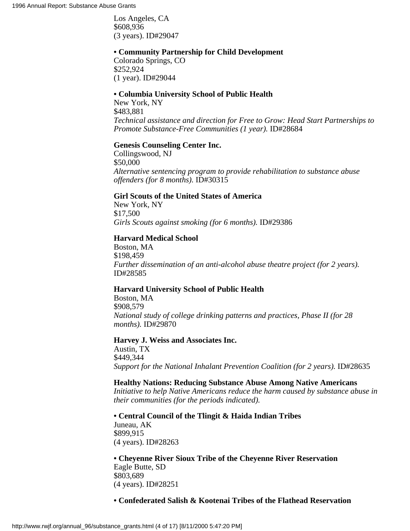Los Angeles, CA \$608,936 (3 years). ID#29047

## **• Community Partnership for Child Development**

Colorado Springs, CO \$252,924 (1 year). ID#29044

## **• Columbia University School of Public Health**

New York, NY \$483,881 *Technical assistance and direction for Free to Grow: Head Start Partnerships to Promote Substance-Free Communities (1 year).* ID#28684

## **Genesis Counseling Center Inc.**

Collingswood, NJ \$50,000 *Alternative sentencing program to provide rehabilitation to substance abuse offenders (for 8 months).* ID#30315

## **Girl Scouts of the United States of America**

New York, NY \$17,500 *Girls Scouts against smoking (for 6 months).* ID#29386

#### **Harvard Medical School**

Boston, MA \$198,459 *Further dissemination of an anti-alcohol abuse theatre project (for 2 years).* ID#28585

## **Harvard University School of Public Health**

Boston, MA \$908,579 *National study of college drinking patterns and practices, Phase II (for 28 months).* ID#29870

#### **Harvey J. Weiss and Associates Inc.**

Austin, TX \$449,344 *Support for the National Inhalant Prevention Coalition (for 2 years).* ID#28635

#### **Healthy Nations: Reducing Substance Abuse Among Native Americans**

*Initiative to help Native Americans reduce the harm caused by substance abuse in their communities (for the periods indicated).*

**• Central Council of the Tlingit & Haida Indian Tribes**

Juneau, AK \$899,915 (4 years). ID#28263

**• Cheyenne River Sioux Tribe of the Cheyenne River Reservation** Eagle Butte, SD \$803,689 (4 years). ID#28251

#### **• Confederated Salish & Kootenai Tribes of the Flathead Reservation**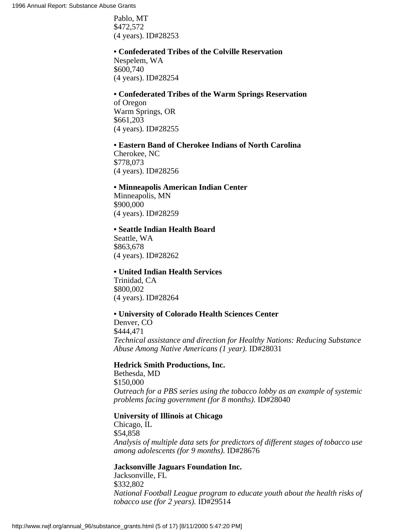Pablo, MT \$472,572 (4 years). ID#28253

## **• Confederated Tribes of the Colville Reservation**

Nespelem, WA \$600,740 (4 years). ID#28254

# **• Confederated Tribes of the Warm Springs Reservation** of Oregon

Warm Springs, OR \$661,203 (4 years). ID#28255

## **• Eastern Band of Cherokee Indians of North Carolina**

Cherokee, NC \$778,073 (4 years). ID#28256

## **• Minneapolis American Indian Center**

Minneapolis, MN \$900,000 (4 years). ID#28259

## **• Seattle Indian Health Board**

Seattle, WA \$863,678 (4 years). ID#28262

## **• United Indian Health Services**

Trinidad, CA \$800,002 (4 years). ID#28264

## **• University of Colorado Health Sciences Center**

Denver, CO \$444,471 *Technical assistance and direction for Healthy Nations: Reducing Substance Abuse Among Native Americans (1 year).* ID#28031

## **Hedrick Smith Productions, Inc.**

Bethesda, MD \$150,000 *Outreach for a PBS series using the tobacco lobby as an example of systemic problems facing government (for 8 months).* ID#28040

## **University of Illinois at Chicago**

Chicago, IL \$54,858 *Analysis of multiple data sets for predictors of different stages of tobacco use among adolescents (for 9 months).* ID#28676

## **Jacksonville Jaguars Foundation Inc.**

Jacksonville, FL \$332,802 *National Football League program to educate youth about the health risks of tobacco use (for 2 years).* ID#29514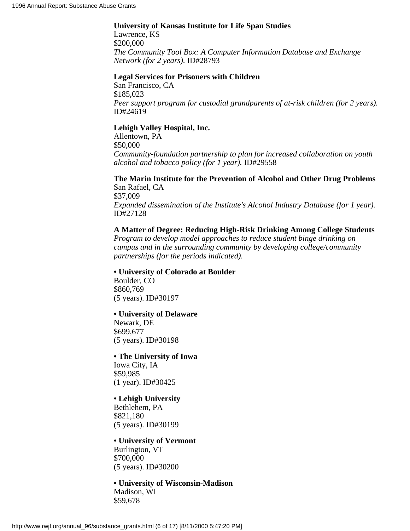## **University of Kansas Institute for Life Span Studies**

Lawrence, KS \$200,000 *The Community Tool Box: A Computer Information Database and Exchange Network (for 2 years).* ID#28793

## **Legal Services for Prisoners with Children**

San Francisco, CA \$185,023 *Peer support program for custodial grandparents of at-risk children (for 2 years).* ID#24619

## **Lehigh Valley Hospital, Inc.**

Allentown, PA \$50,000 *Community-foundation partnership to plan for increased collaboration on youth alcohol and tobacco policy (for 1 year).* ID#29558

## **The Marin Institute for the Prevention of Alcohol and Other Drug Problems**

San Rafael, CA \$37,009 *Expanded dissemination of the Institute's Alcohol Industry Database (for 1 year).* ID#27128

## **A Matter of Degree: Reducing High-Risk Drinking Among College Students**

*Program to develop model approaches to reduce student binge drinking on campus and in the surrounding community by developing college/community partnerships (for the periods indicated).*

## **• University of Colorado at Boulder**

Boulder, CO \$860,769 (5 years). ID#30197

## **• University of Delaware**

Newark, DE \$699,677 (5 years). ID#30198

## **• The University of Iowa**

Iowa City, IA \$59,985 (1 year). ID#30425

# **• Lehigh University**

Bethlehem, PA \$821,180 (5 years). ID#30199

#### **• University of Vermont** Burlington, VT

\$700,000 (5 years). ID#30200

**• University of Wisconsin-Madison** Madison, WI \$59,678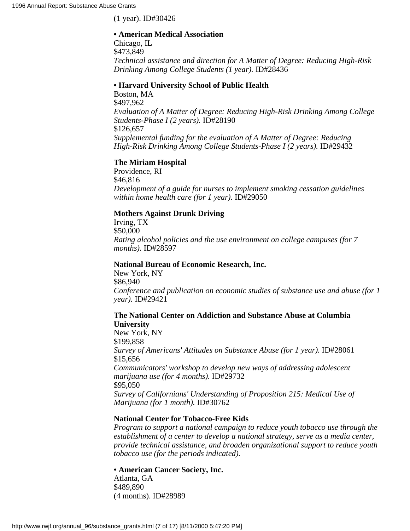(1 year). ID#30426

## **• American Medical Association**

Chicago, IL \$473,849 *Technical assistance and direction for A Matter of Degree: Reducing High-Risk Drinking Among College Students (1 year).* ID#28436

#### **• Harvard University School of Public Health**

Boston, MA \$497,962 *Evaluation of A Matter of Degree: Reducing High-Risk Drinking Among College Students-Phase I (2 years).* ID#28190 \$126,657 *Supplemental funding for the evaluation of A Matter of Degree: Reducing High-Risk Drinking Among College Students-Phase I (2 years).* ID#29432

## **The Miriam Hospital**

Providence, RI \$46,816 *Development of a guide for nurses to implement smoking cessation guidelines within home health care (for 1 year).* ID#29050

## **Mothers Against Drunk Driving**

Irving, TX \$50,000 *Rating alcohol policies and the use environment on college campuses (for 7 months).* ID#28597

#### **National Bureau of Economic Research, Inc.**

New York, NY \$86,940 *Conference and publication on economic studies of substance use and abuse (for 1 year).* ID#29421

## **The National Center on Addiction and Substance Abuse at Columbia University**

New York, NY \$199,858 *Survey of Americans' Attitudes on Substance Abuse (for 1 year).* ID#28061 \$15,656 *Communicators' workshop to develop new ways of addressing adolescent marijuana use (for 4 months).* ID#29732 \$95,050 *Survey of Californians' Understanding of Proposition 215: Medical Use of Marijuana (for 1 month).* ID#30762

## **National Center for Tobacco-Free Kids**

*Program to support a national campaign to reduce youth tobacco use through the establishment of a center to develop a national strategy, serve as a media center, provide technical assistance, and broaden organizational support to reduce youth tobacco use (for the periods indicated).*

## **• American Cancer Society, Inc.**

Atlanta, GA \$489,890 (4 months). ID#28989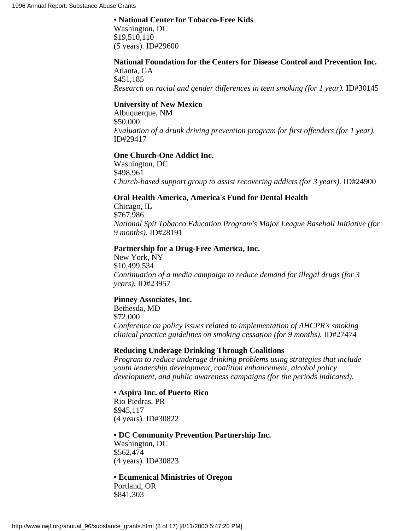#### **• National Center for Tobacco-Free Kids**

Washington, DC \$19,510,110 (5 years). ID#29600

# **National Foundation for the Centers for Disease Control and Prevention Inc.**

Atlanta, GA \$451,185 *Research on racial and gender differences in teen smoking (for 1 year).* ID#30145

## **University of New Mexico**

Albuquerque, NM \$50,000 *Evaluation of a drunk driving prevention program for first offenders (for 1 year).* ID#29417

## **One Church-One Addict Inc.**

Washington, DC \$498,961 *Church-based support group to assist recovering addicts (for 3 years).* ID#24900

## **Oral Health America, America's Fund for Dental Health**

Chicago, IL \$767,986 *National Spit Tobacco Education Program's Major League Baseball Initiative (for 9 months).* ID#28191

## **Partnership for a Drug-Free America, Inc.**

New York, NY \$10,499,534 *Continuation of a media campaign to reduce demand for illegal drugs (for 3 years).* ID#23957

## **Pinney Associates, Inc.**

Bethesda, MD \$72,000 *Conference on policy issues related to implementation of AHCPR's smoking clinical practice guidelines on smoking cessation (for 9 months).* ID#27474

## **Reducing Underage Drinking Through Coalitions**

*Program to reduce underage drinking problems using strategies that include youth leadership development, coalition enhancement, alcohol policy development, and public awareness campaigns (for the periods indicated).*

## **• Aspira Inc. of Puerto Rico**

Rio Piedras, PR \$945,117 (4 years). ID#30822

## **• DC Community Prevention Partnership Inc.**

Washington, DC \$562,474 (4 years). ID#30823

## **• Ecumenical Ministries of Oregon**

Portland, OR \$841,303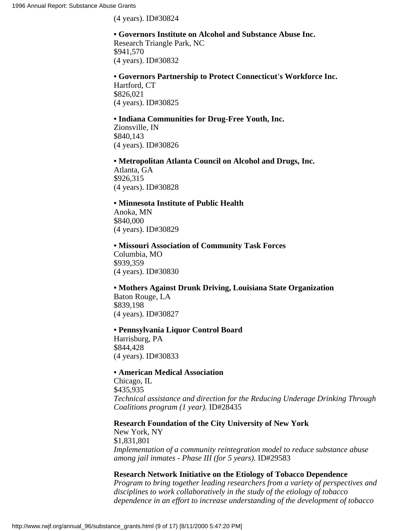(4 years). ID#30824

## **• Governors Institute on Alcohol and Substance Abuse Inc.**

Research Triangle Park, NC \$941,570 (4 years). ID#30832

## **• Governors Partnership to Protect Connecticut's Workforce Inc.**

Hartford, CT \$826,021 (4 years). ID#30825

## **• Indiana Communities for Drug-Free Youth, Inc.**

Zionsville, IN \$840,143 (4 years). ID#30826

**• Metropolitan Atlanta Council on Alcohol and Drugs, Inc.** Atlanta, GA

\$926,315 (4 years). ID#30828

## **• Minnesota Institute of Public Health**

Anoka, MN \$840,000 (4 years). ID#30829

## **• Missouri Association of Community Task Forces** Columbia, MO \$939,359 (4 years). ID#30830

# **• Mothers Against Drunk Driving, Louisiana State Organization**

Baton Rouge, LA \$839,198 (4 years). ID#30827

## **• Pennsylvania Liquor Control Board**

Harrisburg, PA \$844,428 (4 years). ID#30833

## **• American Medical Association**

Chicago, IL \$435,935 *Technical assistance and direction for the Reducing Underage Drinking Through Coalitions program (1 year).* ID#28435

## **Research Foundation of the City University of New York**

New York, NY \$1,831,801 *Implementation of a community reintegration model to reduce substance abuse among jail inmates - Phase III (for 5 years).* ID#29583

## **Research Network Initiative on the Etiology of Tobacco Dependence**

*Program to bring together leading researchers from a variety of perspectives and disciplines to work collaboratively in the study of the etiology of tobacco dependence in an effort to increase understanding of the development of tobacco*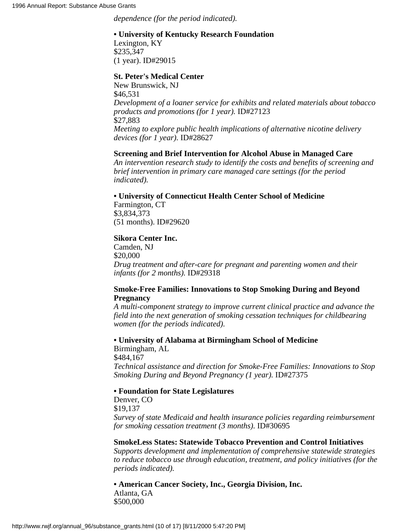*dependence (for the period indicated).*

## **• University of Kentucky Research Foundation**

Lexington, KY \$235,347 (1 year). ID#29015

## **St. Peter's Medical Center**

New Brunswick, NJ \$46,531 *Development of a loaner service for exhibits and related materials about tobacco products and promotions (for 1 year).* ID#27123 \$27,883 *Meeting to explore public health implications of alternative nicotine delivery devices (for 1 year).* ID#28627

## **Screening and Brief Intervention for Alcohol Abuse in Managed Care**

*An intervention research study to identify the costs and benefits of screening and brief intervention in primary care managed care settings (for the period indicated).*

## **• University of Connecticut Health Center School of Medicine**

Farmington, CT \$3,834,373 (51 months). ID#29620

## **Sikora Center Inc.**

Camden, NJ \$20,000 *Drug treatment and after-care for pregnant and parenting women and their infants (for 2 months).* ID#29318

## **Smoke-Free Families: Innovations to Stop Smoking During and Beyond Pregnancy**

*A multi-component strategy to improve current clinical practice and advance the field into the next generation of smoking cessation techniques for childbearing women (for the periods indicated).*

**• University of Alabama at Birmingham School of Medicine**

Birmingham, AL \$484,167 *Technical assistance and direction for Smoke-Free Families: Innovations to Stop Smoking During and Beyond Pregnancy (1 year).* ID#27375

## **• Foundation for State Legislatures**

Denver, CO \$19,137 *Survey of state Medicaid and health insurance policies regarding reimbursement for smoking cessation treatment (3 months).* ID#30695

**SmokeLess States: Statewide Tobacco Prevention and Control Initiatives** *Supports development and implementation of comprehensive statewide strategies to reduce tobacco use through education, treatment, and policy initiatives (for the periods indicated).*

**• American Cancer Society, Inc., Georgia Division, Inc.** Atlanta, GA \$500,000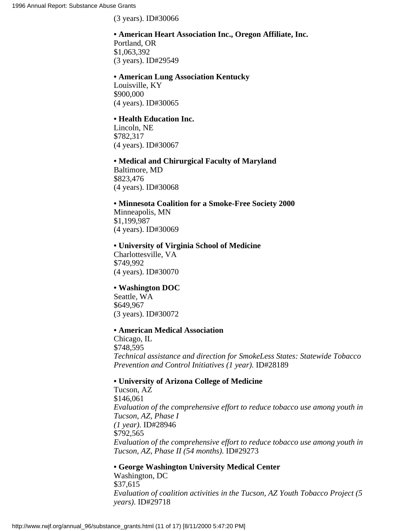(3 years). ID#30066

# **• American Heart Association Inc., Oregon Affiliate, Inc.**

Portland, OR \$1,063,392 (3 years). ID#29549

## **• American Lung Association Kentucky**

Louisville, KY \$900,000 (4 years). ID#30065

## **• Health Education Inc.**

Lincoln, NE \$782,317 (4 years). ID#30067

**• Medical and Chirurgical Faculty of Maryland** Baltimore, MD \$823,476 (4 years). ID#30068

**• Minnesota Coalition for a Smoke-Free Society 2000** Minneapolis, MN \$1,199,987 (4 years). ID#30069

## **• University of Virginia School of Medicine**

Charlottesville, VA \$749,992 (4 years). ID#30070

## **• Washington DOC**

Seattle, WA \$649,967 (3 years). ID#30072

## **• American Medical Association**

Chicago, IL \$748,595 *Technical assistance and direction for SmokeLess States: Statewide Tobacco Prevention and Control Initiatives (1 year).* ID#28189

## **• University of Arizona College of Medicine**

Tucson, AZ \$146,061 *Evaluation of the comprehensive effort to reduce tobacco use among youth in Tucson, AZ, Phase I (1 year).* ID#28946 \$792,565 *Evaluation of the comprehensive effort to reduce tobacco use among youth in Tucson, AZ, Phase II (54 months).* ID#29273

## **• George Washington University Medical Center**

Washington, DC \$37,615 *Evaluation of coalition activities in the Tucson, AZ Youth Tobacco Project (5 years).* ID#29718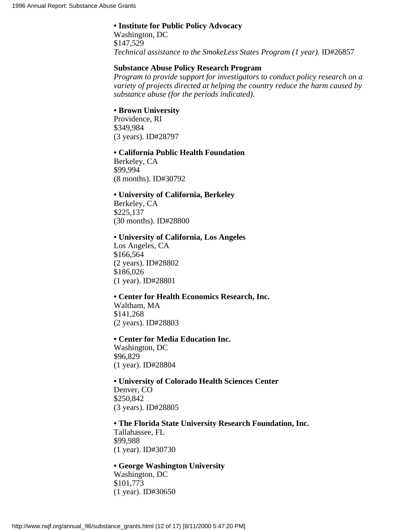#### **• Institute for Public Policy Advocacy**

Washington, DC \$147,529 *Technical assistance to the SmokeLess States Program (1 year).* ID#26857

## **Substance Abuse Policy Research Program**

*Program to provide support for investigators to conduct policy research on a variety of projects directed at helping the country reduce the harm caused by substance abuse (for the periods indicated).*

## **• Brown University**

Providence, RI \$349,984 (3 years). ID#28797

#### **• California Public Health Foundation**

Berkeley, CA \$99,994 (8 months). ID#30792

## **• University of California, Berkeley**

Berkeley, CA \$225,137 (30 months). ID#28800

#### **• University of California, Los Angeles**

Los Angeles, CA \$166,564 (2 years). ID#28802 \$186,026 (1 year). ID#28801

## **• Center for Health Economics Research, Inc.**

Waltham, MA \$141,268 (2 years). ID#28803

## **• Center for Media Education Inc.**

Washington, DC \$96,829 (1 year). ID#28804

**• University of Colorado Health Sciences Center** Denver, CO \$250,842 (3 years). ID#28805

## **• The Florida State University Research Foundation, Inc.**

Tallahassee, FL \$99,988 (1 year). ID#30730

## **• George Washington University**

Washington, DC \$101,773 (1 year). ID#30650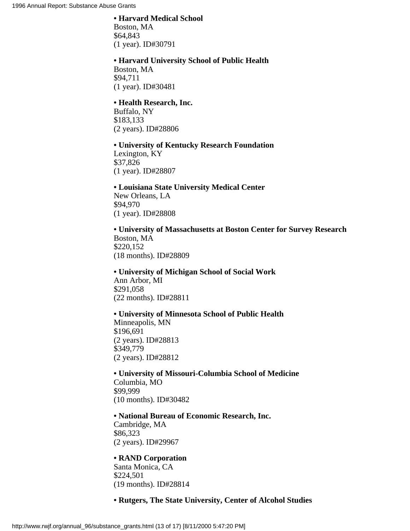#### **• Harvard Medical School**

Boston, MA \$64,843 (1 year). ID#30791

#### **• Harvard University School of Public Health**

Boston, MA \$94,711 (1 year). ID#30481

#### **• Health Research, Inc.**

Buffalo, NY \$183,133 (2 years). ID#28806

## **• University of Kentucky Research Foundation**

Lexington, KY \$37,826 (1 year). ID#28807

## **• Louisiana State University Medical Center**

New Orleans, LA \$94,970 (1 year). ID#28808

**• University of Massachusetts at Boston Center for Survey Research** Boston, MA \$220,152 (18 months). ID#28809

**• University of Michigan School of Social Work** Ann Arbor, MI \$291,058 (22 months). ID#28811

## **• University of Minnesota School of Public Health**

Minneapolis, MN \$196,691 (2 years). ID#28813 \$349,779 (2 years). ID#28812

**• University of Missouri-Columbia School of Medicine** Columbia, MO \$99,999 (10 months). ID#30482

#### **• National Bureau of Economic Research, Inc.**

Cambridge, MA \$86,323 (2 years). ID#29967

## **• RAND Corporation**

Santa Monica, CA \$224,501 (19 months). ID#28814

## **• Rutgers, The State University, Center of Alcohol Studies**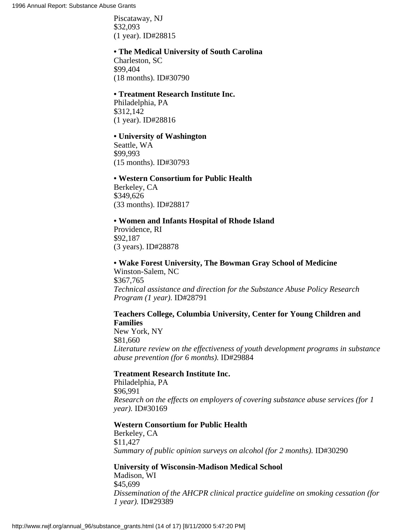Piscataway, NJ \$32,093 (1 year). ID#28815

#### **• The Medical University of South Carolina**

Charleston, SC \$99,404 (18 months). ID#30790

## **• Treatment Research Institute Inc.**

Philadelphia, PA \$312,142 (1 year). ID#28816

#### **• University of Washington**

Seattle, WA \$99,993 (15 months). ID#30793

#### **• Western Consortium for Public Health**

Berkeley, CA \$349,626 (33 months). ID#28817

## **• Women and Infants Hospital of Rhode Island**

Providence, RI \$92,187 (3 years). ID#28878

#### **• Wake Forest University, The Bowman Gray School of Medicine**

Winston-Salem, NC \$367,765 *Technical assistance and direction for the Substance Abuse Policy Research Program (1 year).* ID#28791

## **Teachers College, Columbia University, Center for Young Children and Families**

New York, NY \$81,660 *Literature review on the effectiveness of youth development programs in substance abuse prevention (for 6 months).* ID#29884

#### **Treatment Research Institute Inc.**

Philadelphia, PA \$96,991 *Research on the effects on employers of covering substance abuse services (for 1 year).* ID#30169

#### **Western Consortium for Public Health**

Berkeley, CA \$11,427 *Summary of public opinion surveys on alcohol (for 2 months).* ID#30290

## **University of Wisconsin-Madison Medical School**

Madison, WI \$45,699 *Dissemination of the AHCPR clinical practice guideline on smoking cessation (for 1 year).* ID#29389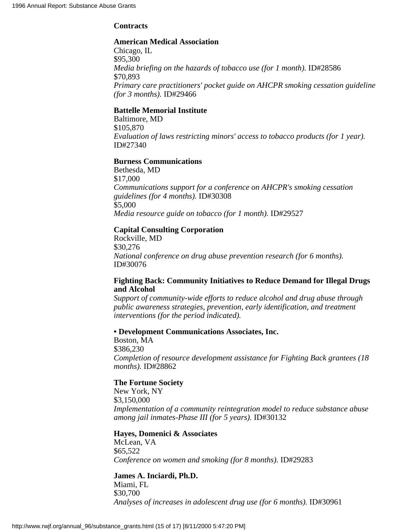## **Contracts**

## **American Medical Association**

Chicago, IL \$95,300 *Media briefing on the hazards of tobacco use (for 1 month).* ID#28586 \$70,893 *Primary care practitioners' pocket guide on AHCPR smoking cessation guideline (for 3 months).* ID#29466

## **Battelle Memorial Institute**

Baltimore, MD \$105,870 *Evaluation of laws restricting minors' access to tobacco products (for 1 year).* ID#27340

## **Burness Communications**

Bethesda, MD \$17,000 *Communications support for a conference on AHCPR's smoking cessation guidelines (for 4 months).* ID#30308 \$5,000 *Media resource guide on tobacco (for 1 month).* ID#29527

## **Capital Consulting Corporation**

Rockville, MD \$30,276 *National conference on drug abuse prevention research (for 6 months).* ID#30076

## **Fighting Back: Community Initiatives to Reduce Demand for Illegal Drugs and Alcohol**

*Support of community-wide efforts to reduce alcohol and drug abuse through public awareness strategies, prevention, early identification, and treatment interventions (for the period indicated).*

## **• Development Communications Associates, Inc.**

Boston, MA \$386,230 *Completion of resource development assistance for Fighting Back grantees (18 months).* ID#28862

## **The Fortune Society**

New York, NY \$3,150,000 *Implementation of a community reintegration model to reduce substance abuse among jail inmates-Phase III (for 5 years).* ID#30132

## **Hayes, Domenici & Associates**

McLean, VA \$65,522 *Conference on women and smoking (for 8 months).* ID#29283

## **James A. Inciardi, Ph.D.**

Miami, FL \$30,700 *Analyses of increases in adolescent drug use (for 6 months).* ID#30961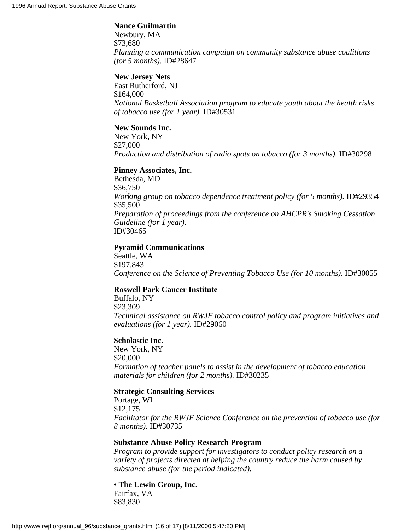#### **Nance Guilmartin**

Newbury, MA \$73,680 *Planning a communication campaign on community substance abuse coalitions (for 5 months).* ID#28647

## **New Jersey Nets**

East Rutherford, NJ \$164,000 *National Basketball Association program to educate youth about the health risks of tobacco use (for 1 year).* ID#30531

#### **New Sounds Inc.**

New York, NY \$27,000 *Production and distribution of radio spots on tobacco (for 3 months).* ID#30298

#### **Pinney Associates, Inc.**

Bethesda, MD \$36,750 *Working group on tobacco dependence treatment policy (for 5 months).* ID#29354 \$35,500 *Preparation of proceedings from the conference on AHCPR's Smoking Cessation Guideline (for 1 year).* ID#30465

#### **Pyramid Communications**

Seattle, WA \$197,843 *Conference on the Science of Preventing Tobacco Use (for 10 months).* ID#30055

## **Roswell Park Cancer Institute**

Buffalo, NY \$23,309 *Technical assistance on RWJF tobacco control policy and program initiatives and evaluations (for 1 year).* ID#29060

#### **Scholastic Inc.**

New York, NY \$20,000 *Formation of teacher panels to assist in the development of tobacco education materials for children (for 2 months).* ID#30235

## **Strategic Consulting Services**

Portage, WI \$12,175 *Facilitator for the RWJF Science Conference on the prevention of tobacco use (for 8 months).* ID#30735

#### **Substance Abuse Policy Research Program**

*Program to provide support for investigators to conduct policy research on a variety of projects directed at helping the country reduce the harm caused by substance abuse (for the period indicated).*

**• The Lewin Group, Inc.** Fairfax, VA

\$83,830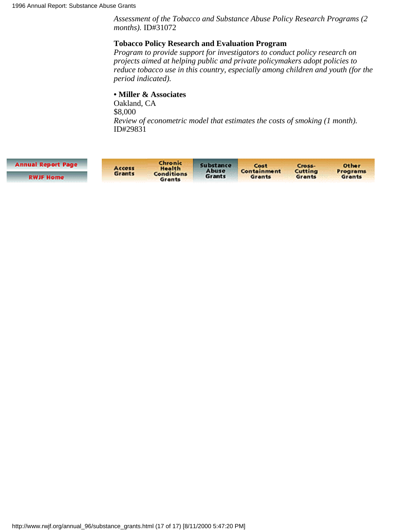*Assessment of the Tobacco and Substance Abuse Policy Research Programs (2 months).* ID#31072

## **Tobacco Policy Research and Evaluation Program**

*Program to provide support for investigators to conduct policy research on projects aimed at helping public and private policymakers adopt policies to reduce tobacco use in this country, especially among children and youth (for the period indicated).*

## **• Miller & Associates**

Oakland, CA \$8,000 *Review of econometric model that estimates the costs of smoking (1 month).* ID#29831

| <b>Annual Report Page</b> | Access<br>Grants | Chronic<br>Health<br><b>Conditions</b><br>Grants | Substance<br>Abuse<br>Grants | Cost.<br>Containment<br>Grants | Cross-<br>Cutting<br>Grants | <b>Other</b><br>Programs<br>Grants |
|---------------------------|------------------|--------------------------------------------------|------------------------------|--------------------------------|-----------------------------|------------------------------------|
| <b>RWJF Home</b>          |                  |                                                  |                              |                                |                             |                                    |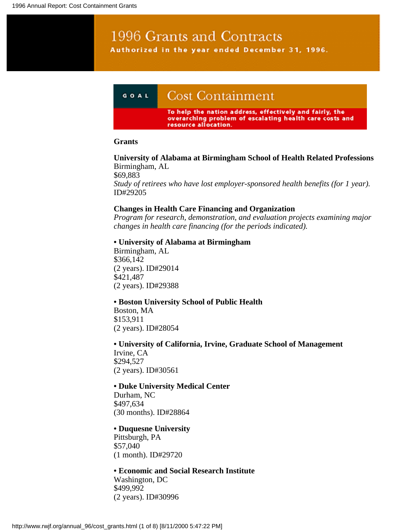# 1996 Grants and Contracts Authorized in the year ended December 31, 1996.



#### **Grants**

**University of Alabama at Birmingham School of Health Related Professions** Birmingham, AL \$69,883 *Study of retirees who have lost employer-sponsored health benefits (for 1 year).* ID#29205

#### **Changes in Health Care Financing and Organization**

*Program for research, demonstration, and evaluation projects examining major changes in health care financing (for the periods indicated).*

#### **• University of Alabama at Birmingham**

Birmingham, AL \$366,142 (2 years). ID#29014 \$421,487 (2 years). ID#29388

#### **• Boston University School of Public Health**

Boston, MA \$153,911 (2 years). ID#28054

**• University of California, Irvine, Graduate School of Management** Irvine, CA \$294,527 (2 years). ID#30561

## **• Duke University Medical Center**

Durham, NC \$497,634 (30 months). ID#28864

#### **• Duquesne University**

Pittsburgh, PA \$57,040 (1 month). ID#29720

**• Economic and Social Research Institute** Washington, DC \$499,992 (2 years). ID#30996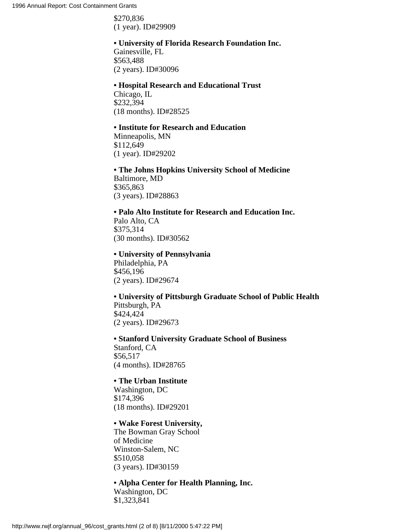\$270,836 (1 year). ID#29909

# **• University of Florida Research Foundation Inc.**

Gainesville, FL \$563,488 (2 years). ID#30096

#### **• Hospital Research and Educational Trust**

Chicago, IL \$232,394 (18 months). ID#28525

## **• Institute for Research and Education**

Minneapolis, MN \$112,649 (1 year). ID#29202

**• The Johns Hopkins University School of Medicine** Baltimore, MD \$365,863 (3 years). ID#28863

## **• Palo Alto Institute for Research and Education Inc.**

Palo Alto, CA \$375,314 (30 months). ID#30562

## **• University of Pennsylvania**

Philadelphia, PA \$456,196 (2 years). ID#29674

## **• University of Pittsburgh Graduate School of Public Health** Pittsburgh, PA \$424,424 (2 years). ID#29673

**• Stanford University Graduate School of Business** Stanford, CA \$56,517 (4 months). ID#28765

## **• The Urban Institute**

Washington, DC \$174,396 (18 months). ID#29201

## **• Wake Forest University,**

The Bowman Gray School of Medicine Winston-Salem, NC \$510,058 (3 years). ID#30159

## **• Alpha Center for Health Planning, Inc.**

Washington, DC \$1,323,841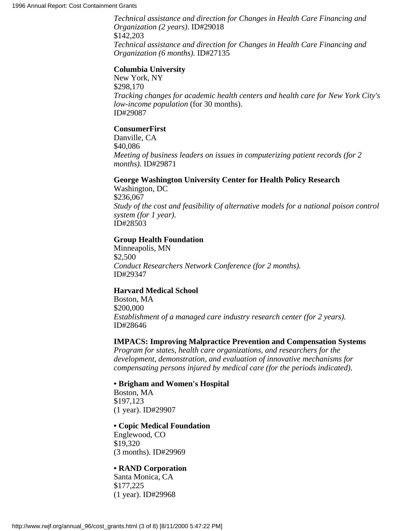*Technical assistance and direction for Changes in Health Care Financing and Organization (2 years).* ID#29018 \$142,203 *Technical assistance and direction for Changes in Health Care Financing and Organization (6 months).* ID#27135

#### **Columbia University**

New York, NY \$298,170 *Tracking changes for academic health centers and health care for New York City's low-income population* (for 30 months). ID#29087

#### **ConsumerFirst**

Danville, CA \$40,086 *Meeting of business leaders on issues in computerizing patient records (for 2 months).* ID#29871

## **George Washington University Center for Health Policy Research**

Washington, DC \$236,067 *Study of the cost and feasibility of alternative models for a national poison control system (for 1 year).* ID#28503

#### **Group Health Foundation**

Minneapolis, MN \$2,500 *Conduct Researchers Network Conference (for 2 months).* ID#29347

#### **Harvard Medical School**

Boston, MA \$200,000 *Establishment of a managed care industry research center (for 2 years).* ID#28646

#### **IMPACS: Improving Malpractice Prevention and Compensation Systems**

*Program for states, health care organizations, and researchers for the development, demonstration, and evaluation of innovative mechanisms for compensating persons injured by medical care (for the periods indicated).*

#### **• Brigham and Women's Hospital**

Boston, MA \$197,123 (1 year). ID#29907

#### **• Copic Medical Foundation**

Englewood, CO \$19,320 (3 months). ID#29969

## **• RAND Corporation**

Santa Monica, CA \$177,225 (1 year). ID#29968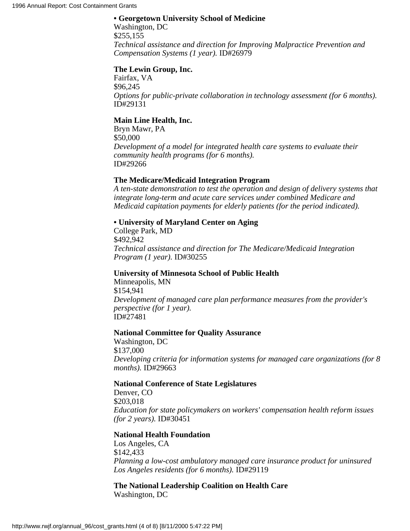## **• Georgetown University School of Medicine**

Washington, DC \$255,155 *Technical assistance and direction for Improving Malpractice Prevention and Compensation Systems (1 year).* ID#26979

## **The Lewin Group, Inc.**

Fairfax, VA \$96,245 *Options for public-private collaboration in technology assessment (for 6 months).* ID#29131

## **Main Line Health, Inc.**

Bryn Mawr, PA \$50,000 *Development of a model for integrated health care systems to evaluate their community health programs (for 6 months).* ID#29266

## **The Medicare/Medicaid Integration Program**

*A ten-state demonstration to test the operation and design of delivery systems that integrate long-term and acute care services under combined Medicare and Medicaid capitation payments for elderly patients (for the period indicated).*

## **• University of Maryland Center on Aging**

College Park, MD \$492,942 *Technical assistance and direction for The Medicare/Medicaid Integration Program (1 year).* ID#30255

## **University of Minnesota School of Public Health**

Minneapolis, MN \$154,941 *Development of managed care plan performance measures from the provider's perspective (for 1 year).* ID#27481

## **National Committee for Quality Assurance**

Washington, DC \$137,000 *Developing criteria for information systems for managed care organizations (for 8 months).* ID#29663

## **National Conference of State Legislatures**

Denver, CO \$203,018 *Education for state policymakers on workers' compensation health reform issues (for 2 years).* ID#30451

## **National Health Foundation**

Los Angeles, CA \$142,433 *Planning a low-cost ambulatory managed care insurance product for uninsured Los Angeles residents (for 6 months).* ID#29119

## **The National Leadership Coalition on Health Care** Washington, DC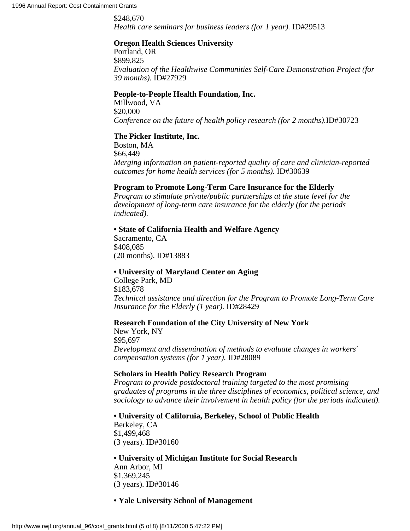\$248,670 *Health care seminars for business leaders (for 1 year).* ID#29513

## **Oregon Health Sciences University**

Portland, OR \$899,825 *Evaluation of the Healthwise Communities Self-Care Demonstration Project (for 39 months).* ID#27929

#### **People-to-People Health Foundation, Inc.**

Millwood, VA \$20,000 *Conference on the future of health policy research (for 2 months).*ID#30723

#### **The Picker Institute, Inc.**

Boston, MA \$66,449 *Merging information on patient-reported quality of care and clinician-reported outcomes for home health services (for 5 months).* ID#30639

#### **Program to Promote Long-Term Care Insurance for the Elderly**

*Program to stimulate private/public partnerships at the state level for the development of long-term care insurance for the elderly (for the periods indicated).*

#### **• State of California Health and Welfare Agency**

Sacramento, CA \$408,085 (20 months). ID#13883

#### **• University of Maryland Center on Aging**

College Park, MD \$183,678 *Technical assistance and direction for the Program to Promote Long-Term Care Insurance for the Elderly (1 year).* ID#28429

#### **Research Foundation of the City University of New York**

New York, NY \$95,697 *Development and dissemination of methods to evaluate changes in workers' compensation systems (for 1 year).* ID#28089

## **Scholars in Health Policy Research Program**

*Program to provide postdoctoral training targeted to the most promising graduates of programs in the three disciplines of economics, political science, and sociology to advance their involvement in health policy (for the periods indicated).*

**• University of California, Berkeley, School of Public Health**

Berkeley, CA \$1,499,468 (3 years). ID#30160

**• University of Michigan Institute for Social Research** Ann Arbor, MI \$1,369,245 (3 years). ID#30146

## **• Yale University School of Management**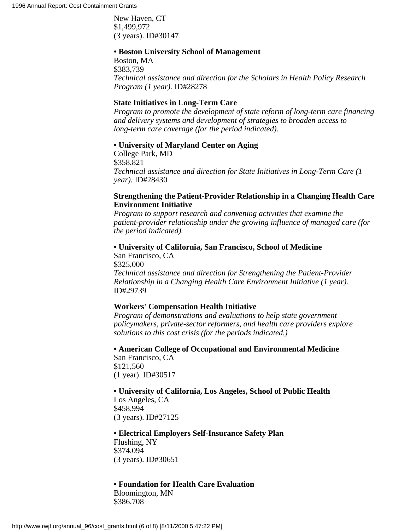New Haven, CT \$1,499,972 (3 years). ID#30147

#### **• Boston University School of Management**

Boston, MA \$383,739 *Technical assistance and direction for the Scholars in Health Policy Research Program (1 year).* ID#28278

## **State Initiatives in Long-Term Care**

*Program to promote the development of state reform of long-term care financing and delivery systems and development of strategies to broaden access to long-term care coverage (for the period indicated).*

#### **• University of Maryland Center on Aging**

College Park, MD \$358,821 *Technical assistance and direction for State Initiatives in Long-Term Care (1 year).* ID#28430

## **Strengthening the Patient-Provider Relationship in a Changing Health Care Environment Initiative**

*Program to support research and convening activities that examine the patient-provider relationship under the growing influence of managed care (for the period indicated).*

## **• University of California, San Francisco, School of Medicine**

San Francisco, CA \$325,000 *Technical assistance and direction for Strengthening the Patient-Provider Relationship in a Changing Health Care Environment Initiative (1 year).* ID#29739

## **Workers' Compensation Health Initiative**

*Program of demonstrations and evaluations to help state government policymakers, private-sector reformers, and health care providers explore solutions to this cost crisis (for the periods indicated.)*

**• American College of Occupational and Environmental Medicine** San Francisco, CA \$121,560 (1 year). ID#30517

**• University of California, Los Angeles, School of Public Health** Los Angeles, CA

\$458,994 (3 years). ID#27125

**• Electrical Employers Self-Insurance Safety Plan** Flushing, NY \$374,094 (3 years). ID#30651

#### **• Foundation for Health Care Evaluation**

Bloomington, MN \$386,708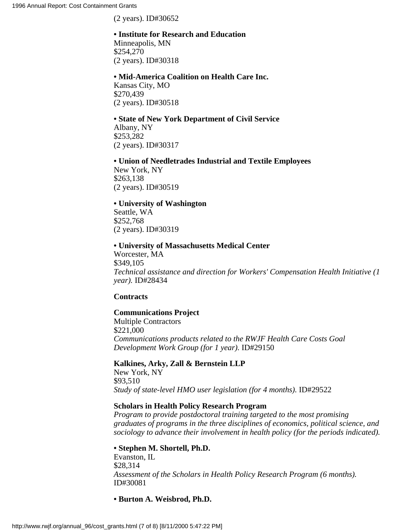(2 years). ID#30652

## **• Institute for Research and Education**

Minneapolis, MN \$254,270 (2 years). ID#30318

## **• Mid-America Coalition on Health Care Inc.**

Kansas City, MO \$270,439 (2 years). ID#30518

# **• State of New York Department of Civil Service**

Albany, NY \$253,282 (2 years). ID#30317

## **• Union of Needletrades Industrial and Textile Employees** New York, NY

\$263,138 (2 years). ID#30519

## **• University of Washington**

Seattle, WA \$252,768 (2 years). ID#30319

## **• University of Massachusetts Medical Center**

Worcester, MA \$349,105 *Technical assistance and direction for Workers' Compensation Health Initiative (1 year).* ID#28434

## **Contracts**

## **Communications Project**

Multiple Contractors \$221,000 *Communications products related to the RWJF Health Care Costs Goal Development Work Group (for 1 year).* ID#29150

## **Kalkines, Arky, Zall & Bernstein LLP**

New York, NY \$93,510 *Study of state-level HMO user legislation (for 4 months).* ID#29522

## **Scholars in Health Policy Research Program**

*Program to provide postdoctoral training targeted to the most promising graduates of programs in the three disciplines of economics, political science, and sociology to advance their involvement in health policy (for the periods indicated).*

## **• Stephen M. Shortell, Ph.D.**

Evanston, IL \$28,314 *Assessment of the Scholars in Health Policy Research Program (6 months).* ID#30081

**• Burton A. Weisbrod, Ph.D.**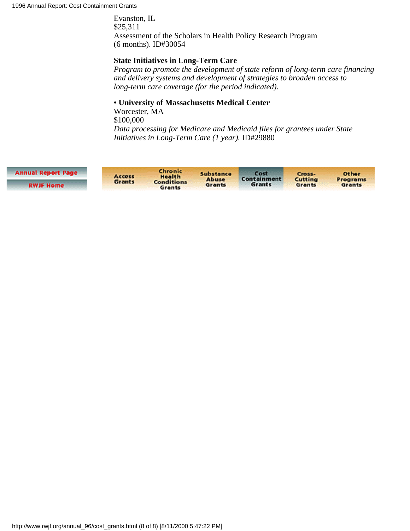Evanston, IL \$25,311 Assessment of the Scholars in Health Policy Research Program (6 months). ID#30054

## **State Initiatives in Long-Term Care**

*Program to promote the development of state reform of long-term care financing and delivery systems and development of strategies to broaden access to long-term care coverage (for the period indicated).*

## **• University of Massachusetts Medical Center**

Worcester, MA \$100,000 *Data processing for Medicare and Medicaid files for grantees under State Initiatives in Long-Term Care (1 year).* ID#29880

| <b>Annual Report Page</b> | Access<br>Grants | Chronic<br>Health<br><b>Conditions</b><br>Grants | Substance<br>Abuse<br>Grants | Cost<br>Containment<br>Grants | Cross-<br>Cutting<br>Grants | Other<br><b>Programs</b><br>Grants |
|---------------------------|------------------|--------------------------------------------------|------------------------------|-------------------------------|-----------------------------|------------------------------------|
| <b>RWJF Home</b>          |                  |                                                  |                              |                               |                             |                                    |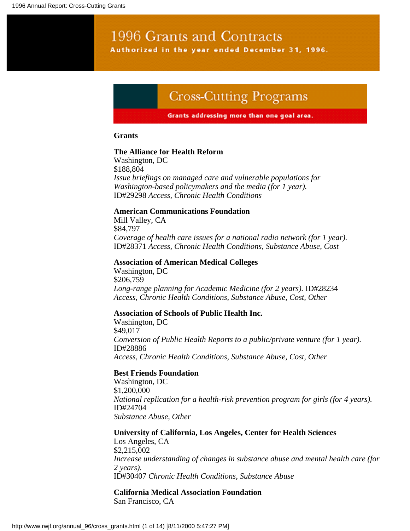# 1996 Grants and Contracts Authorized in the year ended December 31, 1996.

# **Cross-Cutting Programs**

#### Grants addressing more than one goal area.

#### **Grants**

#### **The Alliance for Health Reform**

Washington, DC \$188,804 *Issue briefings on managed care and vulnerable populations for Washington-based policymakers and the media (for 1 year).* ID#29298 *Access, Chronic Health Conditions*

## **American Communications Foundation**

Mill Valley, CA \$84,797 *Coverage of health care issues for a national radio network (for 1 year).* ID#28371 *Access, Chronic Health Conditions, Substance Abuse, Cost*

#### **Association of American Medical Colleges**

Washington, DC \$206,759 *Long-range planning for Academic Medicine (for 2 years).* ID#28234 *Access, Chronic Health Conditions, Substance Abuse, Cost, Other*

#### **Association of Schools of Public Health Inc.**

Washington, DC \$49,017 *Conversion of Public Health Reports to a public/private venture (for 1 year).* ID#28886 *Access, Chronic Health Conditions, Substance Abuse, Cost, Other*

#### **Best Friends Foundation**

Washington, DC \$1,200,000 *National replication for a health-risk prevention program for girls (for 4 years).* ID#24704 *Substance Abuse, Other*

**University of California, Los Angeles, Center for Health Sciences** Los Angeles, CA \$2,215,002 *Increase understanding of changes in substance abuse and mental health care (for 2 years).* ID#30407 *Chronic Health Conditions, Substance Abuse*

#### **California Medical Association Foundation** San Francisco, CA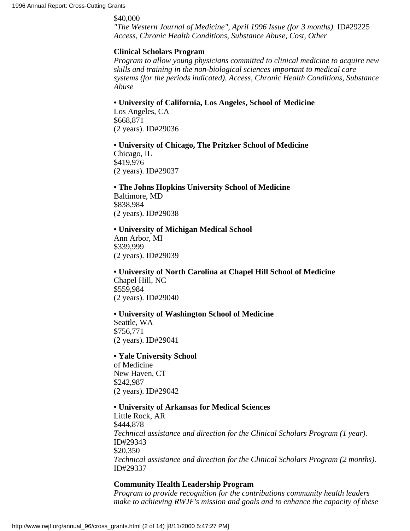#### \$40,000

*"The Western Journal of Medicine", April 1996 Issue (for 3 months).* ID#29225 *Access, Chronic Health Conditions, Substance Abuse, Cost, Other*

## **Clinical Scholars Program**

*Program to allow young physicians committed to clinical medicine to acquire new skills and training in the non-biological sciences important to medical care systems (for the periods indicated). Access, Chronic Health Conditions, Substance Abuse*

**• University of California, Los Angeles, School of Medicine**

Los Angeles, CA \$668,871 (2 years). ID#29036

**• University of Chicago, The Pritzker School of Medicine** Chicago, IL

\$419,976 (2 years). ID#29037

**• The Johns Hopkins University School of Medicine** Baltimore, MD

\$838,984 (2 years). ID#29038

## **• University of Michigan Medical School**

Ann Arbor, MI \$339,999 (2 years). ID#29039

**• University of North Carolina at Chapel Hill School of Medicine** Chapel Hill, NC \$559,984 (2 years). ID#29040

#### **• University of Washington School of Medicine**

Seattle, WA \$756,771 (2 years). ID#29041

#### **• Yale University School**

of Medicine New Haven, CT \$242,987 (2 years). ID#29042

#### **• University of Arkansas for Medical Sciences**

Little Rock, AR \$444,878 *Technical assistance and direction for the Clinical Scholars Program (1 year).* ID#29343 \$20,350 *Technical assistance and direction for the Clinical Scholars Program (2 months).* ID#29337

## **Community Health Leadership Program**

*Program to provide recognition for the contributions community health leaders make to achieving RWJF's mission and goals and to enhance the capacity of these*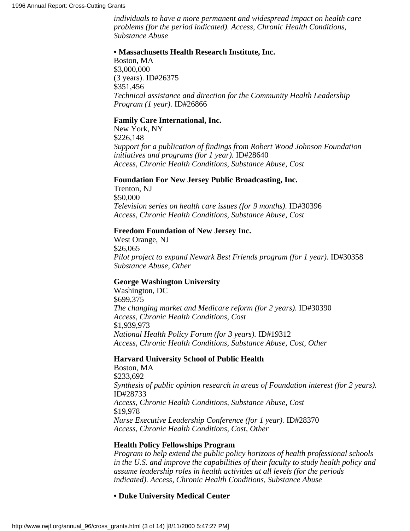*individuals to have a more permanent and widespread impact on health care problems (for the period indicated). Access, Chronic Health Conditions, Substance Abuse*

#### **• Massachusetts Health Research Institute, Inc.**

Boston, MA \$3,000,000 (3 years). ID#26375 \$351,456 *Technical assistance and direction for the Community Health Leadership Program (1 year).* ID#26866

#### **Family Care International, Inc.**

New York, NY \$226,148 *Support for a publication of findings from Robert Wood Johnson Foundation initiatives and programs (for 1 year).* ID#28640 *Access, Chronic Health Conditions, Substance Abuse, Cost*

#### **Foundation For New Jersey Public Broadcasting, Inc.**

Trenton, NJ \$50,000 *Television series on health care issues (for 9 months).* ID#30396 *Access, Chronic Health Conditions, Substance Abuse, Cost*

#### **Freedom Foundation of New Jersey Inc.**

West Orange, NJ \$26,065 *Pilot project to expand Newark Best Friends program (for 1 year).* ID#30358 *Substance Abuse, Other*

## **George Washington University**

Washington, DC \$699,375 *The changing market and Medicare reform (for 2 years).* ID#30390 *Access, Chronic Health Conditions, Cost* \$1,939,973 *National Health Policy Forum (for 3 years).* ID#19312 *Access, Chronic Health Conditions, Substance Abuse, Cost, Other*

#### **Harvard University School of Public Health**

Boston, MA \$233,692 *Synthesis of public opinion research in areas of Foundation interest (for 2 years).* ID#28733 *Access, Chronic Health Conditions, Substance Abuse, Cost* \$19,978 *Nurse Executive Leadership Conference (for 1 year).* ID#28370 *Access, Chronic Health Conditions, Cost, Other*

#### **Health Policy Fellowships Program**

*Program to help extend the public policy horizons of health professional schools in the U.S. and improve the capabilities of their faculty to study health policy and assume leadership roles in health activities at all levels (for the periods indicated). Access, Chronic Health Conditions, Substance Abuse*

**• Duke University Medical Center**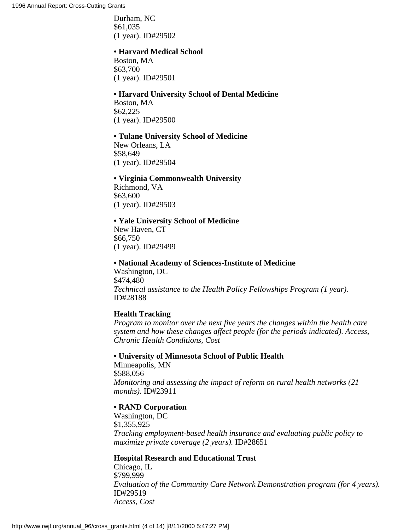Durham, NC \$61,035 (1 year). ID#29502

#### **• Harvard Medical School**

Boston, MA \$63,700 (1 year). ID#29501

#### **• Harvard University School of Dental Medicine**

Boston, MA \$62,225 (1 year). ID#29500

#### **• Tulane University School of Medicine**

New Orleans, LA \$58,649 (1 year). ID#29504

#### **• Virginia Commonwealth University**

Richmond, VA \$63,600 (1 year). ID#29503

#### **• Yale University School of Medicine**

New Haven, CT \$66,750 (1 year). ID#29499

#### **• National Academy of Sciences-Institute of Medicine**

Washington, DC \$474,480 *Technical assistance to the Health Policy Fellowships Program (1 year).* ID#28188

#### **Health Tracking**

*Program to monitor over the next five years the changes within the health care system and how these changes affect people (for the periods indicated). Access, Chronic Health Conditions, Cost*

#### **• University of Minnesota School of Public Health**

Minneapolis, MN \$588,056 *Monitoring and assessing the impact of reform on rural health networks (21 months).* ID#23911

#### **• RAND Corporation**

Washington, DC \$1,355,925 *Tracking employment-based health insurance and evaluating public policy to maximize private coverage (2 years).* ID#28651

#### **Hospital Research and Educational Trust**

Chicago, IL \$799,999 *Evaluation of the Community Care Network Demonstration program (for 4 years).* ID#29519 *Access, Cost*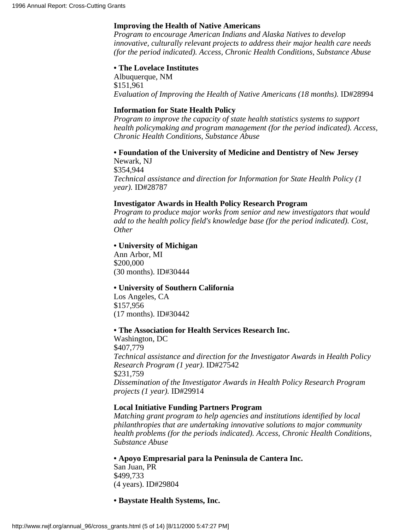#### **Improving the Health of Native Americans**

*Program to encourage American Indians and Alaska Natives to develop innovative, culturally relevant projects to address their major health care needs (for the period indicated). Access, Chronic Health Conditions, Substance Abuse*

#### **• The Lovelace Institutes**

Albuquerque, NM \$151,961 *Evaluation of Improving the Health of Native Americans (18 months).* ID#28994

#### **Information for State Health Policy**

*Program to improve the capacity of state health statistics systems to support health policymaking and program management (for the period indicated). Access, Chronic Health Conditions, Substance Abuse*

**• Foundation of the University of Medicine and Dentistry of New Jersey** Newark, NJ \$354,944

*Technical assistance and direction for Information for State Health Policy (1 year).* ID#28787

#### **Investigator Awards in Health Policy Research Program**

*Program to produce major works from senior and new investigators that would add to the health policy field's knowledge base (for the period indicated). Cost, Other*

#### **• University of Michigan**

Ann Arbor, MI \$200,000 (30 months). ID#30444

#### **• University of Southern California**

Los Angeles, CA \$157,956 (17 months). ID#30442

#### **• The Association for Health Services Research Inc.**

Washington, DC \$407,779 *Technical assistance and direction for the Investigator Awards in Health Policy Research Program (1 year).* ID#27542 \$231,759 *Dissemination of the Investigator Awards in Health Policy Research Program projects (1 year).* ID#29914

#### **Local Initiative Funding Partners Program**

*Matching grant program to help agencies and institutions identified by local philanthropies that are undertaking innovative solutions to major community health problems (for the periods indicated). Access, Chronic Health Conditions, Substance Abuse*

**• Apoyo Empresarial para la Peninsula de Cantera Inc.** San Juan, PR \$499,733 (4 years). ID#29804

**• Baystate Health Systems, Inc.**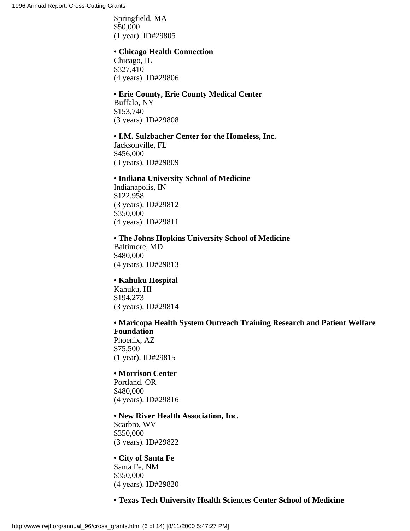Springfield, MA \$50,000 (1 year). ID#29805

#### **• Chicago Health Connection**

Chicago, IL \$327,410 (4 years). ID#29806

#### **• Erie County, Erie County Medical Center**

Buffalo, NY \$153,740 (3 years). ID#29808

#### **• I.M. Sulzbacher Center for the Homeless, Inc.**

Jacksonville, FL \$456,000 (3 years). ID#29809

#### **• Indiana University School of Medicine**

Indianapolis, IN \$122,958 (3 years). ID#29812 \$350,000 (4 years). ID#29811

#### **• The Johns Hopkins University School of Medicine**

Baltimore, MD \$480,000 (4 years). ID#29813

#### **• Kahuku Hospital**

Kahuku, HI \$194,273 (3 years). ID#29814

#### **• Maricopa Health System Outreach Training Research and Patient Welfare Foundation**

Phoenix, AZ \$75,500 (1 year). ID#29815

#### **• Morrison Center**

Portland, OR \$480,000 (4 years). ID#29816

#### **• New River Health Association, Inc.**

Scarbro, WV \$350,000 (3 years). ID#29822

#### **• City of Santa Fe**

Santa Fe, NM \$350,000 (4 years). ID#29820

#### **• Texas Tech University Health Sciences Center School of Medicine**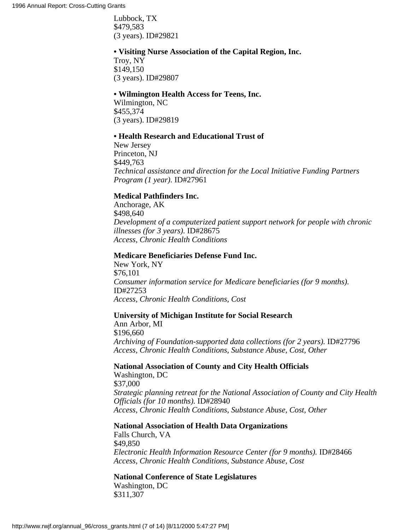Lubbock, TX \$479,583 (3 years). ID#29821

#### **• Visiting Nurse Association of the Capital Region, Inc.**

Troy, NY \$149,150 (3 years). ID#29807

#### **• Wilmington Health Access for Teens, Inc.**

Wilmington, NC \$455,374 (3 years). ID#29819

#### **• Health Research and Educational Trust of**

New Jersey Princeton, NJ \$449,763 *Technical assistance and direction for the Local Initiative Funding Partners Program (1 year).* ID#27961

#### **Medical Pathfinders Inc.**

Anchorage, AK \$498,640 *Development of a computerized patient support network for people with chronic illnesses (for 3 years).* ID#28675 *Access, Chronic Health Conditions*

#### **Medicare Beneficiaries Defense Fund Inc.**

New York, NY \$76,101 *Consumer information service for Medicare beneficiaries (for 9 months).* ID#27253 *Access, Chronic Health Conditions, Cost*

#### **University of Michigan Institute for Social Research**

Ann Arbor, MI \$196,660 *Archiving of Foundation-supported data collections (for 2 years).* ID#27796 *Access, Chronic Health Conditions, Substance Abuse, Cost, Other*

### **National Association of County and City Health Officials**

Washington, DC \$37,000 *Strategic planning retreat for the National Association of County and City Health Officials (for 10 months).* ID#28940 *Access, Chronic Health Conditions, Substance Abuse, Cost, Other*

#### **National Association of Health Data Organizations**

Falls Church, VA \$49,850 *Electronic Health Information Resource Center (for 9 months).* ID#28466 *Access, Chronic Health Conditions, Substance Abuse, Cost*

#### **National Conference of State Legislatures** Washington, DC

\$311,307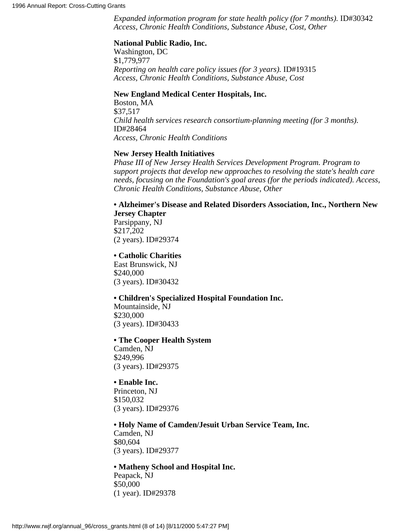*Expanded information program for state health policy (for 7 months).* ID#30342 *Access, Chronic Health Conditions, Substance Abuse, Cost, Other*

#### **National Public Radio, Inc.**

Washington, DC \$1,779,977 *Reporting on health care policy issues (for 3 years).* ID#19315 *Access, Chronic Health Conditions, Substance Abuse, Cost*

#### **New England Medical Center Hospitals, Inc.**

Boston, MA \$37,517 *Child health services research consortium-planning meeting (for 3 months).* ID#28464 *Access, Chronic Health Conditions*

#### **New Jersey Health Initiatives**

*Phase III of New Jersey Health Services Development Program. Program to support projects that develop new approaches to resolving the state's health care needs, focusing on the Foundation's goal areas (for the periods indicated). Access, Chronic Health Conditions, Substance Abuse, Other*

#### **• Alzheimer's Disease and Related Disorders Association, Inc., Northern New Jersey Chapter**

Parsippany, NJ \$217,202 (2 years). ID#29374

#### **• Catholic Charities**

East Brunswick, NJ \$240,000 (3 years). ID#30432

#### **• Children's Specialized Hospital Foundation Inc.**

Mountainside, NJ \$230,000 (3 years). ID#30433

#### **• The Cooper Health System**

Camden, NJ \$249,996 (3 years). ID#29375

#### **• Enable Inc.**

Princeton, NJ \$150,032 (3 years). ID#29376

**• Holy Name of Camden/Jesuit Urban Service Team, Inc.** Camden, NJ \$80,604 (3 years). ID#29377

#### **• Matheny School and Hospital Inc.**

Peapack, NJ \$50,000 (1 year). ID#29378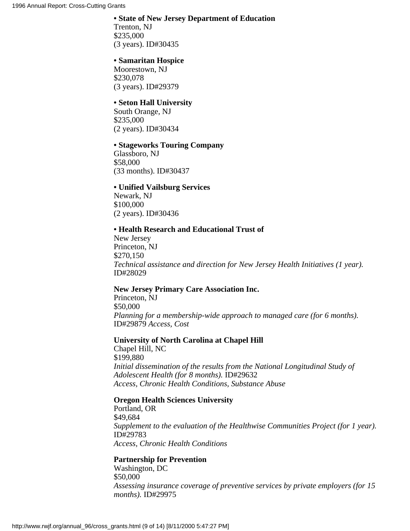#### **• State of New Jersey Department of Education**

Trenton, NJ \$235,000 (3 years). ID#30435

#### **• Samaritan Hospice**

Moorestown, NJ \$230,078 (3 years). ID#29379

#### **• Seton Hall University**

South Orange, NJ \$235,000 (2 years). ID#30434

#### **• Stageworks Touring Company**

Glassboro, NJ \$58,000 (33 months). ID#30437

#### **• Unified Vailsburg Services**

Newark, NJ \$100,000 (2 years). ID#30436

#### **• Health Research and Educational Trust of**

New Jersey Princeton, NJ \$270,150 *Technical assistance and direction for New Jersey Health Initiatives (1 year).* ID#28029

#### **New Jersey Primary Care Association Inc.**

Princeton, NJ \$50,000 *Planning for a membership-wide approach to managed care (for 6 months).* ID#29879 *Access, Cost*

#### **University of North Carolina at Chapel Hill**

Chapel Hill, NC \$199,880 *Initial dissemination of the results from the National Longitudinal Study of Adolescent Health (for 8 months).* ID#29632 *Access, Chronic Health Conditions, Substance Abuse*

#### **Oregon Health Sciences University**

Portland, OR \$49,684 *Supplement to the evaluation of the Healthwise Communities Project (for 1 year).* ID#29783 *Access, Chronic Health Conditions*

#### **Partnership for Prevention**

Washington, DC \$50,000 *Assessing insurance coverage of preventive services by private employers (for 15 months).* ID#29975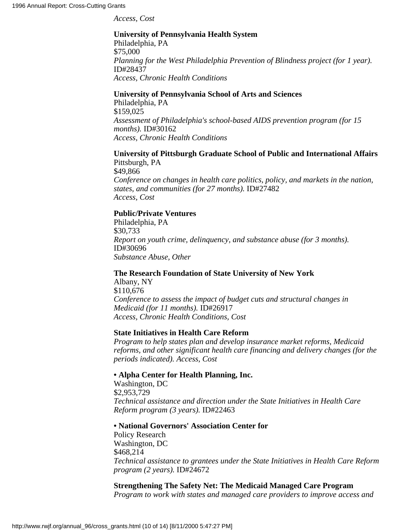*Access, Cost*

#### **University of Pennsylvania Health System** Philadelphia, PA

\$75,000 *Planning for the West Philadelphia Prevention of Blindness project (for 1 year).* ID#28437 *Access, Chronic Health Conditions*

#### **University of Pennsylvania School of Arts and Sciences**

Philadelphia, PA \$159,025 *Assessment of Philadelphia's school-based AIDS prevention program (for 15 months).* ID#30162 *Access, Chronic Health Conditions*

#### **University of Pittsburgh Graduate School of Public and International Affairs** Pittsburgh, PA

\$49,866 *Conference on changes in health care politics, policy, and markets in the nation, states, and communities (for 27 months).* ID#27482 *Access, Cost*

#### **Public/Private Ventures**

Philadelphia, PA \$30,733 *Report on youth crime, delinquency, and substance abuse (for 3 months).* ID#30696 *Substance Abuse, Other*

#### **The Research Foundation of State University of New York**

Albany, NY \$110,676 *Conference to assess the impact of budget cuts and structural changes in Medicaid (for 11 months).* ID#26917 *Access, Chronic Health Conditions, Cost*

#### **State Initiatives in Health Care Reform**

*Program to help states plan and develop insurance market reforms, Medicaid reforms, and other significant health care financing and delivery changes (for the periods indicated). Access, Cost*

#### **• Alpha Center for Health Planning, Inc.**

Washington, DC \$2,953,729 *Technical assistance and direction under the State Initiatives in Health Care Reform program (3 years).* ID#22463

#### **• National Governors' Association Center for**

Policy Research Washington, DC \$468,214 *Technical assistance to grantees under the State Initiatives in Health Care Reform program (2 years).* ID#24672

#### **Strengthening The Safety Net: The Medicaid Managed Care Program** *Program to work with states and managed care providers to improve access and*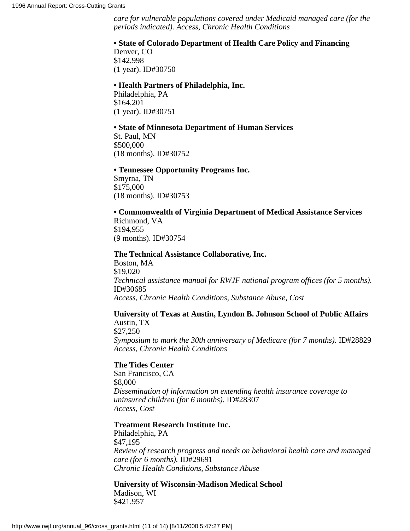*care for vulnerable populations covered under Medicaid managed care (for the periods indicated). Access, Chronic Health Conditions*

#### **• State of Colorado Department of Health Care Policy and Financing**

Denver, CO \$142,998 (1 year). ID#30750

#### **• Health Partners of Philadelphia, Inc.**

Philadelphia, PA \$164,201 (1 year). ID#30751

#### **• State of Minnesota Department of Human Services**

St. Paul, MN \$500,000 (18 months). ID#30752

#### **• Tennessee Opportunity Programs Inc.**

Smyrna, TN \$175,000 (18 months). ID#30753

#### **• Commonwealth of Virginia Department of Medical Assistance Services**

Richmond, VA \$194,955 (9 months). ID#30754

#### **The Technical Assistance Collaborative, Inc.**

Boston, MA \$19,020 *Technical assistance manual for RWJF national program offices (for 5 months).* ID#30685 *Access, Chronic Health Conditions, Substance Abuse, Cost*

#### **University of Texas at Austin, Lyndon B. Johnson School of Public Affairs** Austin, TX

\$27,250 *Symposium to mark the 30th anniversary of Medicare (for 7 months).* ID#28829 *Access, Chronic Health Conditions*

#### **The Tides Center**

San Francisco, CA \$8,000 *Dissemination of information on extending health insurance coverage to uninsured children (for 6 months).* ID#28307 *Access, Cost*

#### **Treatment Research Institute Inc.**

Philadelphia, PA \$47,195 *Review of research progress and needs on behavioral health care and managed care (for 6 months).* ID#29691 *Chronic Health Conditions, Substance Abuse*

**University of Wisconsin-Madison Medical School** Madison, WI \$421,957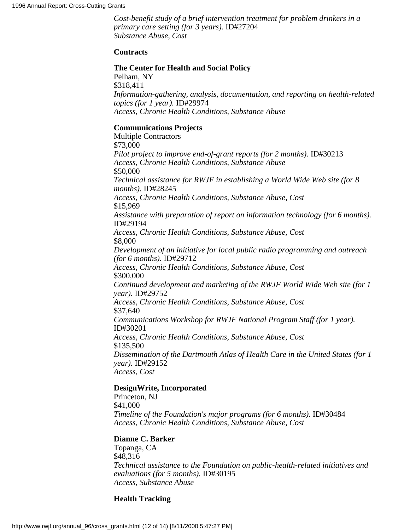*Cost-benefit study of a brief intervention treatment for problem drinkers in a primary care setting (for 3 years).* ID#27204 *Substance Abuse, Cost*

#### **Contracts**

#### **The Center for Health and Social Policy**

Pelham, NY \$318,411 *Information-gathering, analysis, documentation, and reporting on health-related topics (for 1 year).* ID#29974 *Access, Chronic Health Conditions, Substance Abuse*

#### **Communications Projects**

Multiple Contractors \$73,000 *Pilot project to improve end-of-grant reports (for 2 months).* ID#30213 *Access, Chronic Health Conditions, Substance Abuse* \$50,000 *Technical assistance for RWJF in establishing a World Wide Web site (for 8 months).* ID#28245 *Access, Chronic Health Conditions, Substance Abuse, Cost* \$15,969 *Assistance with preparation of report on information technology (for 6 months).* ID#29194 *Access, Chronic Health Conditions, Substance Abuse, Cost* \$8,000 *Development of an initiative for local public radio programming and outreach (for 6 months).* ID#29712 *Access, Chronic Health Conditions, Substance Abuse, Cost* \$300,000 *Continued development and marketing of the RWJF World Wide Web site (for 1 year).* ID#29752 *Access, Chronic Health Conditions, Substance Abuse, Cost* \$37,640 *Communications Workshop for RWJF National Program Staff (for 1 year).* ID#30201 *Access, Chronic Health Conditions, Substance Abuse, Cost* \$135,500 *Dissemination of the Dartmouth Atlas of Health Care in the United States (for 1 year).* ID#29152 *Access, Cost*

#### **DesignWrite, Incorporated**

Princeton, NJ \$41,000 *Timeline of the Foundation's major programs (for 6 months).* ID#30484 *Access, Chronic Health Conditions, Substance Abuse, Cost*

#### **Dianne C. Barker**

Topanga, CA \$48,316 *Technical assistance to the Foundation on public-health-related initiatives and evaluations (for 5 months).* ID#30195 *Access, Substance Abuse*

#### **Health Tracking**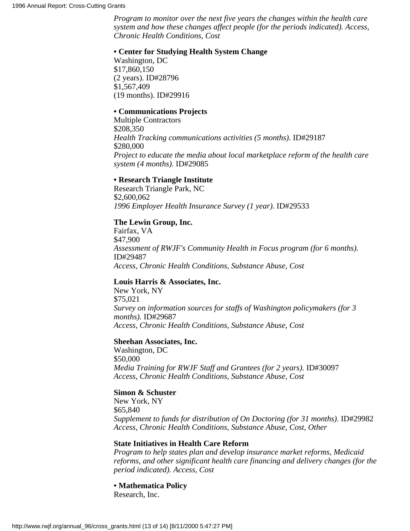*Program to monitor over the next five years the changes within the health care system and how these changes affect people (for the periods indicated). Access, Chronic Health Conditions, Cost*

#### **• Center for Studying Health System Change**

Washington, DC \$17,860,150 (2 years). ID#28796 \$1,567,409 (19 months). ID#29916

#### **• Communications Projects**

Multiple Contractors \$208,350 *Health Tracking communications activities (5 months).* ID#29187 \$280,000 *Project to educate the media about local marketplace reform of the health care system (4 months).* ID#29085

#### **• Research Triangle Institute**

Research Triangle Park, NC \$2,600,062 *1996 Employer Health Insurance Survey (1 year).* ID#29533

#### **The Lewin Group, Inc.**

Fairfax, VA \$47,900 *Assessment of RWJF's Community Health in Focus program (for 6 months).* ID#29487 *Access, Chronic Health Conditions, Substance Abuse, Cost*

#### **Louis Harris & Associates, Inc.**

New York, NY \$75,021 *Survey on information sources for staffs of Washington policymakers (for 3 months).* ID#29687 *Access, Chronic Health Conditions, Substance Abuse, Cost*

#### **Sheehan Associates, Inc.**

Washington, DC \$50,000 *Media Training for RWJF Staff and Grantees (for 2 years).* ID#30097 *Access, Chronic Health Conditions, Substance Abuse, Cost*

#### **Simon & Schuster**

New York, NY \$65,840 *Supplement to funds for distribution of On Doctoring (for 31 months).* ID#29982 *Access, Chronic Health Conditions, Substance Abuse, Cost, Other*

#### **State Initiatives in Health Care Reform**

*Program to help states plan and develop insurance market reforms, Medicaid reforms, and other significant health care financing and delivery changes (for the period indicated). Access, Cost*

**• Mathematica Policy** Research, Inc.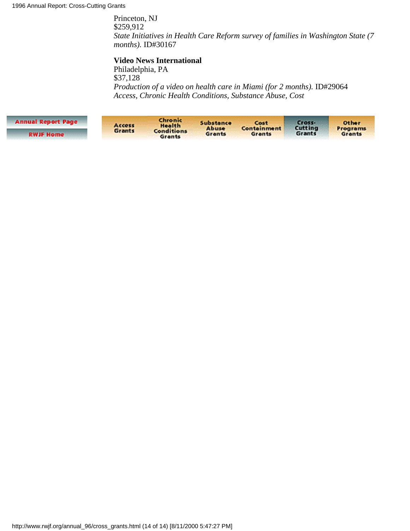Princeton, NJ \$259,912 *State Initiatives in Health Care Reform survey of families in Washington State (7 months).* ID#30167

#### **Video News International**

Philadelphia, PA \$37,128 *Production of a video on health care in Miami (for 2 months).* ID#29064 *Access, Chronic Health Conditions, Substance Abuse, Cost*

| <b>Annual Report Page</b> | Access | Chronic<br>Health           | Substance<br>Abuse<br>Grants | Cost<br>Containment<br>Grants | Cross-<br>Cutting<br>Grants | <b>Other</b><br>Programs<br>Grants |
|---------------------------|--------|-----------------------------|------------------------------|-------------------------------|-----------------------------|------------------------------------|
| <b>RWJF Home</b>          | Grants | <b>Conditions</b><br>Grants |                              |                               |                             |                                    |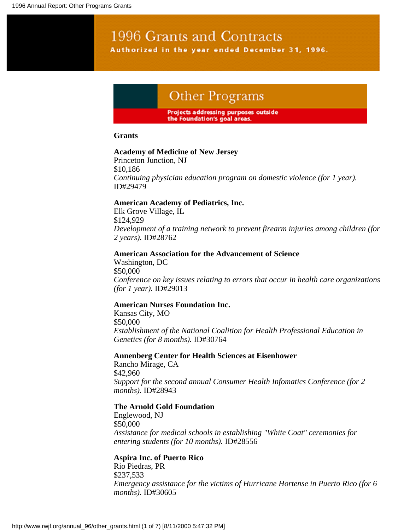### 1996 Grants and Contracts Authorized in the year ended December 31, 1996.

### Other Programs

#### Projects addressing purposes outside the Foundation's goal areas.

#### **Grants**

#### **Academy of Medicine of New Jersey**

Princeton Junction, NJ \$10,186 *Continuing physician education program on domestic violence (for 1 year).* ID#29479

#### **American Academy of Pediatrics, Inc.**

Elk Grove Village, IL \$124,929 *Development of a training network to prevent firearm injuries among children (for 2 years).* ID#28762

#### **American Association for the Advancement of Science**

Washington, DC \$50,000 *Conference on key issues relating to errors that occur in health care organizations (for 1 year).* ID#29013

#### **American Nurses Foundation Inc.**

Kansas City, MO \$50,000 *Establishment of the National Coalition for Health Professional Education in Genetics (for 8 months).* ID#30764

#### **Annenberg Center for Health Sciences at Eisenhower**

Rancho Mirage, CA \$42,960 *Support for the second annual Consumer Health Infomatics Conference (for 2 months).* ID#28943

#### **The Arnold Gold Foundation**

Englewood, NJ \$50,000 *Assistance for medical schools in establishing "White Coat" ceremonies for entering students (for 10 months).* ID#28556

#### **Aspira Inc. of Puerto Rico**

Rio Piedras, PR \$237,533 *Emergency assistance for the victims of Hurricane Hortense in Puerto Rico (for 6 months).* ID#30605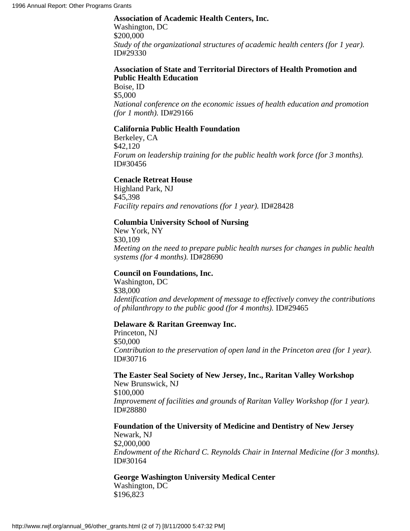#### **Association of Academic Health Centers, Inc.**

Washington, DC \$200,000 *Study of the organizational structures of academic health centers (for 1 year).* ID#29330

#### **Association of State and Territorial Directors of Health Promotion and Public Health Education**

Boise, ID \$5,000 *National conference on the economic issues of health education and promotion (for 1 month).* ID#29166

#### **California Public Health Foundation**

Berkeley, CA \$42,120 *Forum on leadership training for the public health work force (for 3 months).* ID#30456

#### **Cenacle Retreat House**

Highland Park, NJ \$45,398 *Facility repairs and renovations (for 1 year).* ID#28428

#### **Columbia University School of Nursing**

New York, NY \$30,109 *Meeting on the need to prepare public health nurses for changes in public health systems (for 4 months).* ID#28690

#### **Council on Foundations, Inc.**

Washington, DC \$38,000 *Identification and development of message to effectively convey the contributions of philanthropy to the public good (for 4 months).* ID#29465

#### **Delaware & Raritan Greenway Inc.**

Princeton, NJ \$50,000 *Contribution to the preservation of open land in the Princeton area (for 1 year).* ID#30716

#### **The Easter Seal Society of New Jersey, Inc., Raritan Valley Workshop**

New Brunswick, NJ \$100,000 *Improvement of facilities and grounds of Raritan Valley Workshop (for 1 year).* ID#28880

#### **Foundation of the University of Medicine and Dentistry of New Jersey**

Newark, NJ \$2,000,000 *Endowment of the Richard C. Reynolds Chair in Internal Medicine (for 3 months).* ID#30164

#### **George Washington University Medical Center** Washington, DC

\$196,823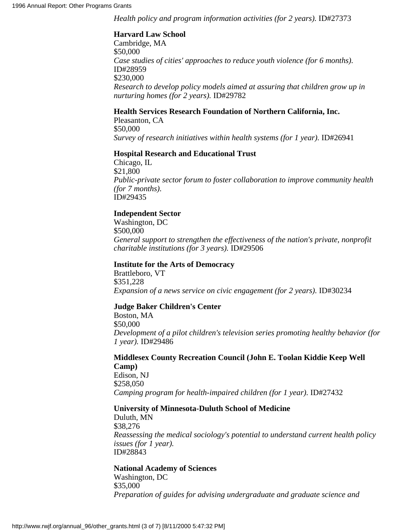*Health policy and program information activities (for 2 years).* **ID#27373** 

#### **Harvard Law School**

Cambridge, MA \$50,000 *Case studies of cities' approaches to reduce youth violence (for 6 months).* ID#28959 \$230,000 *Research to develop policy models aimed at assuring that children grow up in nurturing homes (for 2 years).* ID#29782

#### **Health Services Research Foundation of Northern California, Inc.**

Pleasanton, CA \$50,000 *Survey of research initiatives within health systems (for 1 year).* ID#26941

#### **Hospital Research and Educational Trust**

Chicago, IL \$21,800 *Public-private sector forum to foster collaboration to improve community health (for 7 months).* ID#29435

#### **Independent Sector**

Washington, DC \$500,000 *General support to strengthen the effectiveness of the nation's private, nonprofit charitable institutions (for 3 years).* ID#29506

#### **Institute for the Arts of Democracy**

Brattleboro, VT \$351,228 *Expansion of a news service on civic engagement (for 2 years).* ID#30234

#### **Judge Baker Children's Center**

Boston, MA \$50,000 *Development of a pilot children's television series promoting healthy behavior (for 1 year).* ID#29486

#### **Middlesex County Recreation Council (John E. Toolan Kiddie Keep Well Camp)** Edison, NJ \$258,050

*Camping program for health-impaired children (for 1 year).* ID#27432

#### **University of Minnesota-Duluth School of Medicine**

Duluth, MN \$38,276 *Reassessing the medical sociology's potential to understand current health policy issues (for 1 year).* ID#28843

#### **National Academy of Sciences**

Washington, DC \$35,000 *Preparation of guides for advising undergraduate and graduate science and*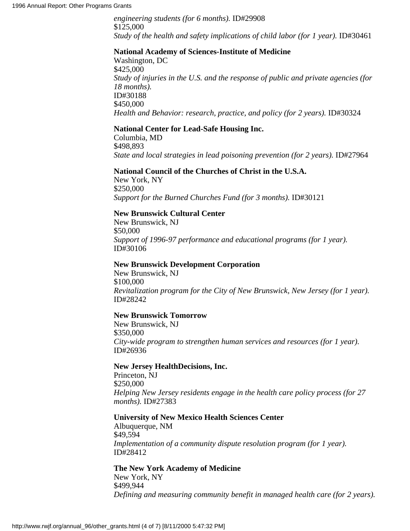*engineering students (for 6 months).* ID#29908 \$125,000 *Study of the health and safety implications of child labor (for 1 year).* ID#30461

#### **National Academy of Sciences-Institute of Medicine**

Washington, DC \$425,000 *Study of injuries in the U.S. and the response of public and private agencies (for 18 months).* ID#30188 \$450,000 *Health and Behavior: research, practice, and policy (for 2 years).* **ID#30324** 

#### **National Center for Lead-Safe Housing Inc.**

Columbia, MD \$498,893 *State and local strategies in lead poisoning prevention (for 2 years).* **ID#27964** 

#### **National Council of the Churches of Christ in the U.S.A.**

New York, NY \$250,000 *Support for the Burned Churches Fund (for 3 months).* ID#30121

#### **New Brunswick Cultural Center**

New Brunswick, NJ \$50,000 *Support of 1996-97 performance and educational programs (for 1 year).* ID#30106

#### **New Brunswick Development Corporation**

New Brunswick, NJ \$100,000 *Revitalization program for the City of New Brunswick, New Jersey (for 1 year).* ID#28242

#### **New Brunswick Tomorrow**

New Brunswick, NJ \$350,000 *City-wide program to strengthen human services and resources (for 1 year).* ID#26936

#### **New Jersey HealthDecisions, Inc.**

Princeton, NJ \$250,000 *Helping New Jersey residents engage in the health care policy process (for 27 months).* ID#27383

#### **University of New Mexico Health Sciences Center**

Albuquerque, NM \$49,594 *Implementation of a community dispute resolution program (for 1 year).* ID#28412

#### **The New York Academy of Medicine**

New York, NY \$499,944 *Defining and measuring community benefit in managed health care (for 2 years).*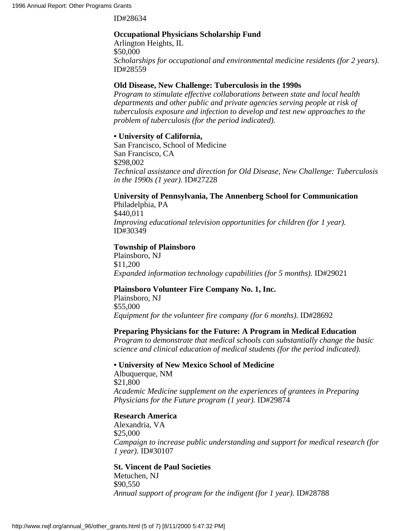ID#28634

#### **Occupational Physicians Scholarship Fund**

Arlington Heights, IL \$50,000 *Scholarships for occupational and environmental medicine residents (for 2 years).* ID#28559

#### **Old Disease, New Challenge: Tuberculosis in the 1990s**

*Program to stimulate effective collaborations between state and local health departments and other public and private agencies serving people at risk of tuberculosis exposure and infection to develop and test new approaches to the problem of tuberculosis (for the period indicated).*

#### **• University of California,**

San Francisco, School of Medicine San Francisco, CA \$298,002 *Technical assistance and direction for Old Disease, New Challenge: Tuberculosis in the 1990s (1 year).* ID#27228

#### **University of Pennsylvania, The Annenberg School for Communication**

Philadelphia, PA \$440,011 *Improving educational television opportunities for children (for 1 year).* ID#30349

#### **Township of Plainsboro**

Plainsboro, NJ \$11,200 *Expanded information technology capabilities (for 5 months).* ID#29021

#### **Plainsboro Volunteer Fire Company No. 1, Inc.**

Plainsboro, NJ \$55,000 *Equipment for the volunteer fire company (for 6 months).* ID#28692

#### **Preparing Physicians for the Future: A Program in Medical Education**

*Program to demonstrate that medical schools can substantially change the basic science and clinical education of medical students (for the period indicated).*

#### **• University of New Mexico School of Medicine**

Albuquerque, NM \$21,800 *Academic Medicine supplement on the experiences of grantees in Preparing Physicians for the Future program (1 year).* ID#29874

#### **Research America**

Alexandria, VA \$25,000 *Campaign to increase public understanding and support for medical research (for 1 year).* ID#30107

#### **St. Vincent de Paul Societies**

Metuchen, NJ \$90,550 *Annual support of program for the indigent (for 1 year).* ID#28788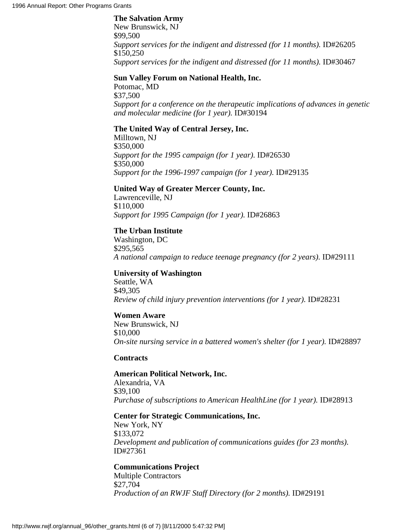#### **The Salvation Army**

New Brunswick, NJ \$99,500 *Support services for the indigent and distressed (for 11 months).* ID#26205 \$150,250 *Support services for the indigent and distressed (for 11 months).* ID#30467

#### **Sun Valley Forum on National Health, Inc.**

Potomac, MD \$37,500 *Support for a conference on the therapeutic implications of advances in genetic and molecular medicine (for 1 year).* ID#30194

#### **The United Way of Central Jersey, Inc.**

Milltown, NJ \$350,000 *Support for the 1995 campaign (for 1 year).* ID#26530 \$350,000 *Support for the 1996-1997 campaign (for 1 year).* ID#29135

#### **United Way of Greater Mercer County, Inc.**

Lawrenceville, NJ \$110,000 *Support for 1995 Campaign (for 1 year).* ID#26863

#### **The Urban Institute**

Washington, DC \$295,565 *A national campaign to reduce teenage pregnancy (for 2 years).* ID#29111

#### **University of Washington**

Seattle, WA \$49,305 *Review of child injury prevention interventions (for 1 year).* ID#28231

#### **Women Aware**

New Brunswick, NJ \$10,000 *On-site nursing service in a battered women's shelter (for 1 year).* ID#28897

#### **Contracts**

#### **American Political Network, Inc.**

Alexandria, VA \$39,100 *Purchase of subscriptions to American HealthLine (for 1 year).* ID#28913

#### **Center for Strategic Communications, Inc.**

New York, NY \$133,072 *Development and publication of communications guides (for 23 months).* ID#27361

#### **Communications Project**

Multiple Contractors \$27,704 *Production of an RWJF Staff Directory (for 2 months).* ID#29191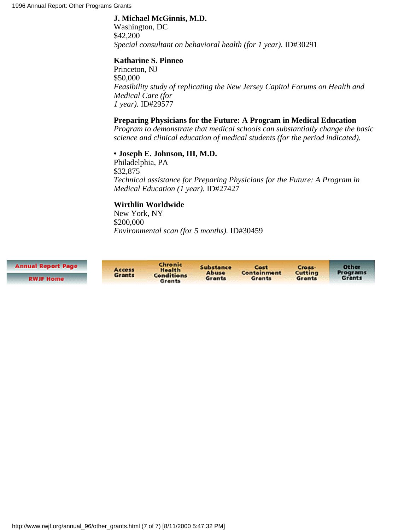#### **J. Michael McGinnis, M.D.**

Washington, DC \$42,200 *Special consultant on behavioral health (for 1 year).* ID#30291

#### **Katharine S. Pinneo**

Princeton, NJ \$50,000 *Feasibility study of replicating the New Jersey Capitol Forums on Health and Medical Care (for 1 year).* ID#29577

#### **Preparing Physicians for the Future: A Program in Medical Education**

*Program to demonstrate that medical schools can substantially change the basic science and clinical education of medical students (for the period indicated).*

#### **• Joseph E. Johnson, III, M.D.**

Philadelphia, PA \$32,875 *Technical assistance for Preparing Physicians for the Future: A Program in Medical Education (1 year).* ID#27427

#### **Wirthlin Worldwide**

New York, NY \$200,000 *Environmental scan (for 5 months).* ID#30459

**Annual Report Page** 

**RWJF Home** 

Chronic Access<br>Grants Health **Conditions** 

Grants

Substance Cost Abuse **Containment** Grants Grants

Cross-Cutting Grants

Other

Programs<br>Grants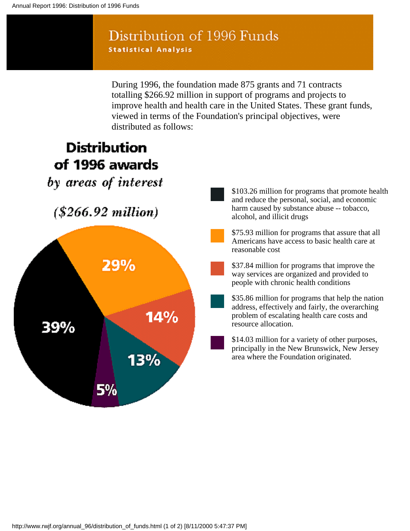### Distribution of 1996 Funds **Statistical Analysis**

During 1996, the foundation made 875 grants and 71 contracts totalling \$266.92 million in support of programs and projects to improve health and health care in the United States. These grant funds, viewed in terms of the Foundation's principal objectives, were distributed as follows:

# **Distribution** of 1996 awards by areas of interest  $($266.92 million)$ 29% 14% 39% 13% 5%

\$103.26 million for programs that promote health and reduce the personal, social, and economic harm caused by substance abuse -- tobacco, alcohol, and illicit drugs

\$75.93 million for programs that assure that all Americans have access to basic health care at reasonable cost

\$37.84 million for programs that improve the way services are organized and provided to people with chronic health conditions

\$35.86 million for programs that help the nation address, effectively and fairly, the overarching problem of escalating health care costs and resource allocation.

\$14.03 million for a variety of other purposes, principally in the New Brunswick, New Jersey area where the Foundation originated.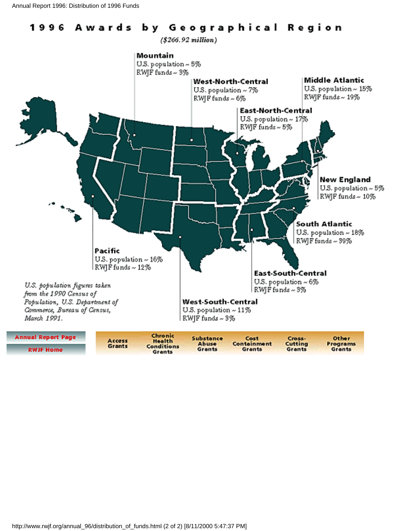#### by Geographical Region 1996 Awards

 $( $266.92 million)$ 



Grants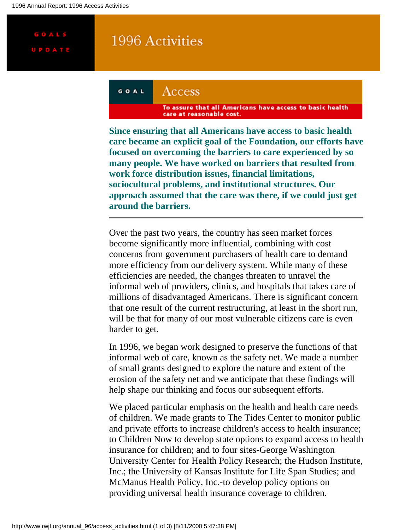<span id="page-128-0"></span>**GOALS** 

### 1996 Activities

#### GOAL Access

To assure that all Americans have access to basic health care at reasonable cost.

**Since ensuring that all Americans have access to basic health care became an explicit goal of the Foundation, our efforts have focused on overcoming the barriers to care experienced by so many people. We have worked on barriers that resulted from work force distribution issues, financial limitations, sociocultural problems, and institutional structures. Our approach assumed that the care was there, if we could just get around the barriers.**

Over the past two years, the country has seen market forces become significantly more influential, combining with cost concerns from government purchasers of health care to demand more efficiency from our delivery system. While many of these efficiencies are needed, the changes threaten to unravel the informal web of providers, clinics, and hospitals that takes care of millions of disadvantaged Americans. There is significant concern that one result of the current restructuring, at least in the short run, will be that for many of our most vulnerable citizens care is even harder to get.

In 1996, we began work designed to preserve the functions of that informal web of care, known as the safety net. We made a number of small grants designed to explore the nature and extent of the erosion of the safety net and we anticipate that these findings will help shape our thinking and focus our subsequent efforts.

We placed particular emphasis on the health and health care needs of children. We made grants to The Tides Center to monitor public and private efforts to increase children's access to health insurance; to Children Now to develop state options to expand access to health insurance for children; and to four sites-George Washington University Center for Health Policy Research; the Hudson Institute, Inc.; the University of Kansas Institute for Life Span Studies; and McManus Health Policy, Inc.-to develop policy options on providing universal health insurance coverage to children.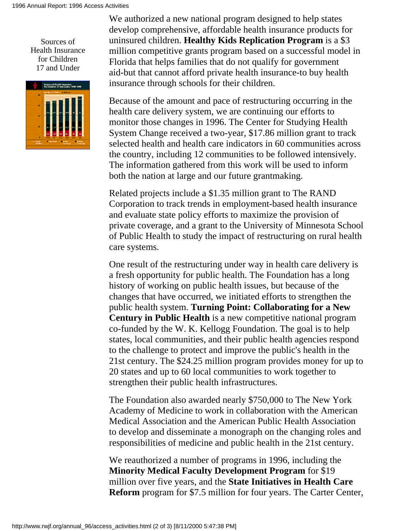<span id="page-129-0"></span>Sources of Health Insurance for Children 17 and Under



We authorized a new national program designed to help states develop comprehensive, affordable health insurance products for uninsured children. **Healthy Kids Replication Program** is a \$3 million competitive grants program based on a successful model in Florida that helps families that do not qualify for government aid-but that cannot afford private health insurance-to buy health insurance through schools for their children.

Because of the amount and pace of restructuring occurring in the health care delivery system, we are continuing our efforts to monitor those changes in 1996. The Center for Studying Health System Change received a two-year, \$17.86 million grant to track selected health and health care indicators in 60 communities across the country, including 12 communities to be followed intensively. The information gathered from this work will be used to inform both the nation at large and our future grantmaking.

Related projects include a \$1.35 million grant to The RAND Corporation to track trends in employment-based health insurance and evaluate state policy efforts to maximize the provision of private coverage, and a grant to the University of Minnesota School of Public Health to study the impact of restructuring on rural health care systems.

One result of the restructuring under way in health care delivery is a fresh opportunity for public health. The Foundation has a long history of working on public health issues, but because of the changes that have occurred, we initiated efforts to strengthen the public health system. **Turning Point: Collaborating for a New Century in Public Health** is a new competitive national program co-funded by the W. K. Kellogg Foundation. The goal is to help states, local communities, and their public health agencies respond to the challenge to protect and improve the public's health in the 21st century. The \$24.25 million program provides money for up to 20 states and up to 60 local communities to work together to strengthen their public health infrastructures.

The Foundation also awarded nearly \$750,000 to The New York Academy of Medicine to work in collaboration with the American Medical Association and the American Public Health Association to develop and disseminate a monograph on the changing roles and responsibilities of medicine and public health in the 21st century.

We reauthorized a number of programs in 1996, including the **Minority Medical Faculty Development Program** for \$19 million over five years, and the **State Initiatives in Health Care Reform** program for \$7.5 million for four years. The Carter Center,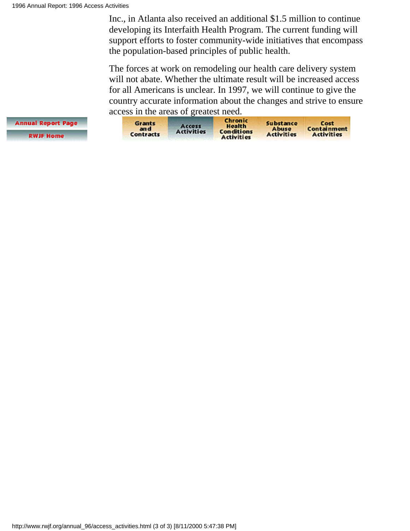Inc., in Atlanta also received an additional \$1.5 million to continue developing its Interfaith Health Program. The current funding will support efforts to foster community-wide initiatives that encompass the population-based principles of public health.

The forces at work on remodeling our health care delivery system will not abate. Whether the ultimate result will be increased access for all Americans is unclear. In 1997, we will continue to give the country accurate information about the changes and strive to ensure acc[ess in the are](#page-26-0)as of greate[st need.](#page-132-0)

| <b>Grants</b><br>an c<br>Contracts | Access<br><b>Activities</b> | Chronic<br>Health<br><b>Conditions</b><br><b>Activities</b> | Substance<br><b>Abuse</b><br><b>Activities</b> | Cost<br>Containment<br><b>Activities</b> |
|------------------------------------|-----------------------------|-------------------------------------------------------------|------------------------------------------------|------------------------------------------|
|------------------------------------|-----------------------------|-------------------------------------------------------------|------------------------------------------------|------------------------------------------|

**Annual Report Page RWJF Home**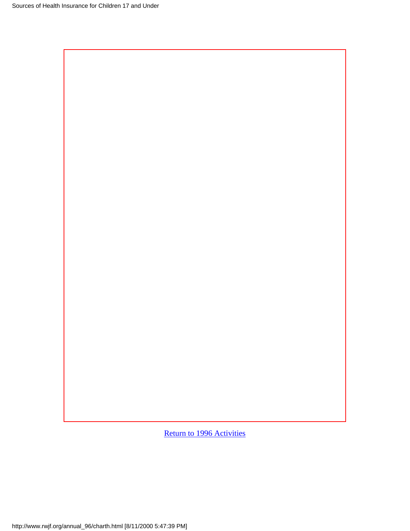[Return to 1996 Activities](#page-129-0)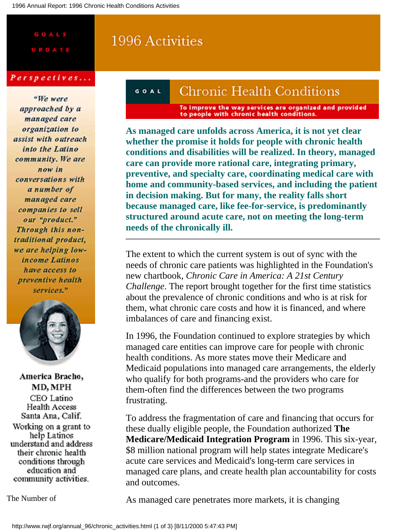# <span id="page-132-0"></span>**GOALS**

#### Perspectives...

"We were approached by a managed care organization to assist with outreach into the Latino community. We are now in conversations with a number of managed care companies to sell our "product." Through this nontraditional product, we are helping lowincome Latinos have access to preventive health services."



America Bracho, MD, MPH CEO Latino Health Access Santa Ana, Calif. Working on a grant to help Latinos understand and address their chronic health conditions through education and community activities.

1996 Activities

#### **Chronic Health Conditions** GOAL

To improve the way services are organized and provided<br>to people with chronic health conditions.

**As managed care unfolds across America, it is not yet clear whether the promise it holds for people with chronic health conditions and disabilities will be realized. In theory, managed care can provide more rational care, integrating primary, preventive, and specialty care, coordinating medical care with home and community-based services, and including the patient in decision making. But for many, the reality falls short because managed care, like fee-for-service, is predominantly structured around acute care, not on meeting the long-term needs of the chronically ill.**

The extent to which the current system is out of sync with the needs of chronic care patients was highlighted in the Foundation's new chartbook, *Chronic Care in America: A 21st Century Challenge*. The report brought together for the first time statistics about the prevalence of chronic conditions and who is at risk for them, what chronic care costs and how it is financed, and where imbalances of care and financing exist.

In 1996, the Foundation continued to explore strategies by which managed care entities can improve care for people with chronic health conditions. As more states move their Medicare and Medicaid populations into managed care arrangements, the elderly who qualify for both programs-and the providers who care for them-often find the differences between the two programs frustrating.

To address the fragmentation of care and financing that occurs for these dually eligible people, the Foundation authorized **The Medicare/Medicaid Integration Program** in 1996. This six-year, \$8 million national program will help states integrate Medicare's acute care services and Medicaid's long-term care services in managed care plans, and create health plan accountability for costs and outcomes.

<span id="page-132-1"></span>The Number of

As managed care penetrates more markets, it is changing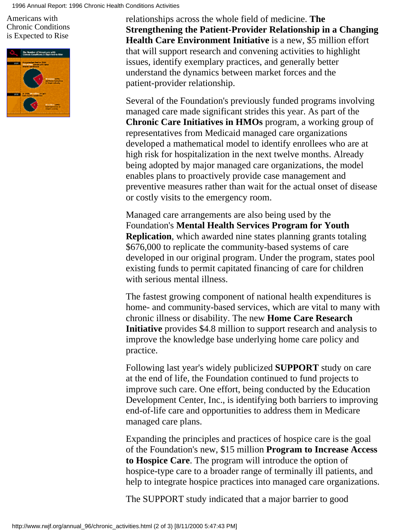Americans with Chronic Conditions is Expected to Rise



relationships across the whole field of medicine. **The Strengthening the Patient-Provider Relationship in a Changing Health Care Environment Initiative** is a new, \$5 million effort that will support research and convening activities to highlight issues, identify exemplary practices, and generally better understand the dynamics between market forces and the patient-provider relationship.

Several of the Foundation's previously funded programs involving managed care made significant strides this year. As part of the **Chronic Care Initiatives in HMOs** program, a working group of representatives from Medicaid managed care organizations developed a mathematical model to identify enrollees who are at high risk for hospitalization in the next twelve months. Already being adopted by major managed care organizations, the model enables plans to proactively provide case management and preventive measures rather than wait for the actual onset of disease or costly visits to the emergency room.

Managed care arrangements are also being used by the Foundation's **Mental Health Services Program for Youth Replication**, which awarded nine states planning grants totaling \$676,000 to replicate the community-based systems of care developed in our original program. Under the program, states pool existing funds to permit capitated financing of care for children with serious mental illness.

The fastest growing component of national health expenditures is home- and community-based services, which are vital to many with chronic illness or disability. The new **Home Care Research Initiative** provides \$4.8 million to support research and analysis to improve the knowledge base underlying home care policy and practice.

Following last year's widely publicized **SUPPORT** study on care at the end of life, the Foundation continued to fund projects to improve such care. One effort, being conducted by the Education Development Center, Inc., is identifying both barriers to improving end-of-life care and opportunities to address them in Medicare managed care plans.

Expanding the principles and practices of hospice care is the goal of the Foundation's new, \$15 million **Program to Increase Access to Hospice Care**. The program will introduce the option of hospice-type care to a broader range of terminally ill patients, and help to integrate hospice practices into managed care organizations.

The SUPPORT study indicated that a major barrier to good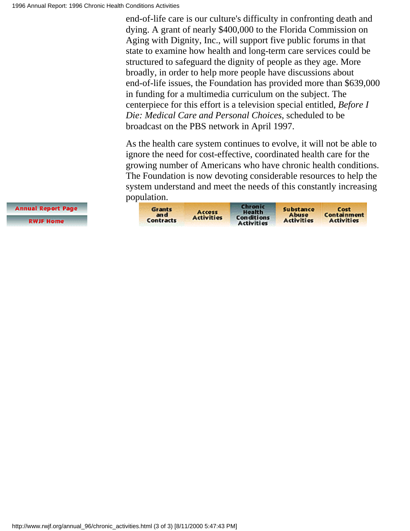end-of-life care is our culture's difficulty in confronting death and dying. A grant of nearly \$400,000 to the Florida Commission on Aging with Dignity, Inc., will support five public forums in that state to examine how health and long-term care services could be structured to safeguard the dignity of people as they age. More broadly, in order to help more people have discussions about end-of-life issues, the Foundation has provided more than \$639,000 in funding for a multimedia curriculum on the subject. The centerpiece for this effort is a television special entitled, *Before I Die: Medical Care and Personal Choices*, scheduled to be broadcast on the PBS network in April 1997.

As the health care system continues to evolve, it will not be able to ignore the need for cost-effective, coordinated health care for the growing number of Americans who have chronic health conditions. The Foundation is now devoting considerable resources to help the system understand and meet the needs of this constantly increasing po[pulation.](#page-26-0)

| <b>Grants</b><br>Accoss<br>an c<br><b>Activities</b><br><b>Contracts</b> | Chronic<br><b>Health</b><br><b>Conditions</b><br>Activities | Substance<br><b>Abuse</b><br><b>Activities</b> | Cost<br>Containment<br><b>Activities</b> |
|--------------------------------------------------------------------------|-------------------------------------------------------------|------------------------------------------------|------------------------------------------|
|--------------------------------------------------------------------------|-------------------------------------------------------------|------------------------------------------------|------------------------------------------|

**Annual Report Page** 

**RWJF Home**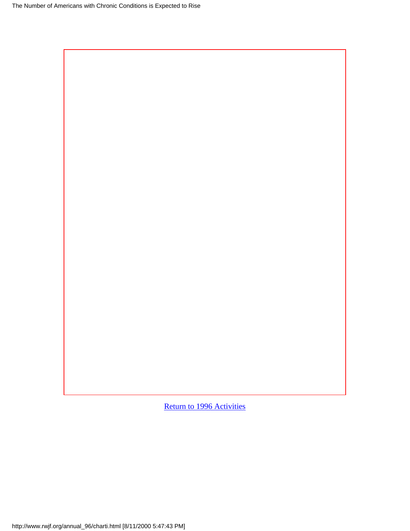[Return to 1996 Activities](#page-132-1)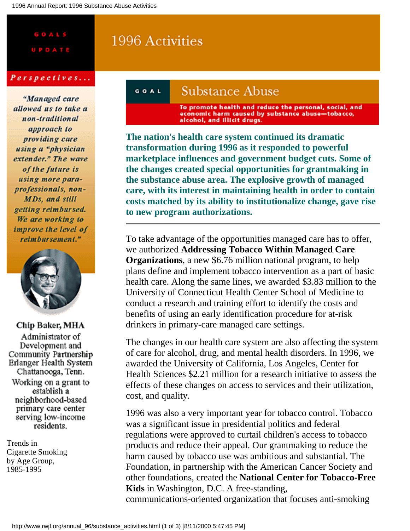# <span id="page-136-1"></span>**GOALS**

# 1996 Activities

#### Perspectives...

"Managed care allowed us to take a non-traditional approach to providing care using a "physician extender." The wave of the future is using more paraprofessionals, non-MDs, and still getting reimbursed. We are working to improve the level of reimbursement."



Chip Baker, MHA Administrator of Development and Community Partnership Erlanger Health System Chattanooga, Tenn. Working on a grant to establish a neighborhood-based primary care center serving low-income residents.

<span id="page-136-0"></span>Trends in Cigarette Smoking by Age Group, 1985-1995

#### **Substance Abuse** GOAL

To promote health and reduce the personal, social, and<br>economic harm caused by substance abuse-tobacco, alcohol, and illicit drugs.

**The nation's health care system continued its dramatic transformation during 1996 as it responded to powerful marketplace influences and government budget cuts. Some of the changes created special opportunities for grantmaking in the substance abuse area. The explosive growth of managed care, with its interest in maintaining health in order to contain costs matched by its ability to institutionalize change, gave rise to new program authorizations.**

To take advantage of the opportunities managed care has to offer, we authorized **Addressing Tobacco Within Managed Care Organizations**, a new \$6.76 million national program, to help plans define and implement tobacco intervention as a part of basic health care. Along the same lines, we awarded \$3.83 million to the University of Connecticut Health Center School of Medicine to conduct a research and training effort to identify the costs and benefits of using an early identification procedure for at-risk drinkers in primary-care managed care settings.

The changes in our health care system are also affecting the system of care for alcohol, drug, and mental health disorders. In 1996, we awarded the University of California, Los Angeles, Center for Health Sciences \$2.21 million for a research initiative to assess the effects of these changes on access to services and their utilization, cost, and quality.

1996 was also a very important year for tobacco control. Tobacco was a significant issue in presidential politics and federal regulations were approved to curtail children's access to tobacco products and reduce their appeal. Our grantmaking to reduce the harm caused by tobacco use was ambitious and substantial. The Foundation, in partnership with the American Cancer Society and other foundations, created the **National Center for Tobacco-Free Kids** in Washington, D.C. A free-standing,

communications-oriented organization that focuses anti-smoking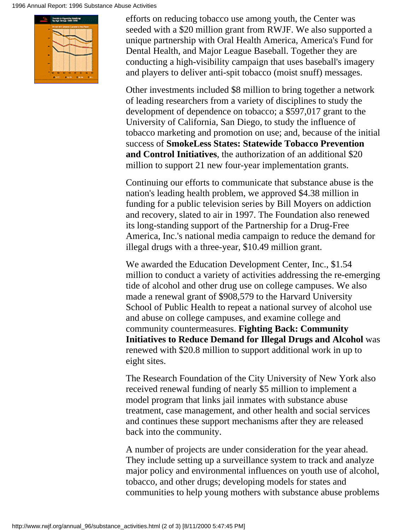

efforts on reducing tobacco use among youth, the Center was seeded with a \$20 million grant from RWJF. We also supported a unique partnership with Oral Health America, America's Fund for Dental Health, and Major League Baseball. Together they are conducting a high-visibility campaign that uses baseball's imagery and players to deliver anti-spit tobacco (moist snuff) messages.

Other investments included \$8 million to bring together a network of leading researchers from a variety of disciplines to study the development of dependence on tobacco; a \$597,017 grant to the University of California, San Diego, to study the influence of tobacco marketing and promotion on use; and, because of the initial success of **SmokeLess States: Statewide Tobacco Prevention and Control Initiatives**, the authorization of an additional \$20 million to support 21 new four-year implementation grants.

Continuing our efforts to communicate that substance abuse is the nation's leading health problem, we approved \$4.38 million in funding for a public television series by Bill Moyers on addiction and recovery, slated to air in 1997. The Foundation also renewed its long-standing support of the Partnership for a Drug-Free America, Inc.'s national media campaign to reduce the demand for illegal drugs with a three-year, \$10.49 million grant.

We awarded the Education Development Center, Inc., \$1.54 million to conduct a variety of activities addressing the re-emerging tide of alcohol and other drug use on college campuses. We also made a renewal grant of \$908,579 to the Harvard University School of Public Health to repeat a national survey of alcohol use and abuse on college campuses, and examine college and community countermeasures. **Fighting Back: Community Initiatives to Reduce Demand for Illegal Drugs and Alcohol** was renewed with \$20.8 million to support additional work in up to eight sites.

The Research Foundation of the City University of New York also received renewal funding of nearly \$5 million to implement a model program that links jail inmates with substance abuse treatment, case management, and other health and social services and continues these support mechanisms after they are released back into the community.

A number of projects are under consideration for the year ahead. They include setting up a surveillance system to track and analyze major policy and environmental influences on youth use of alcohol, tobacco, and other drugs; developing models for states and communities to help young mothers with substance abuse problems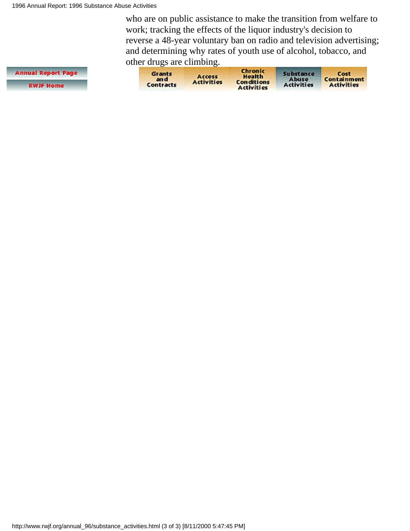who are on public assistance to make the transition from welfare to work; tracking the effects of the liquor industry's decision to reverse a 48-year voluntary ban on radio and television advertising; and determining why rates of youth use of alcohol, tobacco, and other drugs are climbing.

| Annual Report Page |
|--------------------|
| <b>RWJF Home</b>   |

| <b>Grants</b><br>an c<br>Contracts | Accoss<br><b>Activities</b> | Chronic<br>Health<br><b>Conditions</b><br><b>Activities</b> | Substance<br>Abuse<br><b>Activities</b> | Cost<br>Containment<br><b>Activities</b> |
|------------------------------------|-----------------------------|-------------------------------------------------------------|-----------------------------------------|------------------------------------------|
|------------------------------------|-----------------------------|-------------------------------------------------------------|-----------------------------------------|------------------------------------------|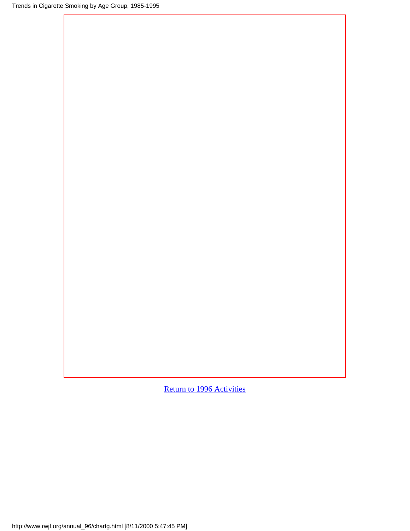[Return to 1996 Activities](#page-136-0)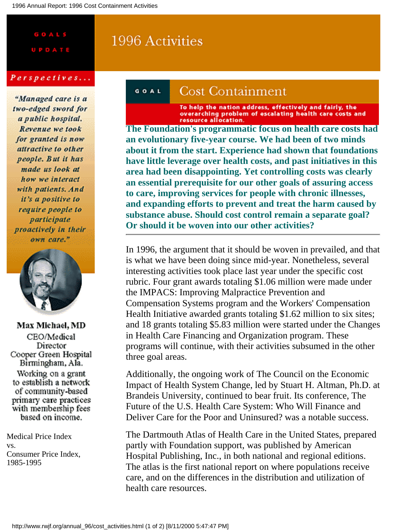# GOALS

## 1996 Activities

#### Perspectives...

"Managed care is a two-edged sword for a public hospital. Revenue we took for granted is now attractive to other people. But it has made us look at how we interact with patients. And it's a positive to require people to participate proactively in their own care."



**Max Michael, MD** CEO/Medical Director Cooper Green Hospital Birmingham, Ala. Working on a grant to establish a network of community-based primary care practices with membership fees based on income.

<span id="page-140-0"></span>Medical Price Index vs. Consumer Price Index, 1985-1995

#### Cost Containment GOAL

To help the nation address, effectively and fairly, the<br>overarching problem of escalating health care costs and<br>The Foundation's programmatic focus on health care costs had

**an evolutionary five-year course. We had been of two minds about it from the start. Experience had shown that foundations have little leverage over health costs, and past initiatives in this area had been disappointing. Yet controlling costs was clearly an essential prerequisite for our other goals of assuring access to care, improving services for people with chronic illnesses, and expanding efforts to prevent and treat the harm caused by substance abuse. Should cost control remain a separate goal? Or should it be woven into our other activities?**

In 1996, the argument that it should be woven in prevailed, and that is what we have been doing since mid-year. Nonetheless, several interesting activities took place last year under the specific cost rubric. Four grant awards totaling \$1.06 million were made under the IMPACS: Improving Malpractice Prevention and Compensation Systems program and the Workers' Compensation Health Initiative awarded grants totaling \$1.62 million to six sites; and 18 grants totaling \$5.83 million were started under the Changes in Health Care Financing and Organization program. These programs will continue, with their activities subsumed in the other three goal areas.

Additionally, the ongoing work of The Council on the Economic Impact of Health System Change, led by Stuart H. Altman, Ph.D. at Brandeis University, continued to bear fruit. Its conference, The Future of the U.S. Health Care System: Who Will Finance and Deliver Care for the Poor and Uninsured? was a notable success.

The Dartmouth Atlas of Health Care in the United States, prepared partly with Foundation support, was published by American Hospital Publishing, Inc., in both national and regional editions. The atlas is the first national report on where populations receive care, and on the differences in the distribution and utilization of health care resources.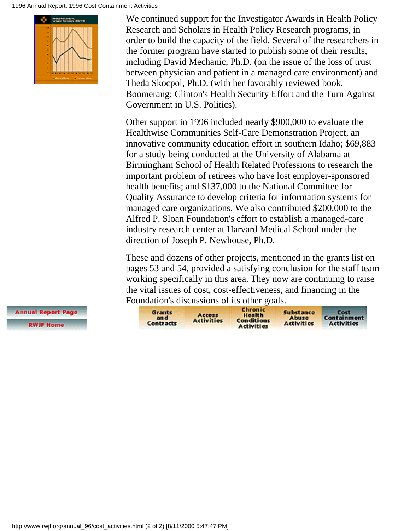#### 1996 Annual Report: 1996 Cost Containment Activities



We continued support for the Investigator Awards in Health Policy Research and Scholars in Health Policy Research programs, in order to build the capacity of the field. Several of the researchers in the former program have started to publish some of their results, including David Mechanic, Ph.D. (on the issue of the loss of trust between physician and patient in a managed care environment) and Theda Skocpol, Ph.D. (with her favorably reviewed book, Boomerang: Clinton's Health Security Effort and the Turn Against Government in U.S. Politics).

Other support in 1996 included nearly \$900,000 to evaluate the Healthwise Communities Self-Care Demonstration Project, an innovative community education effort in southern Idaho; \$69,883 for a study being conducted at the University of Alabama at Birmingham School of Health Related Professions to research the important problem of retirees who have lost employer-sponsored health benefits; and \$137,000 to the National Committee for Quality Assurance to develop criteria for information systems for managed care organizations. We also contributed \$200,000 to the Alfred P. Sloan Foundation's effort to establish a managed-care industry research center at Harvard Medical School under the direction of Joseph P. Newhouse, Ph.D.

These and dozens of other projects, mentioned in the grants list on pages 53 and 54, provided a satisfying conclusion for the staff team working specifically in this area. They now are continuing to raise the vital issues of cost, cost-effectiveness, and financing in the Fo[undation](#page-26-0)'[s di](#page-26-0)[scussions of](#page-128-0) [its other goa](#page-132-0)[ls.](#page-136-1)

Chronic Grants Substance Cost **Health**<br>Conditions Access and Abuse Containment **Activities Activities** Contracts **Activities Activities** 

**Annual Report Page RWJF Home**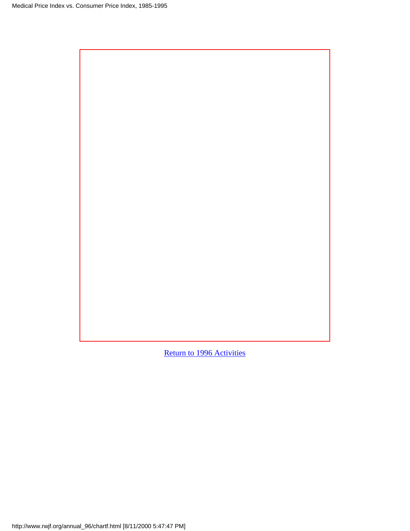[Return to 1996 Activities](#page-140-0)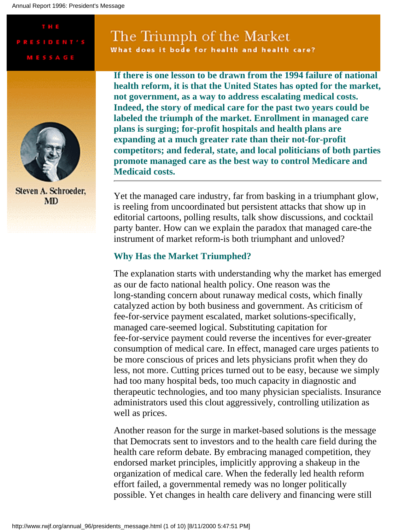T H E

**PRESIDENT'S** 

**MESSAGE** 

# The Triumph of the Market

What does it bode for health and health care?



Steven A. Schroeder, **MD** 

**If there is one lesson to be drawn from the 1994 failure of national health reform, it is that the United States has opted for the market, not government, as a way to address escalating medical costs. Indeed, the story of medical care for the past two years could be labeled the triumph of the market. Enrollment in managed care plans is surging; for-profit hospitals and health plans are expanding at a much greater rate than their not-for-profit competitors; and federal, state, and local politicians of both parties promote managed care as the best way to control Medicare and Medicaid costs.**

Yet the managed care industry, far from basking in a triumphant glow, is reeling from uncoordinated but persistent attacks that show up in editorial cartoons, polling results, talk show discussions, and cocktail party banter. How can we explain the paradox that managed care-the instrument of market reform-is both triumphant and unloved?

#### **Why Has the Market Triumphed?**

The explanation starts with understanding why the market has emerged as our de facto national health policy. One reason was the long-standing concern about runaway medical costs, which finally catalyzed action by both business and government. As criticism of fee-for-service payment escalated, market solutions-specifically, managed care-seemed logical. Substituting capitation for fee-for-service payment could reverse the incentives for ever-greater consumption of medical care. In effect, managed care urges patients to be more conscious of prices and lets physicians profit when they do less, not more. Cutting prices turned out to be easy, because we simply had too many hospital beds, too much capacity in diagnostic and therapeutic technologies, and too many physician specialists. Insurance administrators used this clout aggressively, controlling utilization as well as prices.

Another reason for the surge in market-based solutions is the message that Democrats sent to investors and to the health care field during the health care reform debate. By embracing managed competition, they endorsed market principles, implicitly approving a shakeup in the organization of medical care. When the federally led health reform effort failed, a governmental remedy was no longer politically possible. Yet changes in health care delivery and financing were still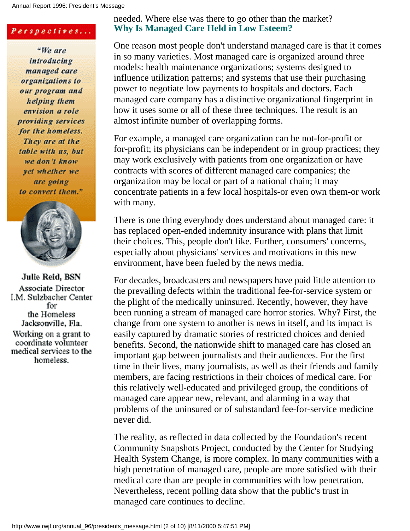Annual Report 1996: President's Message

#### Perspectives...

"We are introducing managed care organizations to our program and helping them envision a role providing services. for the homeless. They are at the table with us, but we don't know vet whether we are going to convert them."



Julie Reid, BSN Associate Director I.M. Sulzbacher Center for the Homeless Jacksonville, Fla. Working on a grant to coordinate volunteer medical services to the homeless.

### needed. Where else was there to go other than the market? **Why Is Managed Care Held in Low Esteem?**

One reason most people don't understand managed care is that it comes in so many varieties. Most managed care is organized around three models: health maintenance organizations; systems designed to influence utilization patterns; and systems that use their purchasing power to negotiate low payments to hospitals and doctors. Each managed care company has a distinctive organizational fingerprint in how it uses some or all of these three techniques. The result is an almost infinite number of overlapping forms.

For example, a managed care organization can be not-for-profit or for-profit; its physicians can be independent or in group practices; they may work exclusively with patients from one organization or have contracts with scores of different managed care companies; the organization may be local or part of a national chain; it may concentrate patients in a few local hospitals-or even own them-or work with many.

There is one thing everybody does understand about managed care: it has replaced open-ended indemnity insurance with plans that limit their choices. This, people don't like. Further, consumers' concerns, especially about physicians' services and motivations in this new environment, have been fueled by the news media.

For decades, broadcasters and newspapers have paid little attention to the prevailing defects within the traditional fee-for-service system or the plight of the medically uninsured. Recently, however, they have been running a stream of managed care horror stories. Why? First, the change from one system to another is news in itself, and its impact is easily captured by dramatic stories of restricted choices and denied benefits. Second, the nationwide shift to managed care has closed an important gap between journalists and their audiences. For the first time in their lives, many journalists, as well as their friends and family members, are facing restrictions in their choices of medical care. For this relatively well-educated and privileged group, the conditions of managed care appear new, relevant, and alarming in a way that problems of the uninsured or of substandard fee-for-service medicine never did.

The reality, as reflected in data collected by the Foundation's recent Community Snapshots Project, conducted by the Center for Studying Health System Change, is more complex. In many communities with a high penetration of managed care, people are more satisfied with their medical care than are people in communities with low penetration. Nevertheless, recent polling data show that the public's trust in managed care continues to decline.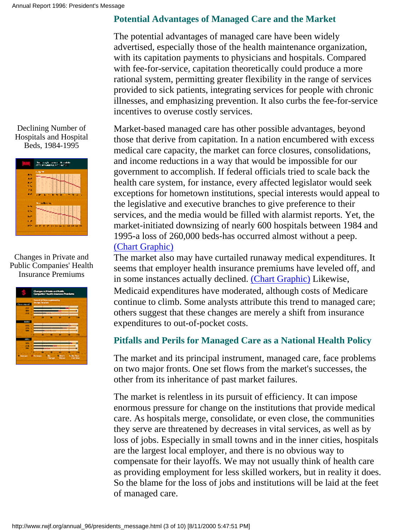<span id="page-145-0"></span>



### <span id="page-145-1"></span>Changes in Private and Public Companies' Health Insurance Premiums

|                  | ngan ing Prinsipal ang Phoble<br>pambal Pasal State ang Prinsipal ang                                               |
|------------------|---------------------------------------------------------------------------------------------------------------------|
|                  | <b>Televille St. Telescope and produced by</b><br>dronas ferarana                                                   |
|                  |                                                                                                                     |
|                  |                                                                                                                     |
|                  |                                                                                                                     |
|                  |                                                                                                                     |
|                  |                                                                                                                     |
|                  |                                                                                                                     |
|                  |                                                                                                                     |
|                  |                                                                                                                     |
|                  |                                                                                                                     |
|                  |                                                                                                                     |
|                  |                                                                                                                     |
|                  |                                                                                                                     |
|                  |                                                                                                                     |
|                  |                                                                                                                     |
| <b>Bally Ave</b> | <b>Provide</b><br><b>Change</b><br><b>With Plate</b><br><b>DAN'T</b><br>Philippin<br><b>List Bar</b><br><b>BEEN</b> |

### **Potential Advantages of Managed Care and the Market**

The potential advantages of managed care have been widely advertised, especially those of the health maintenance organization, with its capitation payments to physicians and hospitals. Compared with fee-for-service, capitation theoretically could produce a more rational system, permitting greater flexibility in the range of services provided to sick patients, integrating services for people with chronic illnesses, and emphasizing prevention. It also curbs the fee-for-service incentives to overuse costly services.

Market-based managed care has other possible advantages, beyond those that derive from capitation. In a nation encumbered with excess medical care capacity, the market can force closures, consolidations, and income reductions in a way that would be impossible for our government to accomplish. If federal officials tried to scale back the health care system, for instance, every affected legislator would seek exceptions for hometown institutions, special interests would appeal to the legislative and executive branches to give preference to their services, and the media would be filled with alarmist reports. Yet, the market-initiated downsizing of nearly 600 hospitals between 1984 and 1995-a loss of 260,000 beds-has occurred almost without a peep. [\(Chart Graphic\)](#page-153-0)

The market also may have curtailed runaway medical expenditures. It seems that employer health insurance premiums have leveled off, and in some instances actually declined. [\(Chart Graphic\)](#page-154-0) Likewise, Medicaid expenditures have moderated, although costs of Medicare continue to climb. Some analysts attribute this trend to managed care; others suggest that these changes are merely a shift from insurance expenditures to out-of-pocket costs.

### **Pitfalls and Perils for Managed Care as a National Health Policy**

The market and its principal instrument, managed care, face problems on two major fronts. One set flows from the market's successes, the other from its inheritance of past market failures.

The market is relentless in its pursuit of efficiency. It can impose enormous pressure for change on the institutions that provide medical care. As hospitals merge, consolidate, or even close, the communities they serve are threatened by decreases in vital services, as well as by loss of jobs. Especially in small towns and in the inner cities, hospitals are the largest local employer, and there is no obvious way to compensate for their layoffs. We may not usually think of health care as providing employment for less skilled workers, but in reality it does. So the blame for the loss of jobs and institutions will be laid at the feet of managed care.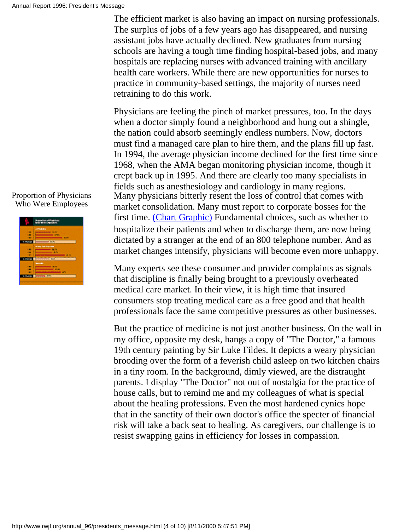The efficient market is also having an impact on nursing professionals. The surplus of jobs of a few years ago has disappeared, and nursing assistant jobs have actually declined. New graduates from nursing schools are having a tough time finding hospital-based jobs, and many hospitals are replacing nurses with advanced training with ancillary health care workers. While there are new opportunities for nurses to practice in community-based settings, the majority of nurses need retraining to do this work.

Physicians are feeling the pinch of market pressures, too. In the days when a doctor simply found a neighborhood and hung out a shingle, the nation could absorb seemingly endless numbers. Now, doctors must find a managed care plan to hire them, and the plans fill up fast. In 1994, the average physician income declined for the first time since 1968, when the AMA began monitoring physician income, though it crept back up in 1995. And there are clearly too many specialists in fields such as anesthesiology and cardiology in many regions. Many physicians bitterly resent the loss of control that comes with market consolidation. Many must report to corporate bosses for the first time. [\(Chart Graphic\)](#page-155-0) Fundamental choices, such as whether to hospitalize their patients and when to discharge them, are now being dictated by a stranger at the end of an 800 telephone number. And as market changes intensify, physicians will become even more unhappy.

Many experts see these consumer and provider complaints as signals that discipline is finally being brought to a previously overheated medical care market. In their view, it is high time that insured consumers stop treating medical care as a free good and that health professionals face the same competitive pressures as other businesses.

But the practice of medicine is not just another business. On the wall in my office, opposite my desk, hangs a copy of "The Doctor," a famous 19th century painting by Sir Luke Fildes. It depicts a weary physician brooding over the form of a feverish child asleep on two kitchen chairs in a tiny room. In the background, dimly viewed, are the distraught parents. I display "The Doctor" not out of nostalgia for the practice of house calls, but to remind me and my colleagues of what is special about the healing professions. Even the most hardened cynics hope that in the sanctity of their own doctor's office the specter of financial risk will take a back seat to healing. As caregivers, our challenge is to resist swapping gains in efficiency for losses in compassion.

### <span id="page-146-0"></span>Proportion of Physicians Who Were Employees

| <b>Contract Contract</b> |
|--------------------------|
| <b>ATTUALS</b>           |
| __                       |
|                          |
|                          |
| $\overline{a}$           |
| <b>Miles Sea Purchas</b> |
|                          |
| <b>Service</b>           |
|                          |
|                          |
|                          |
| <b>PERMIT RAY</b>        |
|                          |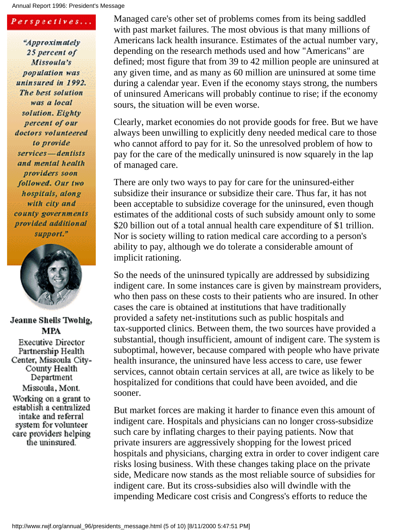Annual Report 1996: President's Message

### Perspectives...

"Approximately 25 percent of Missoula's population was uninsured in 1992. The best solution was a local solution. Eighty percent of our doctors volunteered to provide services-dentists and mental health providers soon followed. Our two hospitals, along with city and county governments provided additional support."



### Jeanne Sheils Twohig, MPA

**Executive Director** Partnership Health Center, Missoula City-County Health Department Missoula, Mont. Working on a grant to establish a centralized intake and referral system for volunteer care providers helping the uninsured.

Managed care's other set of problems comes from its being saddled with past market failures. The most obvious is that many millions of Americans lack health insurance. Estimates of the actual number vary, depending on the research methods used and how "Americans" are defined; most figure that from 39 to 42 million people are uninsured at any given time, and as many as 60 million are uninsured at some time during a calendar year. Even if the economy stays strong, the numbers of uninsured Americans will probably continue to rise; if the economy sours, the situation will be even worse.

Clearly, market economies do not provide goods for free. But we have always been unwilling to explicitly deny needed medical care to those who cannot afford to pay for it. So the unresolved problem of how to pay for the care of the medically uninsured is now squarely in the lap of managed care.

There are only two ways to pay for care for the uninsured-either subsidize their insurance or subsidize their care. Thus far, it has not been acceptable to subsidize coverage for the uninsured, even though estimates of the additional costs of such subsidy amount only to some \$20 billion out of a total annual health care expenditure of \$1 trillion. Nor is society willing to ration medical care according to a person's ability to pay, although we do tolerate a considerable amount of implicit rationing.

So the needs of the uninsured typically are addressed by subsidizing indigent care. In some instances care is given by mainstream providers, who then pass on these costs to their patients who are insured. In other cases the care is obtained at institutions that have traditionally provided a safety net-institutions such as public hospitals and tax-supported clinics. Between them, the two sources have provided a substantial, though insufficient, amount of indigent care. The system is suboptimal, however, because compared with people who have private health insurance, the uninsured have less access to care, use fewer services, cannot obtain certain services at all, are twice as likely to be hospitalized for conditions that could have been avoided, and die sooner.

But market forces are making it harder to finance even this amount of indigent care. Hospitals and physicians can no longer cross-subsidize such care by inflating charges to their paying patients. Now that private insurers are aggressively shopping for the lowest priced hospitals and physicians, charging extra in order to cover indigent care risks losing business. With these changes taking place on the private side, Medicare now stands as the most reliable source of subsidies for indigent care. But its cross-subsidies also will dwindle with the impending Medicare cost crisis and Congress's efforts to reduce the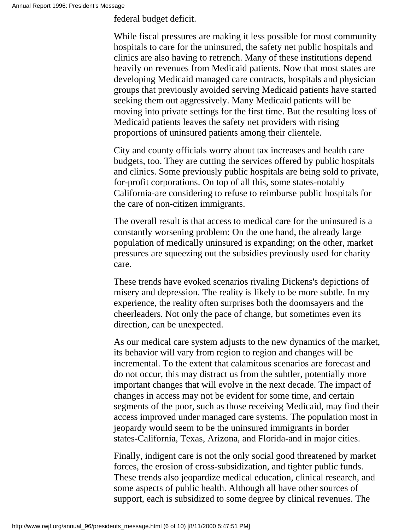federal budget deficit.

While fiscal pressures are making it less possible for most community hospitals to care for the uninsured, the safety net public hospitals and clinics are also having to retrench. Many of these institutions depend heavily on revenues from Medicaid patients. Now that most states are developing Medicaid managed care contracts, hospitals and physician groups that previously avoided serving Medicaid patients have started seeking them out aggressively. Many Medicaid patients will be moving into private settings for the first time. But the resulting loss of Medicaid patients leaves the safety net providers with rising proportions of uninsured patients among their clientele.

City and county officials worry about tax increases and health care budgets, too. They are cutting the services offered by public hospitals and clinics. Some previously public hospitals are being sold to private, for-profit corporations. On top of all this, some states-notably California-are considering to refuse to reimburse public hospitals for the care of non-citizen immigrants.

The overall result is that access to medical care for the uninsured is a constantly worsening problem: On the one hand, the already large population of medically uninsured is expanding; on the other, market pressures are squeezing out the subsidies previously used for charity care.

These trends have evoked scenarios rivaling Dickens's depictions of misery and depression. The reality is likely to be more subtle. In my experience, the reality often surprises both the doomsayers and the cheerleaders. Not only the pace of change, but sometimes even its direction, can be unexpected.

As our medical care system adjusts to the new dynamics of the market, its behavior will vary from region to region and changes will be incremental. To the extent that calamitous scenarios are forecast and do not occur, this may distract us from the subtler, potentially more important changes that will evolve in the next decade. The impact of changes in access may not be evident for some time, and certain segments of the poor, such as those receiving Medicaid, may find their access improved under managed care systems. The population most in jeopardy would seem to be the uninsured immigrants in border states-California, Texas, Arizona, and Florida-and in major cities.

Finally, indigent care is not the only social good threatened by market forces, the erosion of cross-subsidization, and tighter public funds. These trends also jeopardize medical education, clinical research, and some aspects of public health. Although all have other sources of support, each is subsidized to some degree by clinical revenues. The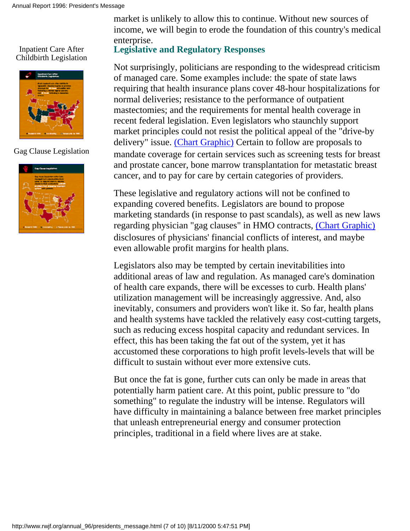<span id="page-149-0"></span>Inpatient Care After Childbirth Legislation



<span id="page-149-1"></span>Gag Clause Legislation



market is unlikely to allow this to continue. Without new sources of income, we will begin to erode the foundation of this country's medical enterprise.

### **Legislative and Regulatory Responses**

Not surprisingly, politicians are responding to the widespread criticism of managed care. Some examples include: the spate of state laws requiring that health insurance plans cover 48-hour hospitalizations for normal deliveries; resistance to the performance of outpatient mastectomies; and the requirements for mental health coverage in recent federal legislation. Even legislators who staunchly support market principles could not resist the political appeal of the "drive-by delivery" issue. [\(Chart Graphic\)](#page-156-0) Certain to follow are proposals to mandate coverage for certain services such as screening tests for breast and prostate cancer, bone marrow transplantation for metastatic breast cancer, and to pay for care by certain categories of providers.

These legislative and regulatory actions will not be confined to expanding covered benefits. Legislators are bound to propose marketing standards (in response to past scandals), as well as new laws regarding physician "gag clauses" in HMO contracts, [\(Chart Graphic\)](#page-157-0) disclosures of physicians' financial conflicts of interest, and maybe even allowable profit margins for health plans.

Legislators also may be tempted by certain inevitabilities into additional areas of law and regulation. As managed care's domination of health care expands, there will be excesses to curb. Health plans' utilization management will be increasingly aggressive. And, also inevitably, consumers and providers won't like it. So far, health plans and health systems have tackled the relatively easy cost-cutting targets, such as reducing excess hospital capacity and redundant services. In effect, this has been taking the fat out of the system, yet it has accustomed these corporations to high profit levels-levels that will be difficult to sustain without ever more extensive cuts.

But once the fat is gone, further cuts can only be made in areas that potentially harm patient care. At this point, public pressure to "do something" to regulate the industry will be intense. Regulators will have difficulty in maintaining a balance between free market principles that unleash entrepreneurial energy and consumer protection principles, traditional in a field where lives are at stake.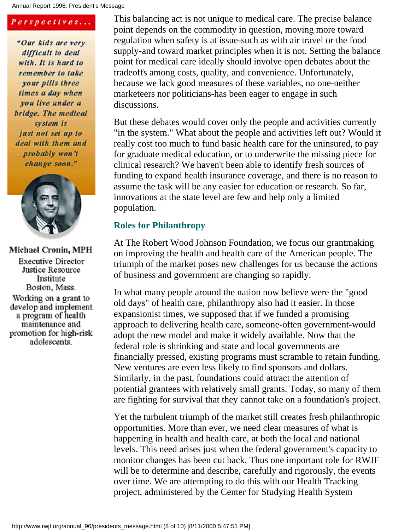### Perspectives...

"Our kids are very difficult to deal with. It is hard to remember to take your pills three times a day when you live under a bridge. The medical system is just not set up to deal with them and probably won't change soon."



### Michael Cronin, MPH

**Executive Director** Justice Resource Institute Boston, Mass. Working on a grant to develop and implement a program of health maintenance and promotion for high-risk adolescents.

This balancing act is not unique to medical care. The precise balance point depends on the commodity in question, moving more toward regulation when safety is at issue-such as with air travel or the food supply-and toward market principles when it is not. Setting the balance point for medical care ideally should involve open debates about the tradeoffs among costs, quality, and convenience. Unfortunately, because we lack good measures of these variables, no one-neither marketeers nor politicians-has been eager to engage in such discussions.

But these debates would cover only the people and activities currently "in the system." What about the people and activities left out? Would it really cost too much to fund basic health care for the uninsured, to pay for graduate medical education, or to underwrite the missing piece for clinical research? We haven't been able to identify fresh sources of funding to expand health insurance coverage, and there is no reason to assume the task will be any easier for education or research. So far, innovations at the state level are few and help only a limited population.

### **Roles for Philanthropy**

At The Robert Wood Johnson Foundation, we focus our grantmaking on improving the health and health care of the American people. The triumph of the market poses new challenges for us because the actions of business and government are changing so rapidly.

In what many people around the nation now believe were the "good old days" of health care, philanthropy also had it easier. In those expansionist times, we supposed that if we funded a promising approach to delivering health care, someone-often government-would adopt the new model and make it widely available. Now that the federal role is shrinking and state and local governments are financially pressed, existing programs must scramble to retain funding. New ventures are even less likely to find sponsors and dollars. Similarly, in the past, foundations could attract the attention of potential grantees with relatively small grants. Today, so many of them are fighting for survival that they cannot take on a foundation's project.

Yet the turbulent triumph of the market still creates fresh philanthropic opportunities. More than ever, we need clear measures of what is happening in health and health care, at both the local and national levels. This need arises just when the federal government's capacity to monitor changes has been cut back. Thus one important role for RWJF will be to determine and describe, carefully and rigorously, the events over time. We are attempting to do this with our Health Tracking project, administered by the Center for Studying Health System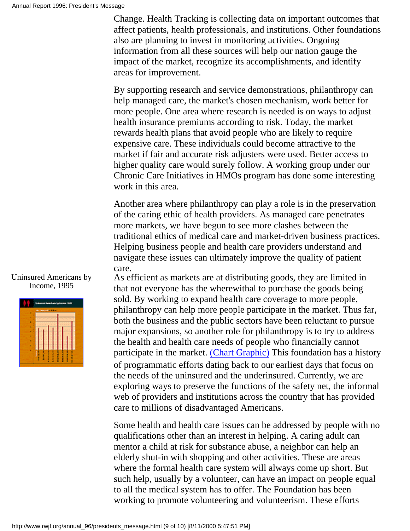Change. Health Tracking is collecting data on important outcomes that affect patients, health professionals, and institutions. Other foundations also are planning to invest in monitoring activities. Ongoing information from all these sources will help our nation gauge the impact of the market, recognize its accomplishments, and identify areas for improvement.

By supporting research and service demonstrations, philanthropy can help managed care, the market's chosen mechanism, work better for more people. One area where research is needed is on ways to adjust health insurance premiums according to risk. Today, the market rewards health plans that avoid people who are likely to require expensive care. These individuals could become attractive to the market if fair and accurate risk adjusters were used. Better access to higher quality care would surely follow. A working group under our Chronic Care Initiatives in HMOs program has done some interesting work in this area.

Another area where philanthropy can play a role is in the preservation of the caring ethic of health providers. As managed care penetrates more markets, we have begun to see more clashes between the traditional ethics of medical care and market-driven business practices. Helping business people and health care providers understand and navigate these issues can ultimately improve the quality of patient care.

As efficient as markets are at distributing goods, they are limited in that not everyone has the wherewithal to purchase the goods being sold. By working to expand health care coverage to more people, philanthropy can help more people participate in the market. Thus far, both the business and the public sectors have been reluctant to pursue major expansions, so another role for philanthropy is to try to address the health and health care needs of people who financially cannot participate in the market. [\(Chart Graphic\)](#page-158-0) This foundation has a history of programmatic efforts dating back to our earliest days that focus on the needs of the uninsured and the underinsured. Currently, we are exploring ways to preserve the functions of the safety net, the informal web of providers and institutions across the country that has provided care to millions of disadvantaged Americans.

Some health and health care issues can be addressed by people with no qualifications other than an interest in helping. A caring adult can mentor a child at risk for substance abuse, a neighbor can help an elderly shut-in with shopping and other activities. These are areas where the formal health care system will always come up short. But such help, usually by a volunteer, can have an impact on people equal to all the medical system has to offer. The Foundation has been working to promote volunteering and volunteerism. These efforts

### <span id="page-151-0"></span>Uninsured Americans by Income, 1995

| ٠<br>٠<br>٠ |  |  |  |
|-------------|--|--|--|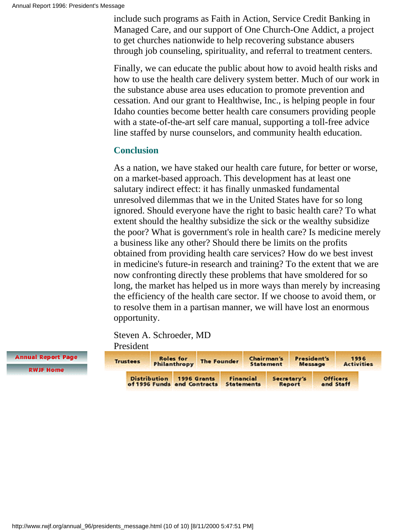include such programs as Faith in Action, Service Credit Banking in Managed Care, and our support of One Church-One Addict, a project to get churches nationwide to help recovering substance abusers through job counseling, spirituality, and referral to treatment centers.

Finally, we can educate the public about how to avoid health risks and how to use the health care delivery system better. Much of our work in the substance abuse area uses education to promote prevention and cessation. And our grant to Healthwise, Inc., is helping people in four Idaho counties become better health care consumers providing people with a state-of-the-art self care manual, supporting a toll-free advice line staffed by nurse counselors, and community health education.

### **Conclusion**

As a nation, we have staked our health care future, for better or worse, on a market-based approach. This development has at least one salutary indirect effect: it has finally unmasked fundamental unresolved dilemmas that we in the United States have for so long ignored. Should everyone have the right to basic health care? To what extent should the healthy subsidize the sick or the wealthy subsidize the poor? What is government's role in health care? Is medicine merely a business like any other? Should there be limits on the profits obtained from providing health care services? How do we best invest in medicine's future-in research and training? To the extent that we are now confronting directly these problems that have smoldered for so long, the market has helped us in more ways than merely by increasing the efficiency of the health care sector. If we choose to avoid them, or to resolve them in a partisan manner, we will have lost an enormous opportunity.

Steven A. Schroeder, MD President

| <b>Trustees</b> |                                                    | <b>Roles</b> for<br>Philanthropy | <b>The Founder</b> |                   |           | Chairman's<br><b>Statement</b> | President's<br>Message |                              | 1996<br><b>Activities</b> |
|-----------------|----------------------------------------------------|----------------------------------|--------------------|-------------------|-----------|--------------------------------|------------------------|------------------------------|---------------------------|
|                 | <b>Distribution</b><br>of 1996 Funds and Contracts |                                  | 1996 Grants        | <b>Statements</b> | Financial |                                | Secretary's<br>Report  | <b>Officers</b><br>and Staff |                           |

**Annual Report Page** 

**RWJF Home**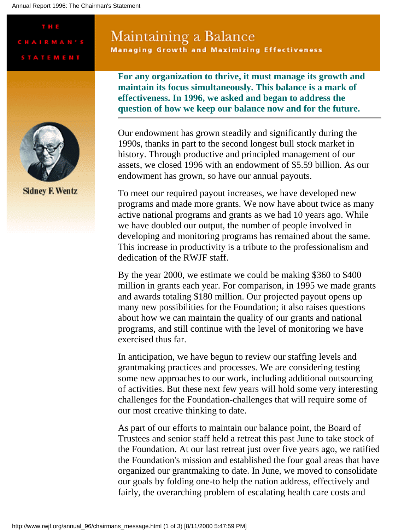#### Annual Report 1996: The Chairman's Statement

# Maintaining a Balance

**Managing Growth and Maximizing Effectiveness** 

**For any organization to thrive, it must manage its growth and maintain its focus simultaneously. This balance is a mark of effectiveness. In 1996, we asked and began to address the question of how we keep our balance now and for the future.**



T H E

**CHAIRMAN'S** 

**STATEMENT** 

**Sidney F. Wentz** 

Our endowment has grown steadily and significantly during the 1990s, thanks in part to the second longest bull stock market in history. Through productive and principled management of our assets, we closed 1996 with an endowment of \$5.59 billion. As our endowment has grown, so have our annual payouts.

To meet our required payout increases, we have developed new programs and made more grants. We now have about twice as many active national programs and grants as we had 10 years ago. While we have doubled our output, the number of people involved in developing and monitoring programs has remained about the same. This increase in productivity is a tribute to the professionalism and dedication of the RWJF staff.

By the year 2000, we estimate we could be making \$360 to \$400 million in grants each year. For comparison, in 1995 we made grants and awards totaling \$180 million. Our projected payout opens up many new possibilities for the Foundation; it also raises questions about how we can maintain the quality of our grants and national programs, and still continue with the level of monitoring we have exercised thus far.

In anticipation, we have begun to review our staffing levels and grantmaking practices and processes. We are considering testing some new approaches to our work, including additional outsourcing of activities. But these next few years will hold some very interesting challenges for the Foundation-challenges that will require some of our most creative thinking to date.

As part of our efforts to maintain our balance point, the Board of Trustees and senior staff held a retreat this past June to take stock of the Foundation. At our last retreat just over five years ago, we ratified the Foundation's mission and established the four goal areas that have organized our grantmaking to date. In June, we moved to consolidate our goals by folding one-to help the nation address, effectively and fairly, the overarching problem of escalating health care costs and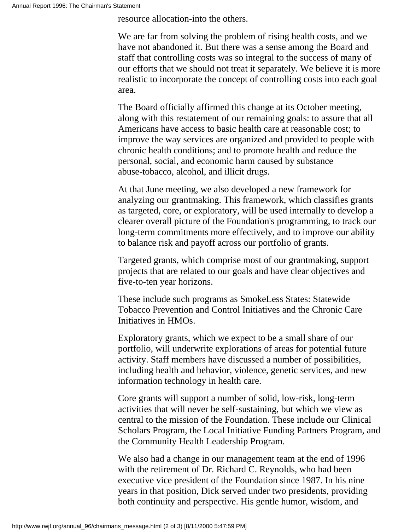resource allocation-into the others.

We are far from solving the problem of rising health costs, and we have not abandoned it. But there was a sense among the Board and staff that controlling costs was so integral to the success of many of our efforts that we should not treat it separately. We believe it is more realistic to incorporate the concept of controlling costs into each goal area.

The Board officially affirmed this change at its October meeting, along with this restatement of our remaining goals: to assure that all Americans have access to basic health care at reasonable cost; to improve the way services are organized and provided to people with chronic health conditions; and to promote health and reduce the personal, social, and economic harm caused by substance abuse-tobacco, alcohol, and illicit drugs.

At that June meeting, we also developed a new framework for analyzing our grantmaking. This framework, which classifies grants as targeted, core, or exploratory, will be used internally to develop a clearer overall picture of the Foundation's programming, to track our long-term commitments more effectively, and to improve our ability to balance risk and payoff across our portfolio of grants.

Targeted grants, which comprise most of our grantmaking, support projects that are related to our goals and have clear objectives and five-to-ten year horizons.

These include such programs as SmokeLess States: Statewide Tobacco Prevention and Control Initiatives and the Chronic Care Initiatives in HMOs.

Exploratory grants, which we expect to be a small share of our portfolio, will underwrite explorations of areas for potential future activity. Staff members have discussed a number of possibilities, including health and behavior, violence, genetic services, and new information technology in health care.

Core grants will support a number of solid, low-risk, long-term activities that will never be self-sustaining, but which we view as central to the mission of the Foundation. These include our Clinical Scholars Program, the Local Initiative Funding Partners Program, and the Community Health Leadership Program.

We also had a change in our management team at the end of 1996 with the retirement of Dr. Richard C. Reynolds, who had been executive vice president of the Foundation since 1987. In his nine years in that position, Dick served under two presidents, providing both continuity and perspective. His gentle humor, wisdom, and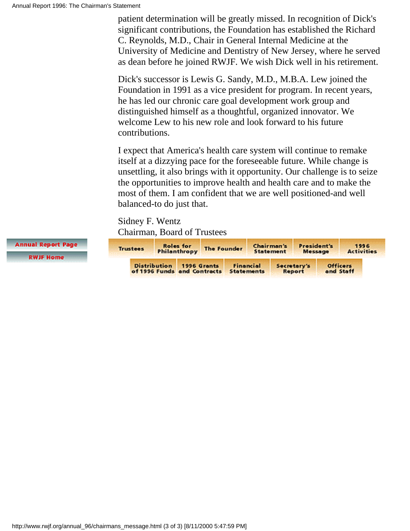patient determination will be greatly missed. In recognition of Dick's significant contributions, the Foundation has established the Richard C. Reynolds, M.D., Chair in General Internal Medicine at the University of Medicine and Dentistry of New Jersey, where he served as dean before he joined RWJF. We wish Dick well in his retirement.

Dick's successor is Lewis G. Sandy, M.D., M.B.A. Lew joined the Foundation in 1991 as a vice president for program. In recent years, he has led our chronic care goal development work group and distinguished himself as a thoughtful, organized innovator. We welcome Lew to his new role and look forward to his future contributions.

I expect that America's health care system will continue to remake itself at a dizzying pace for the foreseeable future. While change is unsettling, it also brings with it opportunity. Our challenge is to seize the opportunities to improve health and health care and to make the most of them. I am confident that we are well positioned-and well balanced-to do just that.

Sidney F. Wentz Chairman, Board of Trustees

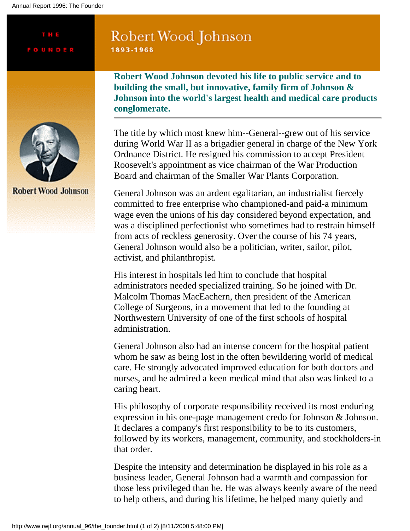Annual Report 1996: The Founder

THE

### Robert Wood Johnson 1893-1968

**Robert Wood Johnson devoted his life to public service and to building the small, but innovative, family firm of Johnson & Johnson into the world's largest health and medical care products conglomerate.**



**Robert Wood Johnson** 

The title by which most knew him--General--grew out of his service during World War II as a brigadier general in charge of the New York Ordnance District. He resigned his commission to accept President Roosevelt's appointment as vice chairman of the War Production Board and chairman of the Smaller War Plants Corporation.

General Johnson was an ardent egalitarian, an industrialist fiercely committed to free enterprise who championed-and paid-a minimum wage even the unions of his day considered beyond expectation, and was a disciplined perfectionist who sometimes had to restrain himself from acts of reckless generosity. Over the course of his 74 years, General Johnson would also be a politician, writer, sailor, pilot, activist, and philanthropist.

His interest in hospitals led him to conclude that hospital administrators needed specialized training. So he joined with Dr. Malcolm Thomas MacEachern, then president of the American College of Surgeons, in a movement that led to the founding at Northwestern University of one of the first schools of hospital administration.

General Johnson also had an intense concern for the hospital patient whom he saw as being lost in the often bewildering world of medical care. He strongly advocated improved education for both doctors and nurses, and he admired a keen medical mind that also was linked to a caring heart.

His philosophy of corporate responsibility received its most enduring expression in his one-page management credo for Johnson & Johnson. It declares a company's first responsibility to be to its customers, followed by its workers, management, community, and stockholders-in that order.

Despite the intensity and determination he displayed in his role as a business leader, General Johnson had a warmth and compassion for those less privileged than he. He was always keenly aware of the need to help others, and during his lifetime, he helped many quietly and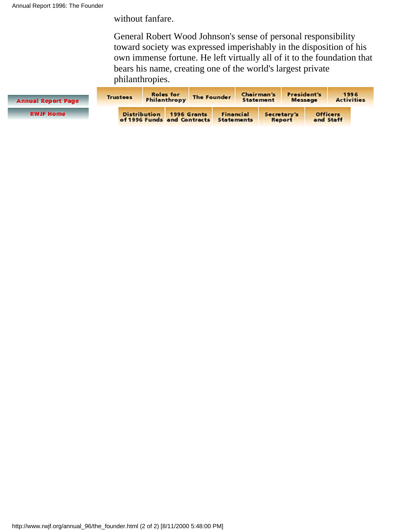without fanfare.

General Robert Wood Johnson's sense of personal responsibility toward society was expressed imperishably in the disposition of his own immense fortune. He left virtually all of it to the foundation that bears his name, creating one of the world's largest private philanthropies.

| <b>Annual Report Page</b> | <b>Roles</b> for<br><b>Trustees</b><br>Philanthropy |                             | The Founder |                                       | <b>Chairman's</b><br><b>Statement</b> |  | President's<br>Message       | 1996<br><b>Activities</b> |  |
|---------------------------|-----------------------------------------------------|-----------------------------|-------------|---------------------------------------|---------------------------------------|--|------------------------------|---------------------------|--|
| <b>RWJF Home</b>          | <b>Distribution</b>                                 | of 1996 Funds and Contracts | 1996 Grants | <b>Financial</b><br><b>Statements</b> | Secretary's<br>Report                 |  | <b>Officers</b><br>and Staff |                           |  |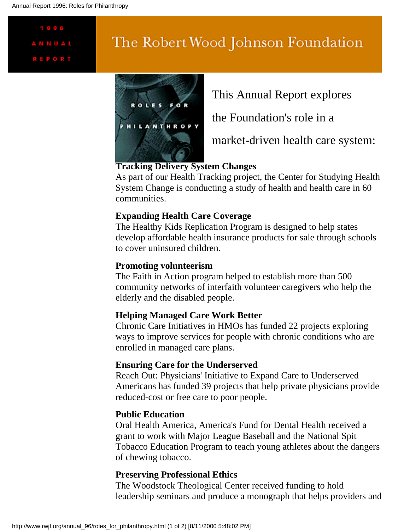# 1996 **REPORT**

# The Robert Wood Johnson Foundation



This Annual Report explores

the Foundation's role in a

market-driven health care system:

### **Tracking Delivery System Changes**

As part of our Health Tracking project, the Center for Studying Health System Change is conducting a study of health and health care in 60 communities.

### **Expanding Health Care Coverage**

The Healthy Kids Replication Program is designed to help states develop affordable health insurance products for sale through schools to cover uninsured children.

### **Promoting volunteerism**

The Faith in Action program helped to establish more than 500 community networks of interfaith volunteer caregivers who help the elderly and the disabled people.

### **Helping Managed Care Work Better**

Chronic Care Initiatives in HMOs has funded 22 projects exploring ways to improve services for people with chronic conditions who are enrolled in managed care plans.

### **Ensuring Care for the Underserved**

Reach Out: Physicians' Initiative to Expand Care to Underserved Americans has funded 39 projects that help private physicians provide reduced-cost or free care to poor people.

### **Public Education**

Oral Health America, America's Fund for Dental Health received a grant to work with Major League Baseball and the National Spit Tobacco Education Program to teach young athletes about the dangers of chewing tobacco.

### **Preserving Professional Ethics**

The Woodstock Theological Center received funding to hold leadership seminars and produce a monograph that helps providers and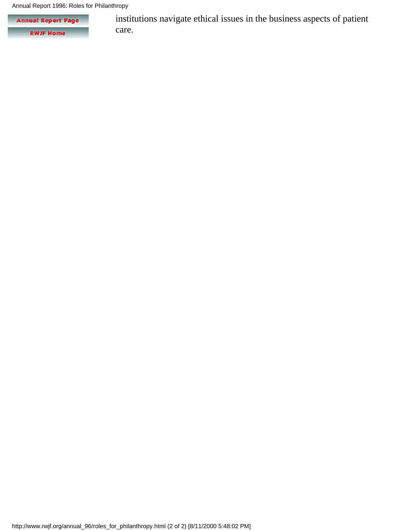Annual Report 1996: Roles for Philanthropy

**Annual Report Page RWJF Home** 

institutions navigate ethical issues in the business aspects of patient care.